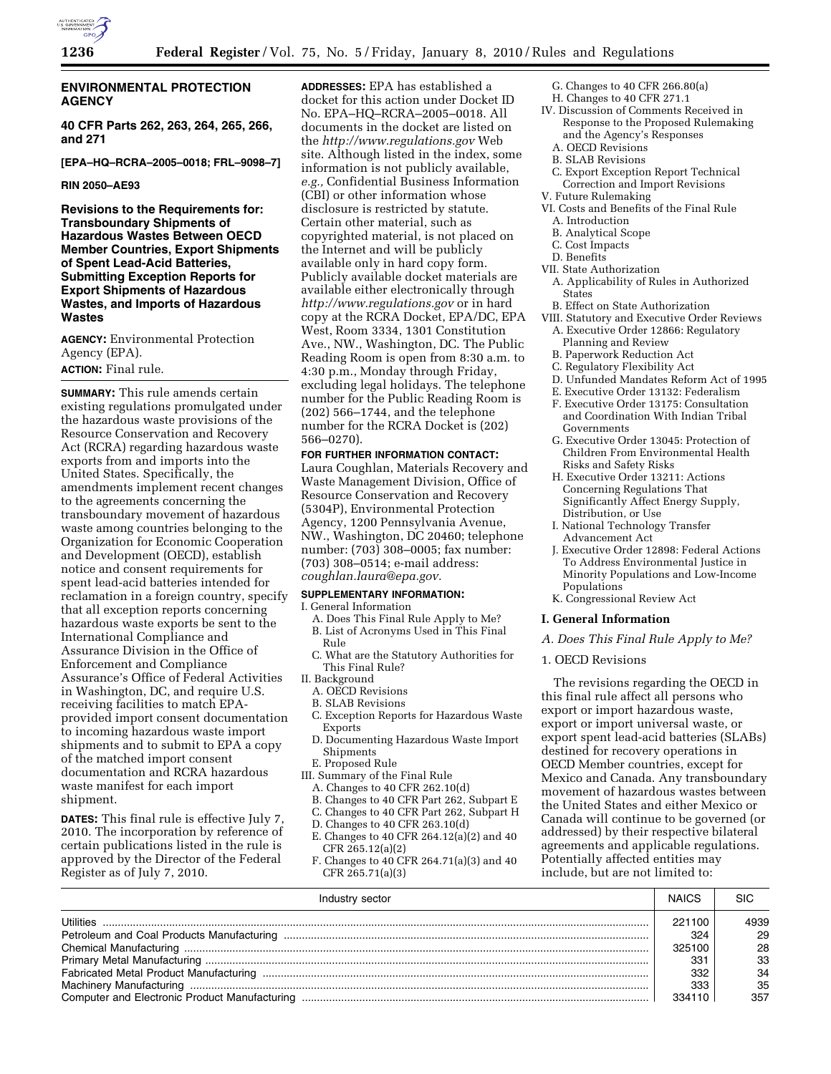

## **ENVIRONMENTAL PROTECTION AGENCY**

**40 CFR Parts 262, 263, 264, 265, 266, and 271** 

**[EPA–HQ–RCRA–2005–0018; FRL–9098–7]** 

#### **RIN 2050–AE93**

**Revisions to the Requirements for: Transboundary Shipments of Hazardous Wastes Between OECD Member Countries, Export Shipments of Spent Lead-Acid Batteries, Submitting Exception Reports for Export Shipments of Hazardous Wastes, and Imports of Hazardous Wastes** 

**AGENCY:** Environmental Protection Agency (EPA). **ACTION:** Final rule.

## **SUMMARY:** This rule amends certain existing regulations promulgated under the hazardous waste provisions of the Resource Conservation and Recovery Act (RCRA) regarding hazardous waste exports from and imports into the United States. Specifically, the amendments implement recent changes to the agreements concerning the transboundary movement of hazardous waste among countries belonging to the Organization for Economic Cooperation and Development (OECD), establish notice and consent requirements for spent lead-acid batteries intended for reclamation in a foreign country, specify that all exception reports concerning hazardous waste exports be sent to the International Compliance and Assurance Division in the Office of Enforcement and Compliance Assurance's Office of Federal Activities in Washington, DC, and require U.S. receiving facilities to match EPAprovided import consent documentation to incoming hazardous waste import shipments and to submit to EPA a copy of the matched import consent documentation and RCRA hazardous waste manifest for each import shipment.

**DATES:** This final rule is effective July 7, 2010. The incorporation by reference of certain publications listed in the rule is approved by the Director of the Federal Register as of July 7, 2010.

**ADDRESSES:** EPA has established a docket for this action under Docket ID No. EPA–HQ–RCRA–2005–0018. All documents in the docket are listed on the *http://www.regulations.gov* Web site. Although listed in the index, some information is not publicly available, *e.g.,* Confidential Business Information (CBI) or other information whose disclosure is restricted by statute. Certain other material, such as copyrighted material, is not placed on the Internet and will be publicly available only in hard copy form. Publicly available docket materials are available either electronically through *http://www.regulations.gov* or in hard copy at the RCRA Docket, EPA/DC, EPA West, Room 3334, 1301 Constitution Ave., NW., Washington, DC. The Public Reading Room is open from 8:30 a.m. to 4:30 p.m., Monday through Friday, excluding legal holidays. The telephone number for the Public Reading Room is (202) 566–1744, and the telephone number for the RCRA Docket is (202) 566–0270).

### **FOR FURTHER INFORMATION CONTACT:**

Laura Coughlan, Materials Recovery and Waste Management Division, Office of Resource Conservation and Recovery (5304P), Environmental Protection Agency, 1200 Pennsylvania Avenue, NW., Washington, DC 20460; telephone number: (703) 308–0005; fax number: (703) 308–0514; e-mail address: *coughlan.laura@epa.gov.* 

## **SUPPLEMENTARY INFORMATION:**

I. General Information

- A. Does This Final Rule Apply to Me? B. List of Acronyms Used in This Final
- Rule
- C. What are the Statutory Authorities for This Final Rule?
- II. Background
	- A. OECD Revisions
	- B. SLAB Revisions
	- C. Exception Reports for Hazardous Waste Exports
	- D. Documenting Hazardous Waste Import Shipments
	- E. Proposed Rule
- III. Summary of the Final Rule
	- A. Changes to 40 CFR 262.10(d)
	- B. Changes to 40 CFR Part 262, Subpart E
	- C. Changes to 40 CFR Part 262, Subpart H
- D. Changes to 40 CFR 263.10(d)
- E. Changes to 40 CFR 264.12(a)(2) and 40 CFR 265.12(a)(2)
- F. Changes to 40 CFR 264.71(a)(3) and 40 CFR 265.71(a)(3)
- G. Changes to 40 CFR 266.80(a)
- H. Changes to 40 CFR 271.1
- IV. Discussion of Comments Received in Response to the Proposed Rulemaking and the Agency's Responses
	- A. OECD Revisions
	- B. SLAB Revisions
- C. Export Exception Report Technical Correction and Import Revisions
- V. Future Rulemaking
- VI. Costs and Benefits of the Final Rule
	- A. Introduction
- B. Analytical Scope
- C. Cost Impacts
- D. Benefits VII. State Authorization
- A. Applicability of Rules in Authorized States
- B. Effect on State Authorization
- VIII. Statutory and Executive Order Reviews
	- A. Executive Order 12866: Regulatory Planning and Review
	- B. Paperwork Reduction Act
	- C. Regulatory Flexibility Act
	- D. Unfunded Mandates Reform Act of 1995
	- E. Executive Order 13132: Federalism
	- F. Executive Order 13175: Consultation and Coordination With Indian Tribal Governments
	- G. Executive Order 13045: Protection of Children From Environmental Health Risks and Safety Risks
	- H. Executive Order 13211: Actions Concerning Regulations That Significantly Affect Energy Supply, Distribution, or Use
	- I. National Technology Transfer Advancement Act
	- J. Executive Order 12898: Federal Actions To Address Environmental Justice in Minority Populations and Low-Income Populations
	- K. Congressional Review Act

### **I. General Information**

*A. Does This Final Rule Apply to Me?* 

#### 1. OECD Revisions

The revisions regarding the OECD in this final rule affect all persons who export or import hazardous waste, export or import universal waste, or export spent lead-acid batteries (SLABs) destined for recovery operations in OECD Member countries, except for Mexico and Canada. Any transboundary movement of hazardous wastes between the United States and either Mexico or Canada will continue to be governed (or addressed) by their respective bilateral agreements and applicable regulations. Potentially affected entities may include, but are not limited to:

| Industry sector  | <b>NAICS</b> | SIC  |
|------------------|--------------|------|
| <b>Utilities</b> | 221100       | 4939 |
|                  | 324          | 29   |
|                  | 325100       | 28   |
|                  | 331          | 33   |
|                  | 332          | 34   |
|                  | 333          | 35   |
|                  | 334110       | 357  |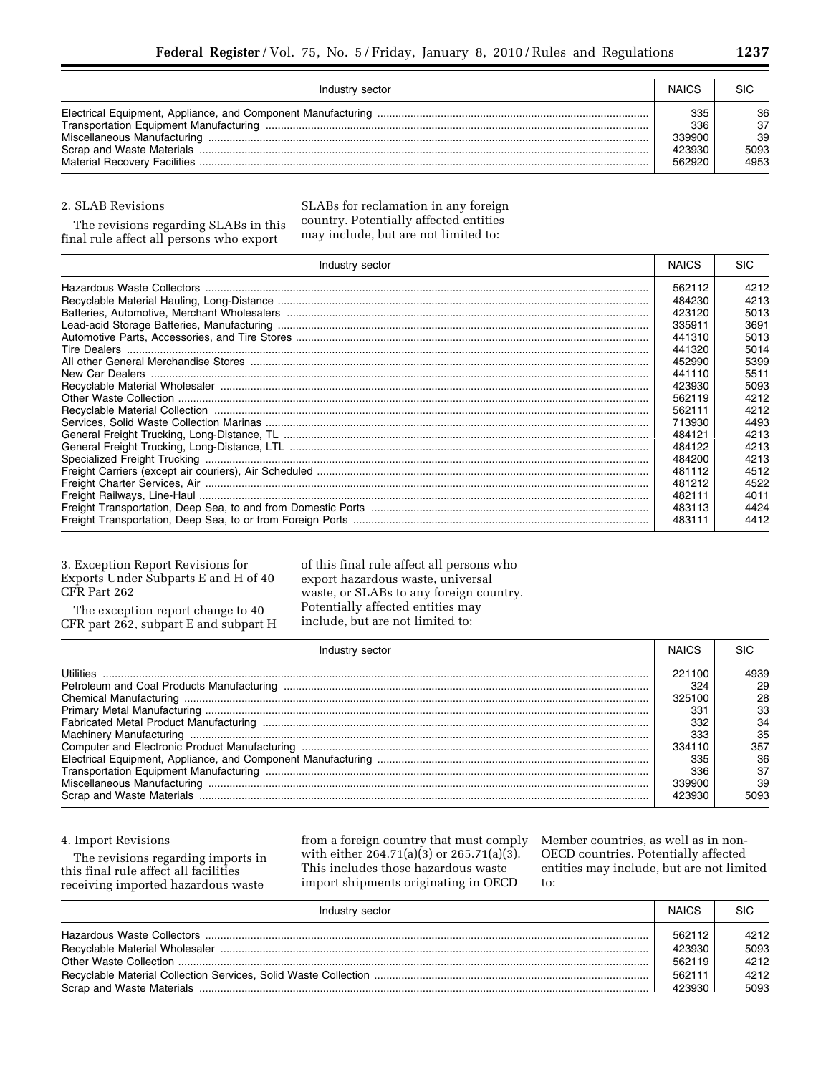| Industry sector | <b>NAICS</b> | <b>SIC</b> |
|-----------------|--------------|------------|
|                 | 335          | 36         |
|                 | 336          | 37         |
|                 | 339900       | 39         |
|                 | 423930       | 5093       |
|                 | 562920       | 4953       |

#### 2. SLAB Revisions

The revisions regarding SLABs in this final rule affect all persons who export

SLABs for reclamation in any foreign country. Potentially affected entities may include, but are not limited to:

| Industry sector | <b>NAICS</b> | <b>SIC</b> |
|-----------------|--------------|------------|
|                 | 562112       | 4212       |
|                 | 484230       | 4213       |
|                 | 423120       | 5013       |
|                 | 335911       | 3691       |
|                 | 441310       | 5013       |
|                 | 441320       | 5014       |
|                 | 452990       | 5399       |
|                 | 441110       | 5511       |
|                 | 423930       | 5093       |
|                 | 562119       | 4212       |
|                 | 562111       | 4212       |
|                 | 713930       | 4493       |
|                 | 484121       | 4213       |
|                 | 484122       | 4213       |
|                 | 484200       | 4213       |
|                 | 481112       | 4512       |
|                 | 481212       | 4522       |
|                 | 482111       | 4011       |
|                 | 483113       | 4424       |
|                 | 483111       | 4412       |

## 3. Exception Report Revisions for Exports Under Subparts E and H of 40 CFR Part 262

The exception report change to 40 CFR part 262, subpart E and subpart H

of this final rule affect all persons who export hazardous waste, universal waste, or SLABs to any foreign country. Potentially affected entities may include, but are not limited to:

| Industry sector |        |      |
|-----------------|--------|------|
|                 | 221100 | 4939 |
|                 | 324    | 29   |
|                 | 325100 | 28   |
|                 | 331    | 33   |
|                 | 332    | 34   |
|                 | 333    | 35   |
|                 | 334110 | 357  |
|                 | 335    | 36   |
|                 | 336    | 37   |
|                 | 339900 | 39   |
|                 | 423930 | 5093 |

### 4. Import Revisions

The revisions regarding imports in this final rule affect all facilities receiving imported hazardous waste

from a foreign country that must comply with either 264.71(a)(3) or 265.71(a)(3). This includes those hazardous waste import shipments originating in OECD

Member countries, as well as in non-OECD countries. Potentially affected entities may include, but are not limited to:

| Industry sector | <b>NAICS</b> | <b>SIC</b> |
|-----------------|--------------|------------|
|                 | 562112       | 4212       |
|                 | 423930       | 5093       |
|                 | 562119       | 4212       |
|                 | 562111       | 4212       |
|                 | 423930       | 5093       |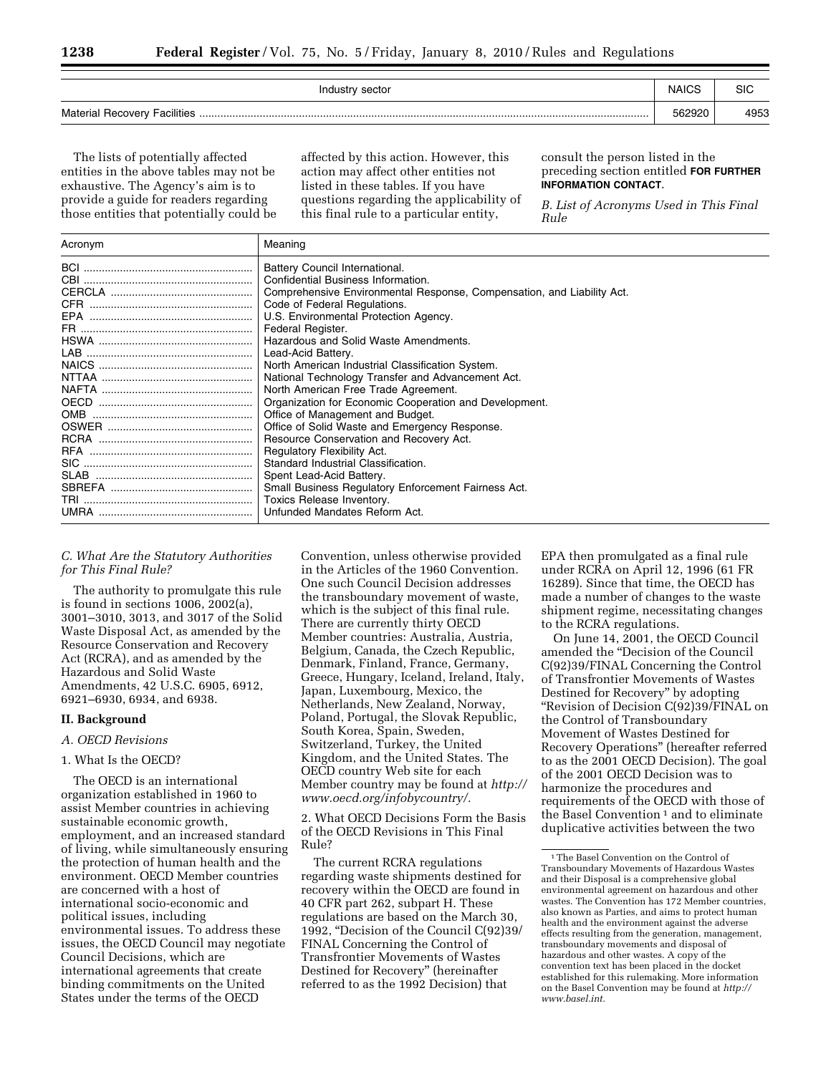| Industry sector | <b>NAICS</b> | SIC  |
|-----------------|--------------|------|
|                 | 562920       | 4953 |

The lists of potentially affected entities in the above tables may not be exhaustive. The Agency's aim is to provide a guide for readers regarding those entities that potentially could be affected by this action. However, this action may affect other entities not listed in these tables. If you have questions regarding the applicability of this final rule to a particular entity,

consult the person listed in the preceding section entitled **FOR FURTHER INFORMATION CONTACT**.

*B. List of Acronyms Used in This Final Rule* 

| Acronym | Meaning                                                                |
|---------|------------------------------------------------------------------------|
|         | Battery Council International.                                         |
|         | Confidential Business Information.                                     |
|         | Comprehensive Environmental Response, Compensation, and Liability Act. |
|         | Code of Federal Regulations.                                           |
|         | U.S. Environmental Protection Agency.                                  |
|         | Federal Register.                                                      |
|         | Hazardous and Solid Waste Amendments.                                  |
|         | Lead-Acid Battery.                                                     |
|         | North American Industrial Classification System.                       |
|         | National Technology Transfer and Advancement Act.                      |
|         | North American Free Trade Agreement.                                   |
|         | Organization for Economic Cooperation and Development.                 |
|         | Office of Management and Budget.                                       |
|         | Office of Solid Waste and Emergency Response.                          |
|         | Resource Conservation and Recovery Act.                                |
|         | Regulatory Flexibility Act.                                            |
|         | Standard Industrial Classification.                                    |
|         | Spent Lead-Acid Battery.                                               |
|         | Small Business Regulatory Enforcement Fairness Act.                    |
|         | Toxics Release Inventory.                                              |
|         | Unfunded Mandates Reform Act.                                          |

# *C. What Are the Statutory Authorities for This Final Rule?*

The authority to promulgate this rule is found in sections 1006, 2002(a), 3001–3010, 3013, and 3017 of the Solid Waste Disposal Act, as amended by the Resource Conservation and Recovery Act (RCRA), and as amended by the Hazardous and Solid Waste Amendments, 42 U.S.C. 6905, 6912, 6921–6930, 6934, and 6938.

## **II. Background**

## *A. OECD Revisions*

#### 1. What Is the OECD?

The OECD is an international organization established in 1960 to assist Member countries in achieving sustainable economic growth, employment, and an increased standard of living, while simultaneously ensuring the protection of human health and the environment. OECD Member countries are concerned with a host of international socio-economic and political issues, including environmental issues. To address these issues, the OECD Council may negotiate Council Decisions, which are international agreements that create binding commitments on the United States under the terms of the OECD

Convention, unless otherwise provided in the Articles of the 1960 Convention. One such Council Decision addresses the transboundary movement of waste, which is the subject of this final rule. There are currently thirty OECD Member countries: Australia, Austria, Belgium, Canada, the Czech Republic, Denmark, Finland, France, Germany, Greece, Hungary, Iceland, Ireland, Italy, Japan, Luxembourg, Mexico, the Netherlands, New Zealand, Norway, Poland, Portugal, the Slovak Republic, South Korea, Spain, Sweden, Switzerland, Turkey, the United Kingdom, and the United States. The OECD country Web site for each Member country may be found at *http:// www.oecd.org/infobycountry/.* 

2. What OECD Decisions Form the Basis of the OECD Revisions in This Final Rule?

The current RCRA regulations regarding waste shipments destined for recovery within the OECD are found in 40 CFR part 262, subpart H. These regulations are based on the March 30, 1992, ''Decision of the Council C(92)39/ FINAL Concerning the Control of Transfrontier Movements of Wastes Destined for Recovery'' (hereinafter referred to as the 1992 Decision) that

EPA then promulgated as a final rule under RCRA on April 12, 1996 (61 FR 16289). Since that time, the OECD has made a number of changes to the waste shipment regime, necessitating changes to the RCRA regulations.

On June 14, 2001, the OECD Council amended the ''Decision of the Council C(92)39/FINAL Concerning the Control of Transfrontier Movements of Wastes Destined for Recovery'' by adopting ''Revision of Decision C(92)39/FINAL on the Control of Transboundary Movement of Wastes Destined for Recovery Operations'' (hereafter referred to as the 2001 OECD Decision). The goal of the 2001 OECD Decision was to harmonize the procedures and requirements of the OECD with those of the Basel Convention<sup>1</sup> and to eliminate duplicative activities between the two

<sup>1</sup>The Basel Convention on the Control of Transboundary Movements of Hazardous Wastes and their Disposal is a comprehensive global environmental agreement on hazardous and other wastes. The Convention has 172 Member countries, also known as Parties, and aims to protect human health and the environment against the adverse effects resulting from the generation, management, transboundary movements and disposal of hazardous and other wastes. A copy of the convention text has been placed in the docket established for this rulemaking. More information on the Basel Convention may be found at *http:// www.basel.int.*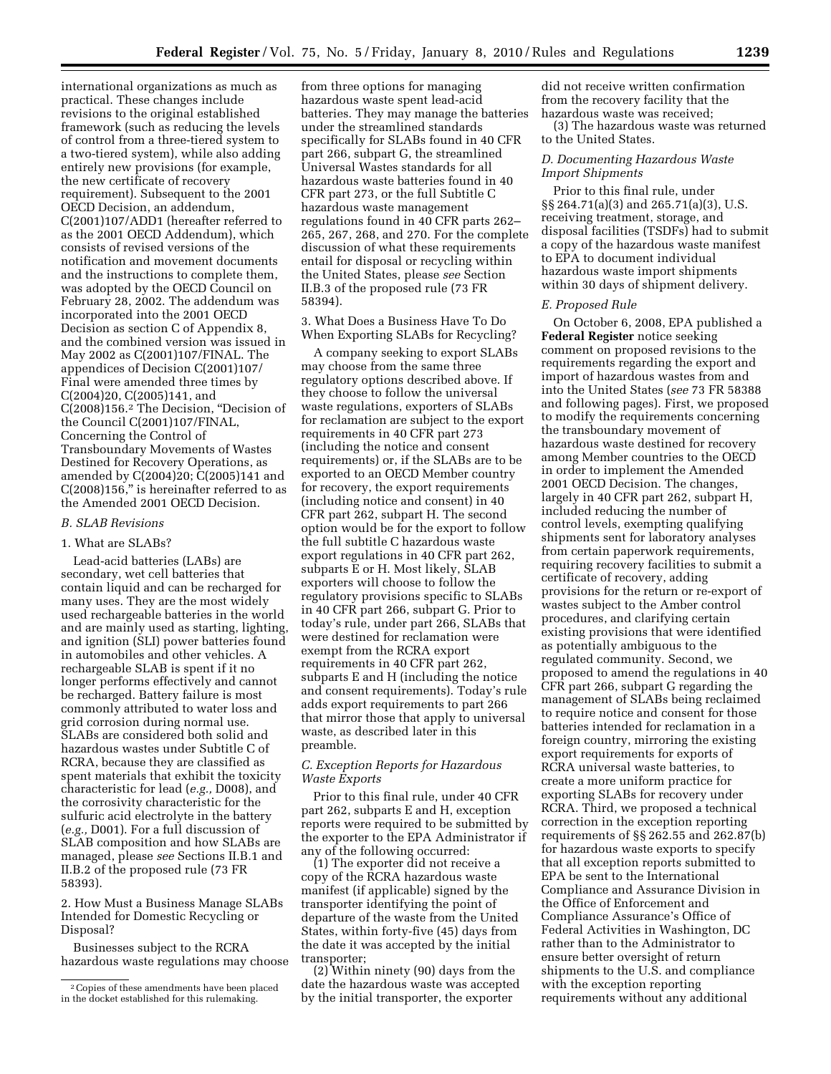international organizations as much as practical. These changes include revisions to the original established framework (such as reducing the levels of control from a three-tiered system to a two-tiered system), while also adding entirely new provisions (for example, the new certificate of recovery requirement). Subsequent to the 2001 OECD Decision, an addendum, C(2001)107/ADD1 (hereafter referred to as the 2001 OECD Addendum), which consists of revised versions of the notification and movement documents and the instructions to complete them, was adopted by the OECD Council on February 28, 2002. The addendum was incorporated into the 2001 OECD Decision as section C of Appendix 8, and the combined version was issued in May 2002 as C(2001)107/FINAL. The appendices of Decision C(2001)107/ Final were amended three times by C(2004)20, C(2005)141, and C(2008)156.2 The Decision, ''Decision of the Council C(2001)107/FINAL, Concerning the Control of Transboundary Movements of Wastes Destined for Recovery Operations, as amended by  $C(2004)20$ ;  $C(2005)141$  and C(2008)156,'' is hereinafter referred to as the Amended 2001 OECD Decision.

#### *B. SLAB Revisions*

#### 1. What are SLABs?

Lead-acid batteries (LABs) are secondary, wet cell batteries that contain liquid and can be recharged for many uses. They are the most widely used rechargeable batteries in the world and are mainly used as starting, lighting, and ignition (SLI) power batteries found in automobiles and other vehicles. A rechargeable SLAB is spent if it no longer performs effectively and cannot be recharged. Battery failure is most commonly attributed to water loss and grid corrosion during normal use. SLABs are considered both solid and hazardous wastes under Subtitle C of RCRA, because they are classified as spent materials that exhibit the toxicity characteristic for lead (*e.g.,* D008), and the corrosivity characteristic for the sulfuric acid electrolyte in the battery (*e.g.,* D001). For a full discussion of SLAB composition and how SLABs are managed, please *see* Sections II.B.1 and II.B.2 of the proposed rule (73 FR 58393).

2. How Must a Business Manage SLABs Intended for Domestic Recycling or Disposal?

Businesses subject to the RCRA hazardous waste regulations may choose

from three options for managing hazardous waste spent lead-acid batteries. They may manage the batteries under the streamlined standards specifically for SLABs found in 40 CFR part 266, subpart G, the streamlined Universal Wastes standards for all hazardous waste batteries found in 40 CFR part 273, or the full Subtitle C hazardous waste management regulations found in 40 CFR parts 262– 265, 267, 268, and 270. For the complete discussion of what these requirements entail for disposal or recycling within the United States, please *see* Section II.B.3 of the proposed rule (73 FR 58394).

3. What Does a Business Have To Do When Exporting SLABs for Recycling?

A company seeking to export SLABs may choose from the same three regulatory options described above. If they choose to follow the universal waste regulations, exporters of SLABs for reclamation are subject to the export requirements in 40 CFR part 273 (including the notice and consent requirements) or, if the SLABs are to be exported to an OECD Member country for recovery, the export requirements (including notice and consent) in 40 CFR part 262, subpart H. The second option would be for the export to follow the full subtitle C hazardous waste export regulations in 40 CFR part 262, subparts E or H. Most likely, SLAB exporters will choose to follow the regulatory provisions specific to SLABs in 40 CFR part 266, subpart G. Prior to today's rule, under part 266, SLABs that were destined for reclamation were exempt from the RCRA export requirements in 40 CFR part 262, subparts E and H (including the notice and consent requirements). Today's rule adds export requirements to part 266 that mirror those that apply to universal waste, as described later in this preamble.

## *C. Exception Reports for Hazardous Waste Exports*

Prior to this final rule, under 40 CFR part 262, subparts E and H, exception reports were required to be submitted by the exporter to the EPA Administrator if any of the following occurred:

(1) The exporter did not receive a copy of the RCRA hazardous waste manifest (if applicable) signed by the transporter identifying the point of departure of the waste from the United States, within forty-five (45) days from the date it was accepted by the initial transporter;

(2) Within ninety (90) days from the date the hazardous waste was accepted by the initial transporter, the exporter

did not receive written confirmation from the recovery facility that the hazardous waste was received;

(3) The hazardous waste was returned to the United States.

### *D. Documenting Hazardous Waste Import Shipments*

Prior to this final rule, under §§ 264.71(a)(3) and 265.71(a)(3), U.S. receiving treatment, storage, and disposal facilities (TSDFs) had to submit a copy of the hazardous waste manifest to EPA to document individual hazardous waste import shipments within 30 days of shipment delivery.

#### *E. Proposed Rule*

On October 6, 2008, EPA published a **Federal Register** notice seeking comment on proposed revisions to the requirements regarding the export and import of hazardous wastes from and into the United States (*see* 73 FR 58388 and following pages). First, we proposed to modify the requirements concerning the transboundary movement of hazardous waste destined for recovery among Member countries to the OECD in order to implement the Amended 2001 OECD Decision. The changes, largely in 40 CFR part 262, subpart H, included reducing the number of control levels, exempting qualifying shipments sent for laboratory analyses from certain paperwork requirements, requiring recovery facilities to submit a certificate of recovery, adding provisions for the return or re-export of wastes subject to the Amber control procedures, and clarifying certain existing provisions that were identified as potentially ambiguous to the regulated community. Second, we proposed to amend the regulations in 40 CFR part 266, subpart G regarding the management of SLABs being reclaimed to require notice and consent for those batteries intended for reclamation in a foreign country, mirroring the existing export requirements for exports of RCRA universal waste batteries, to create a more uniform practice for exporting SLABs for recovery under RCRA. Third, we proposed a technical correction in the exception reporting requirements of §§ 262.55 and 262.87(b) for hazardous waste exports to specify that all exception reports submitted to EPA be sent to the International Compliance and Assurance Division in the Office of Enforcement and Compliance Assurance's Office of Federal Activities in Washington, DC rather than to the Administrator to ensure better oversight of return shipments to the U.S. and compliance with the exception reporting requirements without any additional

<sup>2</sup>Copies of these amendments have been placed in the docket established for this rulemaking.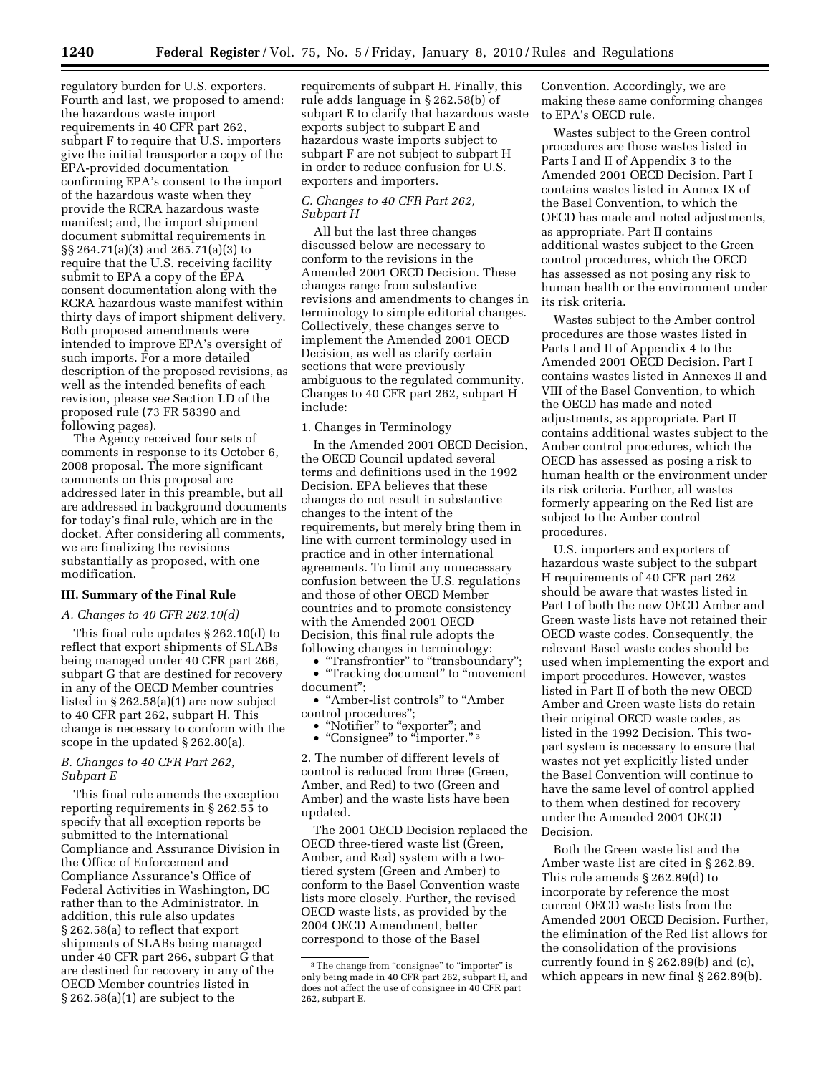regulatory burden for U.S. exporters. Fourth and last, we proposed to amend: the hazardous waste import requirements in 40 CFR part 262, subpart F to require that U.S. importers give the initial transporter a copy of the EPA-provided documentation confirming EPA's consent to the import of the hazardous waste when they provide the RCRA hazardous waste manifest; and, the import shipment document submittal requirements in §§ 264.71(a)(3) and 265.71(a)(3) to require that the U.S. receiving facility submit to EPA a copy of the EPA consent documentation along with the RCRA hazardous waste manifest within thirty days of import shipment delivery. Both proposed amendments were intended to improve EPA's oversight of such imports. For a more detailed description of the proposed revisions, as well as the intended benefits of each revision, please *see* Section I.D of the proposed rule (73 FR 58390 and following pages).

The Agency received four sets of comments in response to its October 6, 2008 proposal. The more significant comments on this proposal are addressed later in this preamble, but all are addressed in background documents for today's final rule, which are in the docket. After considering all comments, we are finalizing the revisions substantially as proposed, with one modification.

## **III. Summary of the Final Rule**

#### *A. Changes to 40 CFR 262.10(d)*

This final rule updates § 262.10(d) to reflect that export shipments of SLABs being managed under 40 CFR part 266, subpart G that are destined for recovery in any of the OECD Member countries listed in § 262.58(a)(1) are now subject to 40 CFR part 262, subpart H. This change is necessary to conform with the scope in the updated § 262.80(a).

### *B. Changes to 40 CFR Part 262, Subpart E*

This final rule amends the exception reporting requirements in § 262.55 to specify that all exception reports be submitted to the International Compliance and Assurance Division in the Office of Enforcement and Compliance Assurance's Office of Federal Activities in Washington, DC rather than to the Administrator. In addition, this rule also updates § 262.58(a) to reflect that export shipments of SLABs being managed under 40 CFR part 266, subpart G that are destined for recovery in any of the OECD Member countries listed in § 262.58(a)(1) are subject to the

requirements of subpart H. Finally, this rule adds language in § 262.58(b) of subpart E to clarify that hazardous waste exports subject to subpart E and hazardous waste imports subject to subpart F are not subject to subpart H in order to reduce confusion for U.S. exporters and importers.

## *C. Changes to 40 CFR Part 262, Subpart H*

All but the last three changes discussed below are necessary to conform to the revisions in the Amended 2001 OECD Decision. These changes range from substantive revisions and amendments to changes in terminology to simple editorial changes. Collectively, these changes serve to implement the Amended 2001 OECD Decision, as well as clarify certain sections that were previously ambiguous to the regulated community. Changes to 40 CFR part 262, subpart H include:

## 1. Changes in Terminology

In the Amended 2001 OECD Decision, the OECD Council updated several terms and definitions used in the 1992 Decision. EPA believes that these changes do not result in substantive changes to the intent of the requirements, but merely bring them in line with current terminology used in practice and in other international agreements. To limit any unnecessary confusion between the U.S. regulations and those of other OECD Member countries and to promote consistency with the Amended 2001 OECD Decision, this final rule adopts the following changes in terminology:

• ''Transfrontier'' to ''transboundary''; • ''Tracking document'' to ''movement document'';

• ''Amber-list controls'' to ''Amber control procedures'';

• "Notifier" to "exporter"; and • "Consignee" to "importer."<sup>3</sup>

2. The number of different levels of control is reduced from three (Green, Amber, and Red) to two (Green and Amber) and the waste lists have been updated.

The 2001 OECD Decision replaced the OECD three-tiered waste list (Green, Amber, and Red) system with a twotiered system (Green and Amber) to conform to the Basel Convention waste lists more closely. Further, the revised OECD waste lists, as provided by the 2004 OECD Amendment, better correspond to those of the Basel

Convention. Accordingly, we are making these same conforming changes to EPA's OECD rule.

Wastes subject to the Green control procedures are those wastes listed in Parts I and II of Appendix 3 to the Amended 2001 OECD Decision. Part I contains wastes listed in Annex IX of the Basel Convention, to which the OECD has made and noted adjustments, as appropriate. Part II contains additional wastes subject to the Green control procedures, which the OECD has assessed as not posing any risk to human health or the environment under its risk criteria.

Wastes subject to the Amber control procedures are those wastes listed in Parts I and II of Appendix 4 to the Amended 2001 OECD Decision. Part I contains wastes listed in Annexes II and VIII of the Basel Convention, to which the OECD has made and noted adjustments, as appropriate. Part II contains additional wastes subject to the Amber control procedures, which the OECD has assessed as posing a risk to human health or the environment under its risk criteria. Further, all wastes formerly appearing on the Red list are subject to the Amber control procedures.

U.S. importers and exporters of hazardous waste subject to the subpart H requirements of 40 CFR part 262 should be aware that wastes listed in Part I of both the new OECD Amber and Green waste lists have not retained their OECD waste codes. Consequently, the relevant Basel waste codes should be used when implementing the export and import procedures. However, wastes listed in Part II of both the new OECD Amber and Green waste lists do retain their original OECD waste codes, as listed in the 1992 Decision. This twopart system is necessary to ensure that wastes not yet explicitly listed under the Basel Convention will continue to have the same level of control applied to them when destined for recovery under the Amended 2001 OECD Decision.

Both the Green waste list and the Amber waste list are cited in § 262.89. This rule amends § 262.89(d) to incorporate by reference the most current OECD waste lists from the Amended 2001 OECD Decision. Further, the elimination of the Red list allows for the consolidation of the provisions currently found in § 262.89(b) and (c), which appears in new final § 262.89(b).

<sup>&</sup>lt;sup>3</sup>The change from "consignee" to "importer" is only being made in 40 CFR part 262, subpart H, and does not affect the use of consignee in 40 CFR part 262, subpart E.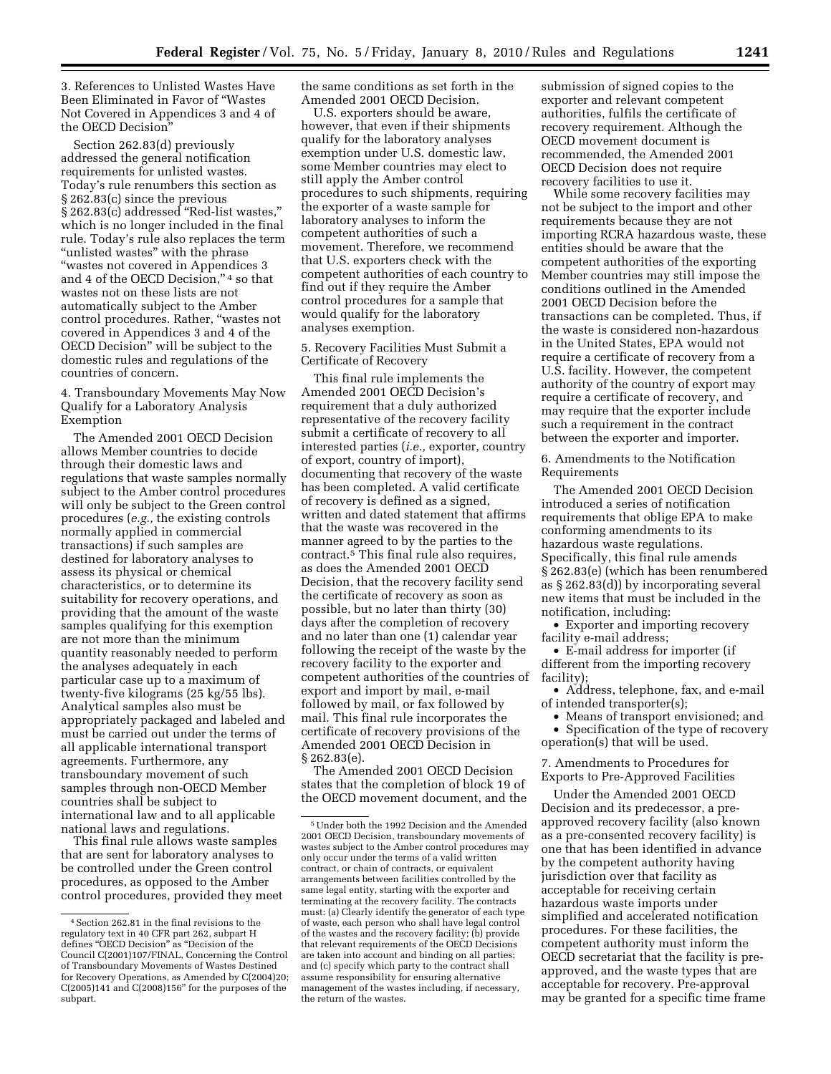3. References to Unlisted Wastes Have Been Eliminated in Favor of ''Wastes Not Covered in Appendices 3 and 4 of the OECD Decision''

Section 262.83(d) previously addressed the general notification requirements for unlisted wastes. Today's rule renumbers this section as § 262.83(c) since the previous § 262.83(c) addressed ''Red-list wastes,'' which is no longer included in the final rule. Today's rule also replaces the term ''unlisted wastes'' with the phrase ''wastes not covered in Appendices 3 and 4 of the OECD Decision,"<sup>4</sup> so that wastes not on these lists are not automatically subject to the Amber control procedures. Rather, ''wastes not covered in Appendices 3 and 4 of the OECD Decision'' will be subject to the domestic rules and regulations of the countries of concern.

4. Transboundary Movements May Now Qualify for a Laboratory Analysis Exemption

The Amended 2001 OECD Decision allows Member countries to decide through their domestic laws and regulations that waste samples normally subject to the Amber control procedures will only be subject to the Green control procedures (*e.g.,* the existing controls normally applied in commercial transactions) if such samples are destined for laboratory analyses to assess its physical or chemical characteristics, or to determine its suitability for recovery operations, and providing that the amount of the waste samples qualifying for this exemption are not more than the minimum quantity reasonably needed to perform the analyses adequately in each particular case up to a maximum of twenty-five kilograms (25 kg/55 lbs). Analytical samples also must be appropriately packaged and labeled and must be carried out under the terms of all applicable international transport agreements. Furthermore, any transboundary movement of such samples through non-OECD Member countries shall be subject to international law and to all applicable national laws and regulations.

This final rule allows waste samples that are sent for laboratory analyses to be controlled under the Green control procedures, as opposed to the Amber control procedures, provided they meet the same conditions as set forth in the Amended 2001 OECD Decision.

U.S. exporters should be aware, however, that even if their shipments qualify for the laboratory analyses exemption under U.S. domestic law, some Member countries may elect to still apply the Amber control procedures to such shipments, requiring the exporter of a waste sample for laboratory analyses to inform the competent authorities of such a movement. Therefore, we recommend that U.S. exporters check with the competent authorities of each country to find out if they require the Amber control procedures for a sample that would qualify for the laboratory analyses exemption.

5. Recovery Facilities Must Submit a Certificate of Recovery

This final rule implements the Amended 2001 OECD Decision's requirement that a duly authorized representative of the recovery facility submit a certificate of recovery to all interested parties (*i.e.,* exporter, country of export, country of import), documenting that recovery of the waste has been completed. A valid certificate of recovery is defined as a signed, written and dated statement that affirms that the waste was recovered in the manner agreed to by the parties to the contract.5 This final rule also requires, as does the Amended 2001 OECD Decision, that the recovery facility send the certificate of recovery as soon as possible, but no later than thirty (30) days after the completion of recovery and no later than one (1) calendar year following the receipt of the waste by the recovery facility to the exporter and competent authorities of the countries of export and import by mail, e-mail followed by mail, or fax followed by mail. This final rule incorporates the certificate of recovery provisions of the Amended 2001 OECD Decision in § 262.83(e).

The Amended 2001 OECD Decision states that the completion of block 19 of the OECD movement document, and the submission of signed copies to the exporter and relevant competent authorities, fulfils the certificate of recovery requirement. Although the OECD movement document is recommended, the Amended 2001 OECD Decision does not require recovery facilities to use it.

While some recovery facilities may not be subject to the import and other requirements because they are not importing RCRA hazardous waste, these entities should be aware that the competent authorities of the exporting Member countries may still impose the conditions outlined in the Amended 2001 OECD Decision before the transactions can be completed. Thus, if the waste is considered non-hazardous in the United States, EPA would not require a certificate of recovery from a U.S. facility. However, the competent authority of the country of export may require a certificate of recovery, and may require that the exporter include such a requirement in the contract between the exporter and importer.

6. Amendments to the Notification Requirements

The Amended 2001 OECD Decision introduced a series of notification requirements that oblige EPA to make conforming amendments to its hazardous waste regulations. Specifically, this final rule amends § 262.83(e) (which has been renumbered as § 262.83(d)) by incorporating several new items that must be included in the notification, including:

• Exporter and importing recovery facility e-mail address;

• E-mail address for importer (if different from the importing recovery facility);

• Address, telephone, fax, and e-mail of intended transporter(s);

• Means of transport envisioned; and

• Specification of the type of recovery operation(s) that will be used.

7. Amendments to Procedures for Exports to Pre-Approved Facilities

Under the Amended 2001 OECD Decision and its predecessor, a preapproved recovery facility (also known as a pre-consented recovery facility) is one that has been identified in advance by the competent authority having jurisdiction over that facility as acceptable for receiving certain hazardous waste imports under simplified and accelerated notification procedures. For these facilities, the competent authority must inform the OECD secretariat that the facility is preapproved, and the waste types that are acceptable for recovery. Pre-approval may be granted for a specific time frame

<sup>4</sup>Section 262.81 in the final revisions to the regulatory text in 40 CFR part 262, subpart H defines "OECD Decision" as "Decision of the Council C(2001)107/FINAL, Concerning the Control of Transboundary Movements of Wastes Destined for Recovery Operations, as Amended by C(2004)20; C(2005)141 and C(2008)156'' for the purposes of the subpart.

<sup>5</sup>Under both the 1992 Decision and the Amended 2001 OECD Decision, transboundary movements of wastes subject to the Amber control procedures may only occur under the terms of a valid written contract, or chain of contracts, or equivalent arrangements between facilities controlled by the same legal entity, starting with the exporter and terminating at the recovery facility. The contracts must: (a) Clearly identify the generator of each type of waste, each person who shall have legal control of the wastes and the recovery facility; (b) provide that relevant requirements of the OECD Decisions are taken into account and binding on all parties; and (c) specify which party to the contract shall assume responsibility for ensuring alternative management of the wastes including, if necessary, the return of the wastes.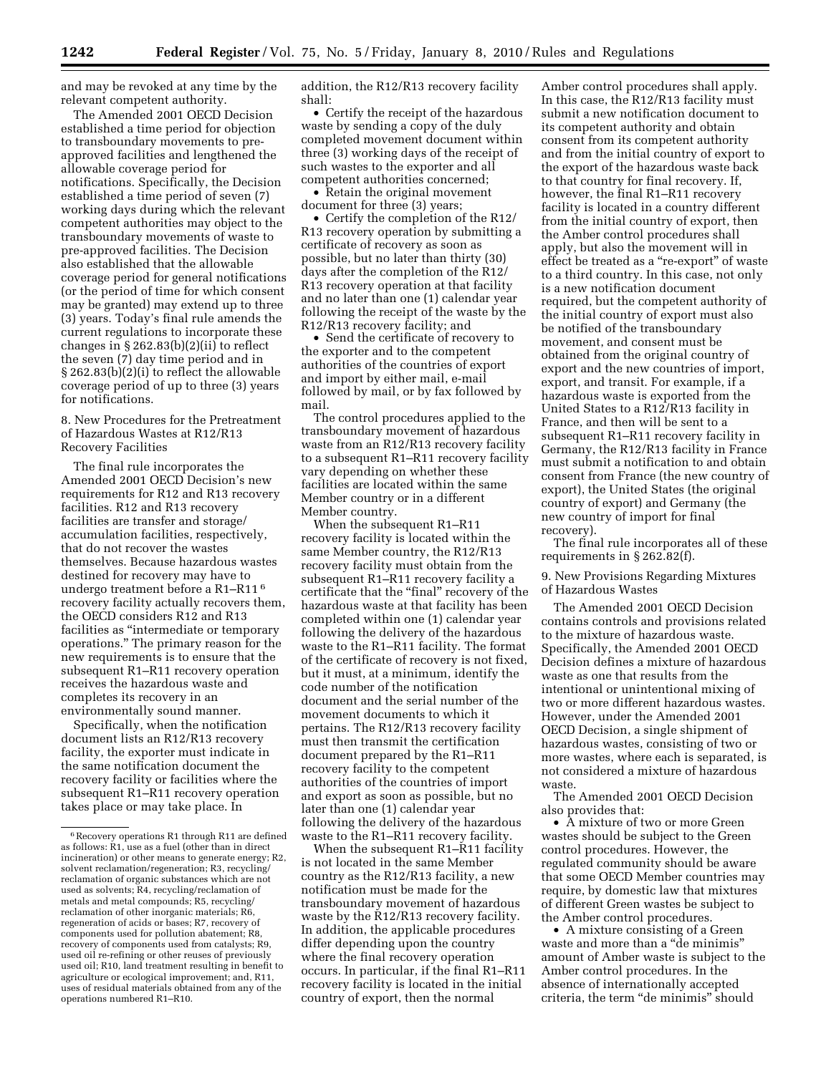and may be revoked at any time by the relevant competent authority.

The Amended 2001 OECD Decision established a time period for objection to transboundary movements to preapproved facilities and lengthened the allowable coverage period for notifications. Specifically, the Decision established a time period of seven (7) working days during which the relevant competent authorities may object to the transboundary movements of waste to pre-approved facilities. The Decision also established that the allowable coverage period for general notifications (or the period of time for which consent may be granted) may extend up to three (3) years. Today's final rule amends the current regulations to incorporate these changes in § 262.83(b)(2)(ii) to reflect the seven (7) day time period and in § 262.83(b)(2)(i) to reflect the allowable coverage period of up to three (3) years for notifications.

8. New Procedures for the Pretreatment of Hazardous Wastes at R12/R13 Recovery Facilities

The final rule incorporates the Amended 2001 OECD Decision's new requirements for R12 and R13 recovery facilities. R12 and R13 recovery facilities are transfer and storage/ accumulation facilities, respectively, that do not recover the wastes themselves. Because hazardous wastes destined for recovery may have to undergo treatment before a R1–R11 6 recovery facility actually recovers them, the OECD considers R12 and R13 facilities as "intermediate or temporary operations.'' The primary reason for the new requirements is to ensure that the subsequent R1–R11 recovery operation receives the hazardous waste and completes its recovery in an environmentally sound manner.

Specifically, when the notification document lists an R12/R13 recovery facility, the exporter must indicate in the same notification document the recovery facility or facilities where the subsequent R1–R11 recovery operation takes place or may take place. In

addition, the R12/R13 recovery facility shall:

• Certify the receipt of the hazardous waste by sending a copy of the duly completed movement document within three (3) working days of the receipt of such wastes to the exporter and all competent authorities concerned;

• Retain the original movement document for three (3) years;

• Certify the completion of the R12/ R13 recovery operation by submitting a certificate of recovery as soon as possible, but no later than thirty (30) days after the completion of the R12/ R13 recovery operation at that facility and no later than one (1) calendar year following the receipt of the waste by the R12/R13 recovery facility; and

• Send the certificate of recovery to the exporter and to the competent authorities of the countries of export and import by either mail, e-mail followed by mail, or by fax followed by mail.

The control procedures applied to the transboundary movement of hazardous waste from an R12/R13 recovery facility to a subsequent R1–R11 recovery facility vary depending on whether these facilities are located within the same Member country or in a different Member country.

When the subsequent R1–R11 recovery facility is located within the same Member country, the R12/R13 recovery facility must obtain from the subsequent R1–R11 recovery facility a certificate that the "final" recovery of the hazardous waste at that facility has been completed within one (1) calendar year following the delivery of the hazardous waste to the R1–R11 facility. The format of the certificate of recovery is not fixed, but it must, at a minimum, identify the code number of the notification document and the serial number of the movement documents to which it pertains. The R12/R13 recovery facility must then transmit the certification document prepared by the R1–R11 recovery facility to the competent authorities of the countries of import and export as soon as possible, but no later than one (1) calendar year following the delivery of the hazardous waste to the R1–R11 recovery facility.

When the subsequent R1–R11 facility is not located in the same Member country as the R12/R13 facility, a new notification must be made for the transboundary movement of hazardous waste by the R12/R13 recovery facility. In addition, the applicable procedures differ depending upon the country where the final recovery operation occurs. In particular, if the final R1–R11 recovery facility is located in the initial country of export, then the normal

Amber control procedures shall apply. In this case, the R12/R13 facility must submit a new notification document to its competent authority and obtain consent from its competent authority and from the initial country of export to the export of the hazardous waste back to that country for final recovery. If, however, the final R1–R11 recovery facility is located in a country different from the initial country of export, then the Amber control procedures shall apply, but also the movement will in effect be treated as a ''re-export'' of waste to a third country. In this case, not only is a new notification document required, but the competent authority of the initial country of export must also be notified of the transboundary movement, and consent must be obtained from the original country of export and the new countries of import, export, and transit. For example, if a hazardous waste is exported from the United States to a R12/R13 facility in France, and then will be sent to a subsequent R1–R11 recovery facility in Germany, the R12/R13 facility in France must submit a notification to and obtain consent from France (the new country of export), the United States (the original country of export) and Germany (the new country of import for final recovery).

The final rule incorporates all of these requirements in § 262.82(f).

9. New Provisions Regarding Mixtures of Hazardous Wastes

The Amended 2001 OECD Decision contains controls and provisions related to the mixture of hazardous waste. Specifically, the Amended 2001 OECD Decision defines a mixture of hazardous waste as one that results from the intentional or unintentional mixing of two or more different hazardous wastes. However, under the Amended 2001 OECD Decision, a single shipment of hazardous wastes, consisting of two or more wastes, where each is separated, is not considered a mixture of hazardous waste.

The Amended 2001 OECD Decision also provides that:

• A mixture of two or more Green wastes should be subject to the Green control procedures. However, the regulated community should be aware that some OECD Member countries may require, by domestic law that mixtures of different Green wastes be subject to the Amber control procedures.

• A mixture consisting of a Green waste and more than a ''de minimis'' amount of Amber waste is subject to the Amber control procedures. In the absence of internationally accepted criteria, the term ''de minimis'' should

<sup>6</sup>Recovery operations R1 through R11 are defined as follows: R1, use as a fuel (other than in direct incineration) or other means to generate energy; R2, solvent reclamation/regeneration; R3, recycling/ reclamation of organic substances which are not used as solvents; R4, recycling/reclamation of metals and metal compounds; R5, recycling/ reclamation of other inorganic materials; R6, regeneration of acids or bases; R7, recovery of components used for pollution abatement; R8, recovery of components used from catalysts; R9, used oil re-refining or other reuses of previously used oil; R10, land treatment resulting in benefit to agriculture or ecological improvement; and, R11, uses of residual materials obtained from any of the operations numbered R1–R10.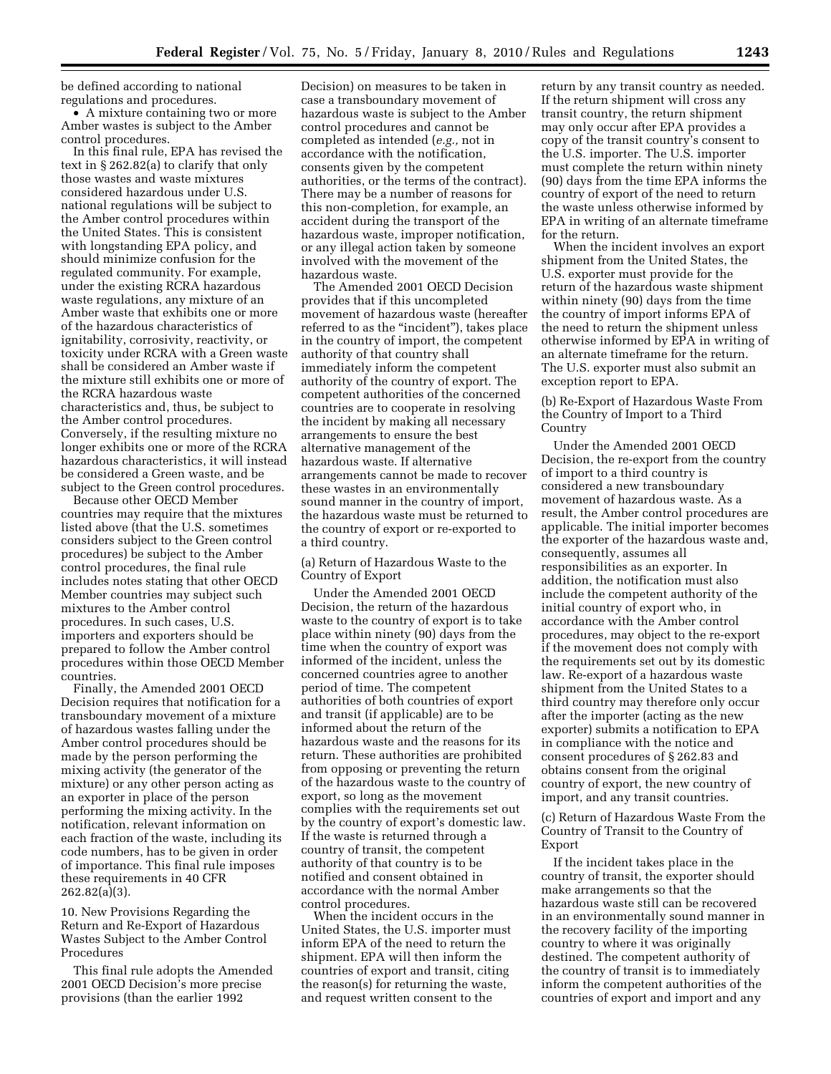be defined according to national regulations and procedures.

• A mixture containing two or more Amber wastes is subject to the Amber control procedures.

In this final rule, EPA has revised the text in § 262.82(a) to clarify that only those wastes and waste mixtures considered hazardous under U.S. national regulations will be subject to the Amber control procedures within the United States. This is consistent with longstanding EPA policy, and should minimize confusion for the regulated community. For example, under the existing RCRA hazardous waste regulations, any mixture of an Amber waste that exhibits one or more of the hazardous characteristics of ignitability, corrosivity, reactivity, or toxicity under RCRA with a Green waste shall be considered an Amber waste if the mixture still exhibits one or more of the RCRA hazardous waste characteristics and, thus, be subject to the Amber control procedures. Conversely, if the resulting mixture no longer exhibits one or more of the RCRA hazardous characteristics, it will instead be considered a Green waste, and be subject to the Green control procedures.

Because other OECD Member countries may require that the mixtures listed above (that the U.S. sometimes considers subject to the Green control procedures) be subject to the Amber control procedures, the final rule includes notes stating that other OECD Member countries may subject such mixtures to the Amber control procedures. In such cases, U.S. importers and exporters should be prepared to follow the Amber control procedures within those OECD Member countries.

Finally, the Amended 2001 OECD Decision requires that notification for a transboundary movement of a mixture of hazardous wastes falling under the Amber control procedures should be made by the person performing the mixing activity (the generator of the mixture) or any other person acting as an exporter in place of the person performing the mixing activity. In the notification, relevant information on each fraction of the waste, including its code numbers, has to be given in order of importance. This final rule imposes these requirements in 40 CFR 262.82(a)(3).

10. New Provisions Regarding the Return and Re-Export of Hazardous Wastes Subject to the Amber Control Procedures

This final rule adopts the Amended 2001 OECD Decision's more precise provisions (than the earlier 1992

Decision) on measures to be taken in case a transboundary movement of hazardous waste is subject to the Amber control procedures and cannot be completed as intended (*e.g.,* not in accordance with the notification, consents given by the competent authorities, or the terms of the contract). There may be a number of reasons for this non-completion, for example, an accident during the transport of the hazardous waste, improper notification, or any illegal action taken by someone involved with the movement of the hazardous waste.

The Amended 2001 OECD Decision provides that if this uncompleted movement of hazardous waste (hereafter referred to as the ''incident''), takes place in the country of import, the competent authority of that country shall immediately inform the competent authority of the country of export. The competent authorities of the concerned countries are to cooperate in resolving the incident by making all necessary arrangements to ensure the best alternative management of the hazardous waste. If alternative arrangements cannot be made to recover these wastes in an environmentally sound manner in the country of import, the hazardous waste must be returned to the country of export or re-exported to a third country.

(a) Return of Hazardous Waste to the Country of Export

Under the Amended 2001 OECD Decision, the return of the hazardous waste to the country of export is to take place within ninety (90) days from the time when the country of export was informed of the incident, unless the concerned countries agree to another period of time. The competent authorities of both countries of export and transit (if applicable) are to be informed about the return of the hazardous waste and the reasons for its return. These authorities are prohibited from opposing or preventing the return of the hazardous waste to the country of export, so long as the movement complies with the requirements set out by the country of export's domestic law. If the waste is returned through a country of transit, the competent authority of that country is to be notified and consent obtained in accordance with the normal Amber control procedures.

When the incident occurs in the United States, the U.S. importer must inform EPA of the need to return the shipment. EPA will then inform the countries of export and transit, citing the reason(s) for returning the waste, and request written consent to the

return by any transit country as needed. If the return shipment will cross any transit country, the return shipment may only occur after EPA provides a copy of the transit country's consent to the U.S. importer. The U.S. importer must complete the return within ninety (90) days from the time EPA informs the country of export of the need to return the waste unless otherwise informed by EPA in writing of an alternate timeframe for the return.

When the incident involves an export shipment from the United States, the U.S. exporter must provide for the return of the hazardous waste shipment within ninety (90) days from the time the country of import informs EPA of the need to return the shipment unless otherwise informed by EPA in writing of an alternate timeframe for the return. The U.S. exporter must also submit an exception report to EPA.

(b) Re-Export of Hazardous Waste From the Country of Import to a Third Country

Under the Amended 2001 OECD Decision, the re-export from the country of import to a third country is considered a new transboundary movement of hazardous waste. As a result, the Amber control procedures are applicable. The initial importer becomes the exporter of the hazardous waste and, consequently, assumes all responsibilities as an exporter. In addition, the notification must also include the competent authority of the initial country of export who, in accordance with the Amber control procedures, may object to the re-export if the movement does not comply with the requirements set out by its domestic law. Re-export of a hazardous waste shipment from the United States to a third country may therefore only occur after the importer (acting as the new exporter) submits a notification to EPA in compliance with the notice and consent procedures of § 262.83 and obtains consent from the original country of export, the new country of import, and any transit countries.

(c) Return of Hazardous Waste From the Country of Transit to the Country of Export

If the incident takes place in the country of transit, the exporter should make arrangements so that the hazardous waste still can be recovered in an environmentally sound manner in the recovery facility of the importing country to where it was originally destined. The competent authority of the country of transit is to immediately inform the competent authorities of the countries of export and import and any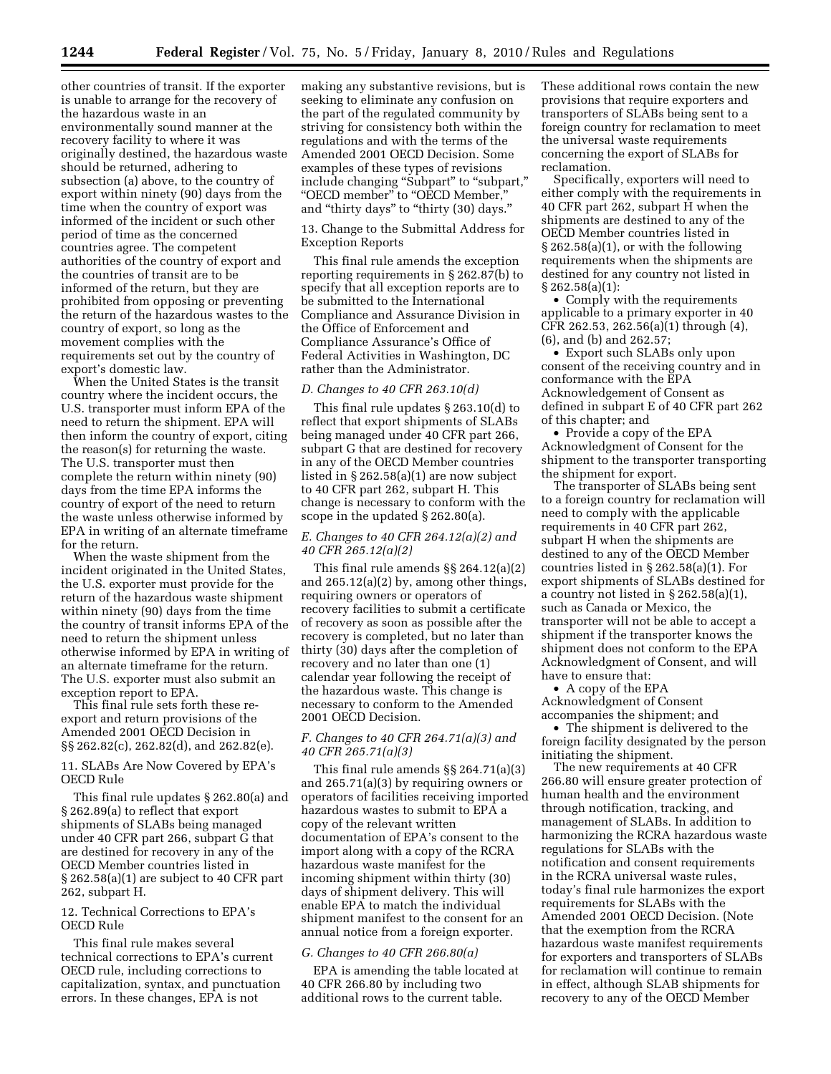other countries of transit. If the exporter is unable to arrange for the recovery of the hazardous waste in an environmentally sound manner at the recovery facility to where it was originally destined, the hazardous waste should be returned, adhering to subsection (a) above, to the country of export within ninety (90) days from the time when the country of export was informed of the incident or such other period of time as the concerned countries agree. The competent authorities of the country of export and the countries of transit are to be informed of the return, but they are prohibited from opposing or preventing the return of the hazardous wastes to the country of export, so long as the movement complies with the requirements set out by the country of export's domestic law.

When the United States is the transit country where the incident occurs, the U.S. transporter must inform EPA of the need to return the shipment. EPA will then inform the country of export, citing the reason(s) for returning the waste. The U.S. transporter must then complete the return within ninety (90) days from the time EPA informs the country of export of the need to return the waste unless otherwise informed by EPA in writing of an alternate timeframe for the return.

When the waste shipment from the incident originated in the United States, the U.S. exporter must provide for the return of the hazardous waste shipment within ninety (90) days from the time the country of transit informs EPA of the need to return the shipment unless otherwise informed by EPA in writing of an alternate timeframe for the return. The U.S. exporter must also submit an exception report to EPA.

This final rule sets forth these reexport and return provisions of the Amended 2001 OECD Decision in §§ 262.82(c), 262.82(d), and 262.82(e).

## 11. SLABs Are Now Covered by EPA's OECD Rule

This final rule updates § 262.80(a) and § 262.89(a) to reflect that export shipments of SLABs being managed under 40 CFR part 266, subpart G that are destined for recovery in any of the OECD Member countries listed in § 262.58(a)(1) are subject to 40 CFR part 262, subpart H.

## 12. Technical Corrections to EPA's OECD Rule

This final rule makes several technical corrections to EPA's current OECD rule, including corrections to capitalization, syntax, and punctuation errors. In these changes, EPA is not

making any substantive revisions, but is seeking to eliminate any confusion on the part of the regulated community by striving for consistency both within the regulations and with the terms of the Amended 2001 OECD Decision. Some examples of these types of revisions include changing "Subpart" to "subpart," ''OECD member'' to ''OECD Member,'' and ''thirty days'' to ''thirty (30) days.''

13. Change to the Submittal Address for Exception Reports

This final rule amends the exception reporting requirements in § 262.87(b) to specify that all exception reports are to be submitted to the International Compliance and Assurance Division in the Office of Enforcement and Compliance Assurance's Office of Federal Activities in Washington, DC rather than the Administrator.

#### *D. Changes to 40 CFR 263.10(d)*

This final rule updates § 263.10(d) to reflect that export shipments of SLABs being managed under 40 CFR part 266, subpart G that are destined for recovery in any of the OECD Member countries listed in § 262.58(a)(1) are now subject to 40 CFR part 262, subpart H. This change is necessary to conform with the scope in the updated § 262.80(a).

# *E. Changes to 40 CFR 264.12(a)(2) and 40 CFR 265.12(a)(2)*

This final rule amends §§ 264.12(a)(2) and 265.12(a)(2) by, among other things, requiring owners or operators of recovery facilities to submit a certificate of recovery as soon as possible after the recovery is completed, but no later than thirty (30) days after the completion of recovery and no later than one (1) calendar year following the receipt of the hazardous waste. This change is necessary to conform to the Amended 2001 OECD Decision.

# *F. Changes to 40 CFR 264.71(a)(3) and 40 CFR 265.71(a)(3)*

This final rule amends §§ 264.71(a)(3) and 265.71(a)(3) by requiring owners or operators of facilities receiving imported hazardous wastes to submit to EPA a copy of the relevant written documentation of EPA's consent to the import along with a copy of the RCRA hazardous waste manifest for the incoming shipment within thirty (30) days of shipment delivery. This will enable EPA to match the individual shipment manifest to the consent for an annual notice from a foreign exporter.

## *G. Changes to 40 CFR 266.80(a)*

EPA is amending the table located at 40 CFR 266.80 by including two additional rows to the current table.

These additional rows contain the new provisions that require exporters and transporters of SLABs being sent to a foreign country for reclamation to meet the universal waste requirements concerning the export of SLABs for reclamation.

Specifically, exporters will need to either comply with the requirements in 40 CFR part 262, subpart H when the shipments are destined to any of the OECD Member countries listed in  $\S 262.58(a)(1)$ , or with the following requirements when the shipments are destined for any country not listed in § 262.58(a)(1):

• Comply with the requirements applicable to a primary exporter in 40 CFR 262.53, 262.56(a)(1) through (4), (6), and (b) and 262.57;

• Export such SLABs only upon consent of the receiving country and in conformance with the EPA Acknowledgement of Consent as defined in subpart E of 40 CFR part 262 of this chapter; and

• Provide a copy of the EPA Acknowledgment of Consent for the shipment to the transporter transporting the shipment for export.

The transporter of SLABs being sent to a foreign country for reclamation will need to comply with the applicable requirements in 40 CFR part 262, subpart H when the shipments are destined to any of the OECD Member countries listed in § 262.58(a)(1). For export shipments of SLABs destined for a country not listed in § 262.58(a)(1), such as Canada or Mexico, the transporter will not be able to accept a shipment if the transporter knows the shipment does not conform to the EPA Acknowledgment of Consent, and will have to ensure that:

• A copy of the EPA Acknowledgment of Consent accompanies the shipment; and

• The shipment is delivered to the foreign facility designated by the person initiating the shipment.

The new requirements at 40 CFR 266.80 will ensure greater protection of human health and the environment through notification, tracking, and management of SLABs. In addition to harmonizing the RCRA hazardous waste regulations for SLABs with the notification and consent requirements in the RCRA universal waste rules, today's final rule harmonizes the export requirements for SLABs with the Amended 2001 OECD Decision. (Note that the exemption from the RCRA hazardous waste manifest requirements for exporters and transporters of SLABs for reclamation will continue to remain in effect, although SLAB shipments for recovery to any of the OECD Member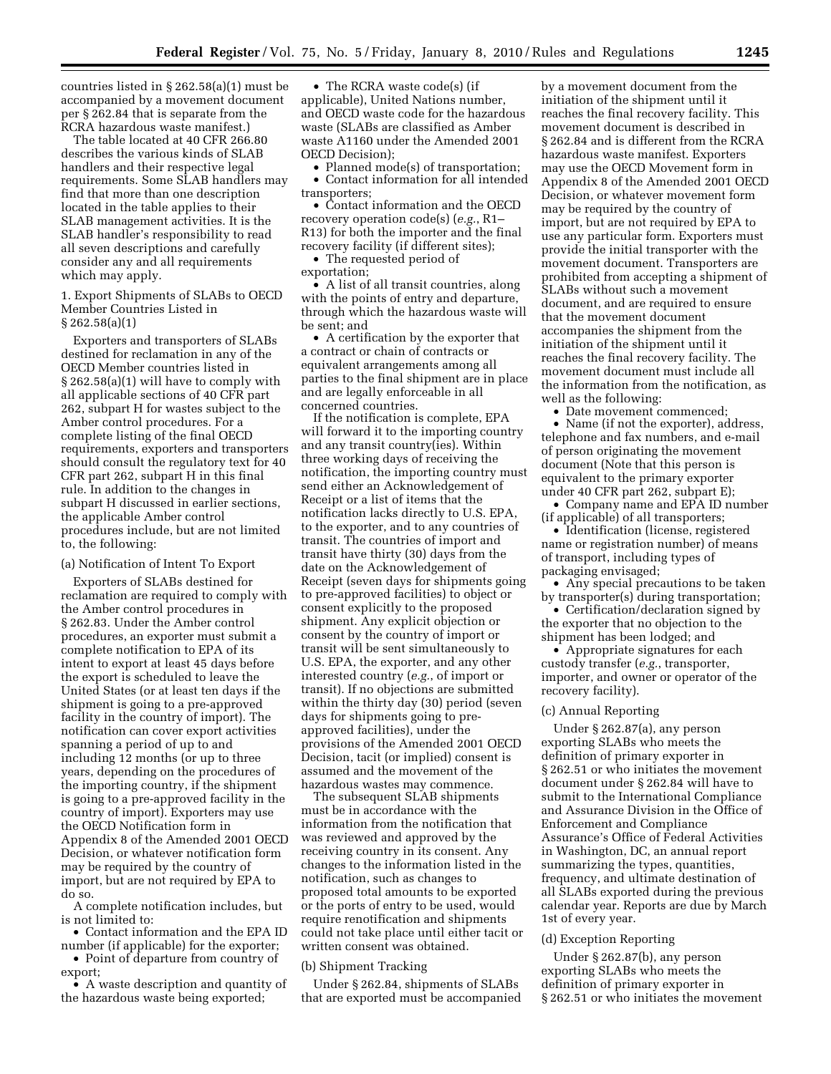countries listed in § 262.58(a)(1) must be accompanied by a movement document per § 262.84 that is separate from the RCRA hazardous waste manifest.)

The table located at 40 CFR 266.80 describes the various kinds of SLAB handlers and their respective legal requirements. Some SLAB handlers may find that more than one description located in the table applies to their SLAB management activities. It is the SLAB handler's responsibility to read all seven descriptions and carefully consider any and all requirements which may apply.

1. Export Shipments of SLABs to OECD Member Countries Listed in § 262.58(a)(1)

Exporters and transporters of SLABs destined for reclamation in any of the OECD Member countries listed in § 262.58(a)(1) will have to comply with all applicable sections of 40 CFR part 262, subpart H for wastes subject to the Amber control procedures. For a complete listing of the final OECD requirements, exporters and transporters should consult the regulatory text for 40 CFR part 262, subpart H in this final rule. In addition to the changes in subpart H discussed in earlier sections, the applicable Amber control procedures include, but are not limited to, the following:

#### (a) Notification of Intent To Export

Exporters of SLABs destined for reclamation are required to comply with the Amber control procedures in § 262.83. Under the Amber control procedures, an exporter must submit a complete notification to EPA of its intent to export at least 45 days before the export is scheduled to leave the United States (or at least ten days if the shipment is going to a pre-approved facility in the country of import). The notification can cover export activities spanning a period of up to and including 12 months (or up to three years, depending on the procedures of the importing country, if the shipment is going to a pre-approved facility in the country of import). Exporters may use the OECD Notification form in Appendix 8 of the Amended 2001 OECD Decision, or whatever notification form may be required by the country of import, but are not required by EPA to do so.

A complete notification includes, but is not limited to:

• Contact information and the EPA ID number (if applicable) for the exporter;

• Point of departure from country of export;

• A waste description and quantity of the hazardous waste being exported;

• The RCRA waste code(s) (if applicable), United Nations number, and OECD waste code for the hazardous waste (SLABs are classified as Amber waste A1160 under the Amended 2001 OECD Decision);

• Planned mode(s) of transportation; • Contact information for all intended transporters;

• Contact information and the OECD recovery operation code(s) (*e.g.*, R1– R13) for both the importer and the final recovery facility (if different sites);

• The requested period of

exportation;

• A list of all transit countries, along with the points of entry and departure, through which the hazardous waste will be sent; and

• A certification by the exporter that a contract or chain of contracts or equivalent arrangements among all parties to the final shipment are in place and are legally enforceable in all concerned countries.

If the notification is complete, EPA will forward it to the importing country and any transit country(ies). Within three working days of receiving the notification, the importing country must send either an Acknowledgement of Receipt or a list of items that the notification lacks directly to U.S. EPA, to the exporter, and to any countries of transit. The countries of import and transit have thirty (30) days from the date on the Acknowledgement of Receipt (seven days for shipments going to pre-approved facilities) to object or consent explicitly to the proposed shipment. Any explicit objection or consent by the country of import or transit will be sent simultaneously to U.S. EPA, the exporter, and any other interested country (*e.g.*, of import or transit). If no objections are submitted within the thirty day (30) period (seven days for shipments going to preapproved facilities), under the provisions of the Amended 2001 OECD Decision, tacit (or implied) consent is assumed and the movement of the hazardous wastes may commence.

The subsequent SLAB shipments must be in accordance with the information from the notification that was reviewed and approved by the receiving country in its consent. Any changes to the information listed in the notification, such as changes to proposed total amounts to be exported or the ports of entry to be used, would require renotification and shipments could not take place until either tacit or written consent was obtained.

## (b) Shipment Tracking

Under § 262.84, shipments of SLABs that are exported must be accompanied by a movement document from the initiation of the shipment until it reaches the final recovery facility. This movement document is described in § 262.84 and is different from the RCRA hazardous waste manifest. Exporters may use the OECD Movement form in Appendix 8 of the Amended 2001 OECD Decision, or whatever movement form may be required by the country of import, but are not required by EPA to use any particular form. Exporters must provide the initial transporter with the movement document. Transporters are prohibited from accepting a shipment of SLABs without such a movement document, and are required to ensure that the movement document accompanies the shipment from the initiation of the shipment until it reaches the final recovery facility. The movement document must include all the information from the notification, as well as the following:

• Date movement commenced;

• Name (if not the exporter), address, telephone and fax numbers, and e-mail of person originating the movement document (Note that this person is equivalent to the primary exporter under 40 CFR part 262, subpart E);

• Company name and EPA ID number (if applicable) of all transporters;

• Identification (license, registered name or registration number) of means of transport, including types of packaging envisaged;

• Any special precautions to be taken by transporter(s) during transportation;

• Certification/declaration signed by the exporter that no objection to the shipment has been lodged; and

• Appropriate signatures for each custody transfer (*e.g.*, transporter, importer, and owner or operator of the recovery facility).

#### (c) Annual Reporting

Under § 262.87(a), any person exporting SLABs who meets the definition of primary exporter in § 262.51 or who initiates the movement document under § 262.84 will have to submit to the International Compliance and Assurance Division in the Office of Enforcement and Compliance Assurance's Office of Federal Activities in Washington, DC, an annual report summarizing the types, quantities, frequency, and ultimate destination of all SLABs exported during the previous calendar year. Reports are due by March 1st of every year.

#### (d) Exception Reporting

Under § 262.87(b), any person exporting SLABs who meets the definition of primary exporter in § 262.51 or who initiates the movement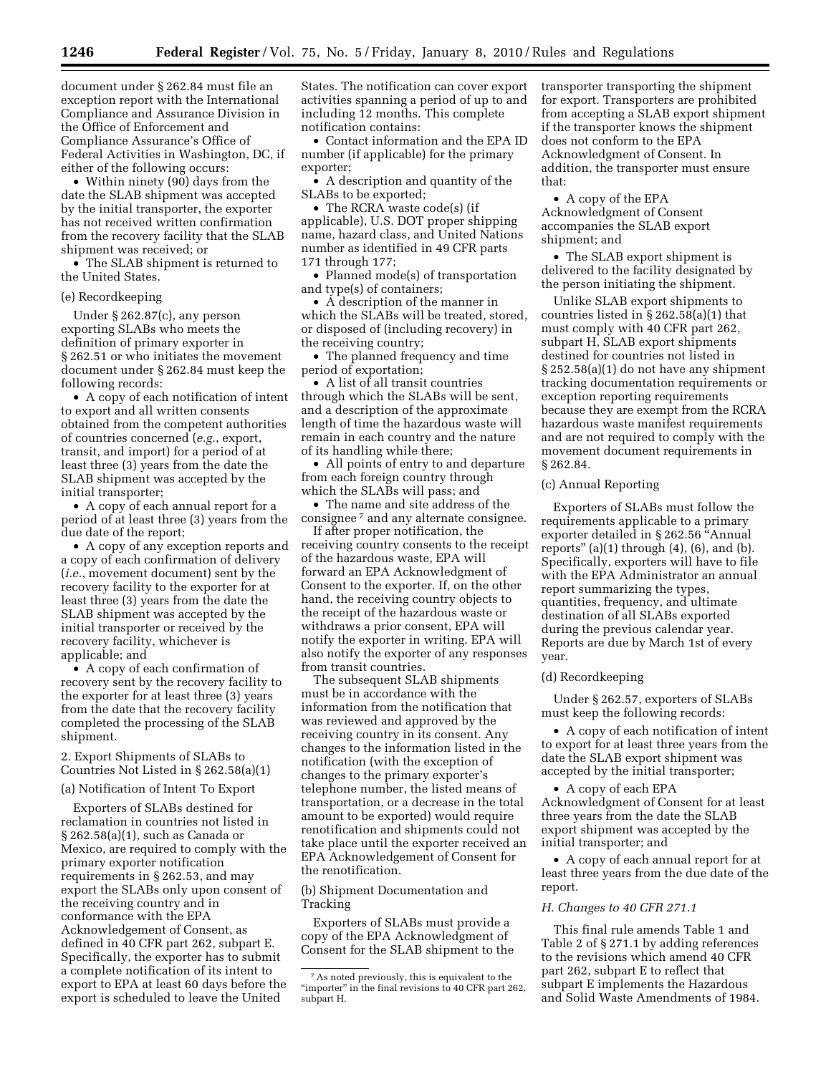document under § 262.84 must file an exception report with the International Compliance and Assurance Division in the Office of Enforcement and Compliance Assurance's Office of Federal Activities in Washington, DC, if either of the following occurs:

• Within ninety (90) days from the date the SLAB shipment was accepted by the initial transporter, the exporter has not received written confirmation from the recovery facility that the SLAB shipment was received; or

• The SLAB shipment is returned to the United States.

#### (e) Recordkeeping

Under § 262.87(c), any person exporting SLABs who meets the definition of primary exporter in § 262.51 or who initiates the movement document under § 262.84 must keep the following records:

• A copy of each notification of intent to export and all written consents obtained from the competent authorities of countries concerned (*e.g.*, export, transit, and import) for a period of at least three (3) years from the date the SLAB shipment was accepted by the initial transporter;

• A copy of each annual report for a period of at least three (3) years from the due date of the report;

• A copy of any exception reports and a copy of each confirmation of delivery (*i.e.*, movement document) sent by the recovery facility to the exporter for at least three (3) years from the date the SLAB shipment was accepted by the initial transporter or received by the recovery facility, whichever is applicable; and

• A copy of each confirmation of recovery sent by the recovery facility to the exporter for at least three (3) years from the date that the recovery facility completed the processing of the SLAB shipment.

## 2. Export Shipments of SLABs to Countries Not Listed in § 262.58(a)(1)

#### (a) Notification of Intent To Export

Exporters of SLABs destined for reclamation in countries not listed in § 262.58(a)(1), such as Canada or Mexico, are required to comply with the primary exporter notification requirements in § 262.53, and may export the SLABs only upon consent of the receiving country and in conformance with the EPA Acknowledgement of Consent, as defined in 40 CFR part 262, subpart E. Specifically, the exporter has to submit a complete notification of its intent to export to EPA at least 60 days before the export is scheduled to leave the United

States. The notification can cover export activities spanning a period of up to and including 12 months. This complete notification contains:

• Contact information and the EPA ID number (if applicable) for the primary exporter;

• A description and quantity of the SLABs to be exported;

• The RCRA waste code(s) (if applicable), U.S. DOT proper shipping name, hazard class, and United Nations number as identified in 49 CFR parts 171 through 177;

• Planned mode(s) of transportation and type(s) of containers;

• A description of the manner in which the SLABs will be treated, stored, or disposed of (including recovery) in the receiving country;

• The planned frequency and time period of exportation;

• A list of all transit countries through which the SLABs will be sent, and a description of the approximate length of time the hazardous waste will remain in each country and the nature of its handling while there;

• All points of entry to and departure from each foreign country through which the SLABs will pass; and

• The name and site address of the consignee 7 and any alternate consignee.

If after proper notification, the receiving country consents to the receipt of the hazardous waste, EPA will forward an EPA Acknowledgment of Consent to the exporter. If, on the other hand, the receiving country objects to the receipt of the hazardous waste or withdraws a prior consent, EPA will notify the exporter in writing. EPA will also notify the exporter of any responses from transit countries.

The subsequent SLAB shipments must be in accordance with the information from the notification that was reviewed and approved by the receiving country in its consent. Any changes to the information listed in the notification (with the exception of changes to the primary exporter's telephone number, the listed means of transportation, or a decrease in the total amount to be exported) would require renotification and shipments could not take place until the exporter received an EPA Acknowledgement of Consent for the renotification.

## (b) Shipment Documentation and Tracking

Exporters of SLABs must provide a copy of the EPA Acknowledgment of Consent for the SLAB shipment to the transporter transporting the shipment for export. Transporters are prohibited from accepting a SLAB export shipment if the transporter knows the shipment does not conform to the EPA Acknowledgment of Consent. In addition, the transporter must ensure that:

• A copy of the EPA Acknowledgment of Consent accompanies the SLAB export shipment; and

• The SLAB export shipment is delivered to the facility designated by the person initiating the shipment.

Unlike SLAB export shipments to countries listed in § 262.58(a)(1) that must comply with 40 CFR part 262, subpart H, SLAB export shipments destined for countries not listed in § 252.58(a)(1) do not have any shipment tracking documentation requirements or exception reporting requirements because they are exempt from the RCRA hazardous waste manifest requirements and are not required to comply with the movement document requirements in § 262.84.

#### (c) Annual Reporting

Exporters of SLABs must follow the requirements applicable to a primary exporter detailed in § 262.56 ''Annual reports"  $(a)(1)$  through  $(4)$ ,  $(6)$ , and  $(b)$ . Specifically, exporters will have to file with the EPA Administrator an annual report summarizing the types, quantities, frequency, and ultimate destination of all SLABs exported during the previous calendar year. Reports are due by March 1st of every year.

#### (d) Recordkeeping

Under § 262.57, exporters of SLABs must keep the following records:

• A copy of each notification of intent to export for at least three years from the date the SLAB export shipment was accepted by the initial transporter;

• A copy of each EPA Acknowledgment of Consent for at least three years from the date the SLAB export shipment was accepted by the initial transporter; and

• A copy of each annual report for at least three years from the due date of the report.

#### *H. Changes to 40 CFR 271.1*

This final rule amends Table 1 and Table 2 of § 271.1 by adding references to the revisions which amend 40 CFR part 262, subpart E to reflect that subpart E implements the Hazardous and Solid Waste Amendments of 1984.

<sup>7</sup>As noted previously, this is equivalent to the "importer" in the final revisions to 40 CFR part 262, subpart H.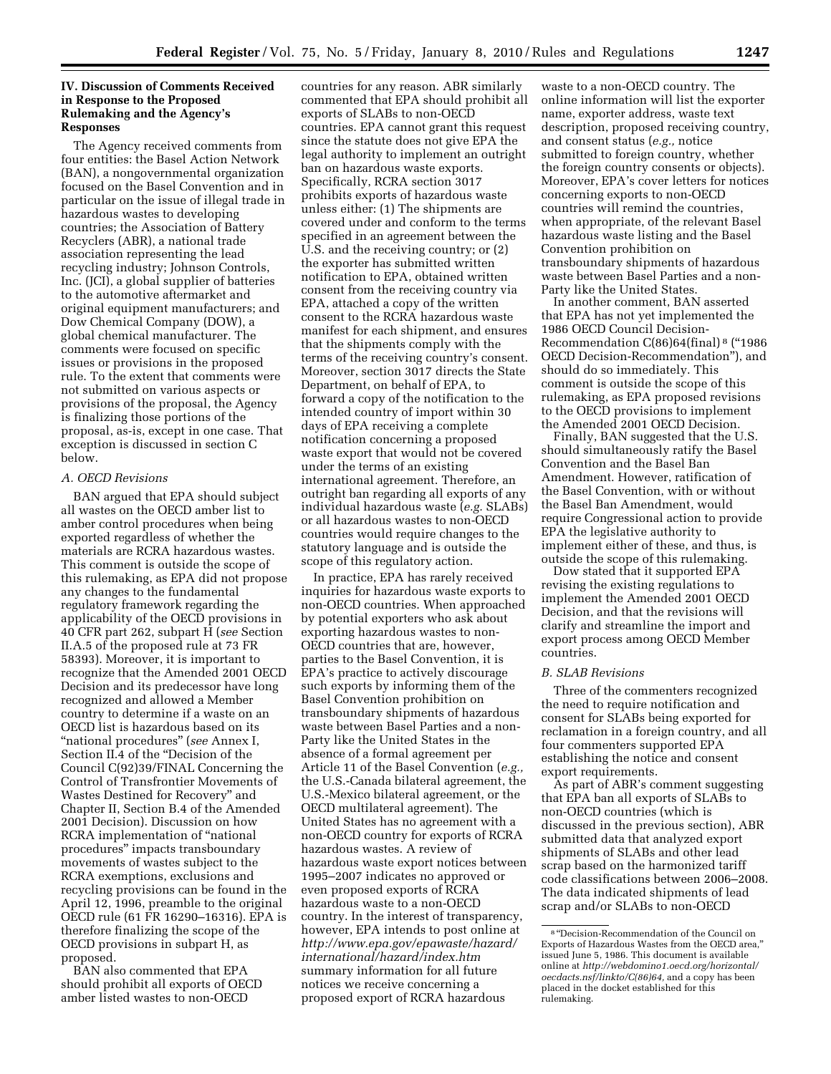## **IV. Discussion of Comments Received in Response to the Proposed Rulemaking and the Agency's Responses**

The Agency received comments from four entities: the Basel Action Network (BAN), a nongovernmental organization focused on the Basel Convention and in particular on the issue of illegal trade in hazardous wastes to developing countries; the Association of Battery Recyclers (ABR), a national trade association representing the lead recycling industry; Johnson Controls, Inc. (JCI), a global supplier of batteries to the automotive aftermarket and original equipment manufacturers; and Dow Chemical Company (DOW), a global chemical manufacturer. The comments were focused on specific issues or provisions in the proposed rule. To the extent that comments were not submitted on various aspects or provisions of the proposal, the Agency is finalizing those portions of the proposal, as-is, except in one case. That exception is discussed in section C below.

# *A. OECD Revisions*

BAN argued that EPA should subject all wastes on the OECD amber list to amber control procedures when being exported regardless of whether the materials are RCRA hazardous wastes. This comment is outside the scope of this rulemaking, as EPA did not propose any changes to the fundamental regulatory framework regarding the applicability of the OECD provisions in 40 CFR part 262, subpart H (*see* Section II.A.5 of the proposed rule at 73 FR 58393). Moreover, it is important to recognize that the Amended 2001 OECD Decision and its predecessor have long recognized and allowed a Member country to determine if a waste on an OECD list is hazardous based on its ''national procedures'' (*see* Annex I, Section II.4 of the ''Decision of the Council C(92)39/FINAL Concerning the Control of Transfrontier Movements of Wastes Destined for Recovery'' and Chapter II, Section B.4 of the Amended 2001 Decision). Discussion on how RCRA implementation of ''national procedures'' impacts transboundary movements of wastes subject to the RCRA exemptions, exclusions and recycling provisions can be found in the April 12, 1996, preamble to the original OECD rule (61 FR 16290–16316). EPA is therefore finalizing the scope of the OECD provisions in subpart H, as proposed.

BAN also commented that EPA should prohibit all exports of OECD amber listed wastes to non-OECD

countries for any reason. ABR similarly commented that EPA should prohibit all exports of SLABs to non-OECD countries. EPA cannot grant this request since the statute does not give EPA the legal authority to implement an outright ban on hazardous waste exports. Specifically, RCRA section 3017 prohibits exports of hazardous waste unless either: (1) The shipments are covered under and conform to the terms specified in an agreement between the U.S. and the receiving country; or (2) the exporter has submitted written notification to EPA, obtained written consent from the receiving country via EPA, attached a copy of the written consent to the RCRA hazardous waste manifest for each shipment, and ensures that the shipments comply with the terms of the receiving country's consent. Moreover, section 3017 directs the State Department, on behalf of EPA, to forward a copy of the notification to the intended country of import within 30 days of EPA receiving a complete notification concerning a proposed waste export that would not be covered under the terms of an existing international agreement. Therefore, an outright ban regarding all exports of any individual hazardous waste (*e.g.* SLABs) or all hazardous wastes to non-OECD countries would require changes to the statutory language and is outside the scope of this regulatory action.

In practice, EPA has rarely received inquiries for hazardous waste exports to non-OECD countries. When approached by potential exporters who ask about exporting hazardous wastes to non-OECD countries that are, however, parties to the Basel Convention, it is EPA's practice to actively discourage such exports by informing them of the Basel Convention prohibition on transboundary shipments of hazardous waste between Basel Parties and a non-Party like the United States in the absence of a formal agreement per Article 11 of the Basel Convention (*e.g.,*  the U.S.-Canada bilateral agreement, the U.S.-Mexico bilateral agreement, or the OECD multilateral agreement). The United States has no agreement with a non-OECD country for exports of RCRA hazardous wastes. A review of hazardous waste export notices between 1995–2007 indicates no approved or even proposed exports of RCRA hazardous waste to a non-OECD country. In the interest of transparency, however, EPA intends to post online at *http://www.epa.gov/epawaste/hazard/ international/hazard/index.htm*  summary information for all future notices we receive concerning a proposed export of RCRA hazardous

waste to a non-OECD country. The online information will list the exporter name, exporter address, waste text description, proposed receiving country, and consent status (*e.g.,* notice submitted to foreign country, whether the foreign country consents or objects). Moreover, EPA's cover letters for notices concerning exports to non-OECD countries will remind the countries, when appropriate, of the relevant Basel hazardous waste listing and the Basel Convention prohibition on transboundary shipments of hazardous waste between Basel Parties and a non-Party like the United States.

In another comment, BAN asserted that EPA has not yet implemented the 1986 OECD Council Decision-Recommendation C(86)64(final) 8 (''1986 OECD Decision-Recommendation''), and should do so immediately. This comment is outside the scope of this rulemaking, as EPA proposed revisions to the OECD provisions to implement the Amended 2001 OECD Decision.

Finally, BAN suggested that the U.S. should simultaneously ratify the Basel Convention and the Basel Ban Amendment. However, ratification of the Basel Convention, with or without the Basel Ban Amendment, would require Congressional action to provide EPA the legislative authority to implement either of these, and thus, is outside the scope of this rulemaking.

Dow stated that it supported EPA revising the existing regulations to implement the Amended 2001 OECD Decision, and that the revisions will clarify and streamline the import and export process among OECD Member countries.

### *B. SLAB Revisions*

Three of the commenters recognized the need to require notification and consent for SLABs being exported for reclamation in a foreign country, and all four commenters supported EPA establishing the notice and consent export requirements.

As part of ABR's comment suggesting that EPA ban all exports of SLABs to non-OECD countries (which is discussed in the previous section), ABR submitted data that analyzed export shipments of SLABs and other lead scrap based on the harmonized tariff code classifications between 2006–2008. The data indicated shipments of lead scrap and/or SLABs to non-OECD

<sup>8</sup> ''Decision-Recommendation of the Council on Exports of Hazardous Wastes from the OECD area,'' issued June 5, 1986. This document is available online at *http://webdomino1.oecd.org/horizontal/ oecdacts.nsf/linkto/C(86)64,* and a copy has been placed in the docket established for this rulemaking.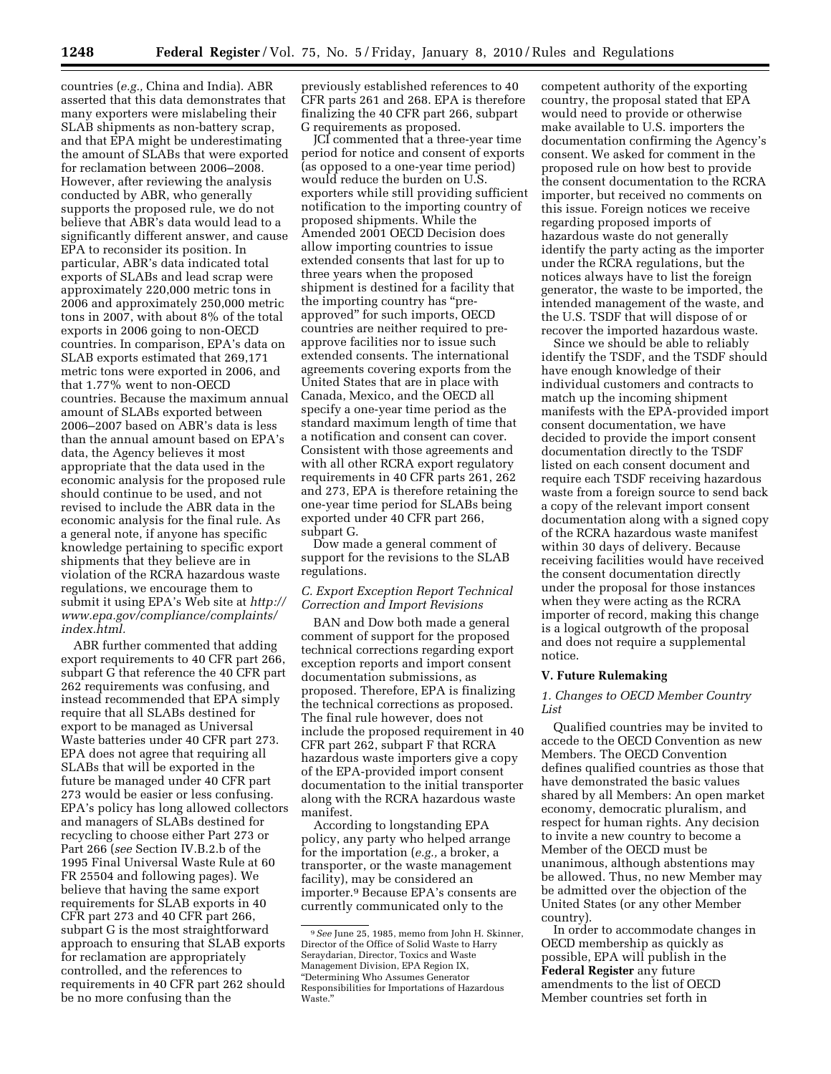countries (*e.g.,* China and India). ABR asserted that this data demonstrates that many exporters were mislabeling their SLAB shipments as non-battery scrap, and that EPA might be underestimating the amount of SLABs that were exported for reclamation between 2006–2008. However, after reviewing the analysis conducted by ABR, who generally supports the proposed rule, we do not believe that ABR's data would lead to a significantly different answer, and cause EPA to reconsider its position. In particular, ABR's data indicated total exports of SLABs and lead scrap were approximately 220,000 metric tons in 2006 and approximately 250,000 metric tons in 2007, with about 8% of the total exports in 2006 going to non-OECD countries. In comparison, EPA's data on SLAB exports estimated that 269,171 metric tons were exported in 2006, and that 1.77% went to non-OECD countries. Because the maximum annual amount of SLABs exported between 2006–2007 based on ABR's data is less than the annual amount based on EPA's data, the Agency believes it most appropriate that the data used in the economic analysis for the proposed rule should continue to be used, and not revised to include the ABR data in the economic analysis for the final rule. As a general note, if anyone has specific knowledge pertaining to specific export shipments that they believe are in violation of the RCRA hazardous waste regulations, we encourage them to submit it using EPA's Web site at *http:// www.epa.gov/compliance/complaints/ index.html.* 

ABR further commented that adding export requirements to 40 CFR part 266, subpart G that reference the 40 CFR part 262 requirements was confusing, and instead recommended that EPA simply require that all SLABs destined for export to be managed as Universal Waste batteries under 40 CFR part 273. EPA does not agree that requiring all SLABs that will be exported in the future be managed under 40 CFR part 273 would be easier or less confusing. EPA's policy has long allowed collectors and managers of SLABs destined for recycling to choose either Part 273 or Part 266 (*see* Section IV.B.2.b of the 1995 Final Universal Waste Rule at 60 FR 25504 and following pages). We believe that having the same export requirements for SLAB exports in 40 CFR part 273 and 40 CFR part 266, subpart G is the most straightforward approach to ensuring that SLAB exports for reclamation are appropriately controlled, and the references to requirements in 40 CFR part 262 should be no more confusing than the

previously established references to 40 CFR parts 261 and 268. EPA is therefore finalizing the 40 CFR part 266, subpart G requirements as proposed.

JCI commented that a three-year time period for notice and consent of exports (as opposed to a one-year time period) would reduce the burden on U.S. exporters while still providing sufficient notification to the importing country of proposed shipments. While the Amended 2001 OECD Decision does allow importing countries to issue extended consents that last for up to three years when the proposed shipment is destined for a facility that the importing country has ''preapproved'' for such imports, OECD countries are neither required to preapprove facilities nor to issue such extended consents. The international agreements covering exports from the United States that are in place with Canada, Mexico, and the OECD all specify a one-year time period as the standard maximum length of time that a notification and consent can cover. Consistent with those agreements and with all other RCRA export regulatory requirements in 40 CFR parts 261, 262 and 273, EPA is therefore retaining the one-year time period for SLABs being exported under 40 CFR part 266, subpart G.

Dow made a general comment of support for the revisions to the SLAB regulations.

## *C. Export Exception Report Technical Correction and Import Revisions*

BAN and Dow both made a general comment of support for the proposed technical corrections regarding export exception reports and import consent documentation submissions, as proposed. Therefore, EPA is finalizing the technical corrections as proposed. The final rule however, does not include the proposed requirement in 40 CFR part 262, subpart F that RCRA hazardous waste importers give a copy of the EPA-provided import consent documentation to the initial transporter along with the RCRA hazardous waste manifest.

According to longstanding EPA policy, any party who helped arrange for the importation (*e.g.,* a broker, a transporter, or the waste management facility), may be considered an importer.9 Because EPA's consents are currently communicated only to the

competent authority of the exporting country, the proposal stated that EPA would need to provide or otherwise make available to U.S. importers the documentation confirming the Agency's consent. We asked for comment in the proposed rule on how best to provide the consent documentation to the RCRA importer, but received no comments on this issue. Foreign notices we receive regarding proposed imports of hazardous waste do not generally identify the party acting as the importer under the RCRA regulations, but the notices always have to list the foreign generator, the waste to be imported, the intended management of the waste, and the U.S. TSDF that will dispose of or recover the imported hazardous waste.

Since we should be able to reliably identify the TSDF, and the TSDF should have enough knowledge of their individual customers and contracts to match up the incoming shipment manifests with the EPA-provided import consent documentation, we have decided to provide the import consent documentation directly to the TSDF listed on each consent document and require each TSDF receiving hazardous waste from a foreign source to send back a copy of the relevant import consent documentation along with a signed copy of the RCRA hazardous waste manifest within 30 days of delivery. Because receiving facilities would have received the consent documentation directly under the proposal for those instances when they were acting as the RCRA importer of record, making this change is a logical outgrowth of the proposal and does not require a supplemental notice.

## **V. Future Rulemaking**

## *1. Changes to OECD Member Country List*

Qualified countries may be invited to accede to the OECD Convention as new Members. The OECD Convention defines qualified countries as those that have demonstrated the basic values shared by all Members: An open market economy, democratic pluralism, and respect for human rights. Any decision to invite a new country to become a Member of the OECD must be unanimous, although abstentions may be allowed. Thus, no new Member may be admitted over the objection of the United States (or any other Member country).

In order to accommodate changes in OECD membership as quickly as possible, EPA will publish in the **Federal Register** any future amendments to the list of OECD Member countries set forth in

<sup>9</sup>*See* June 25, 1985, memo from John H. Skinner, Director of the Office of Solid Waste to Harry Seraydarian, Director, Toxics and Waste Management Division, EPA Region IX, ''Determining Who Assumes Generator Responsibilities for Importations of Hazardous Waste.''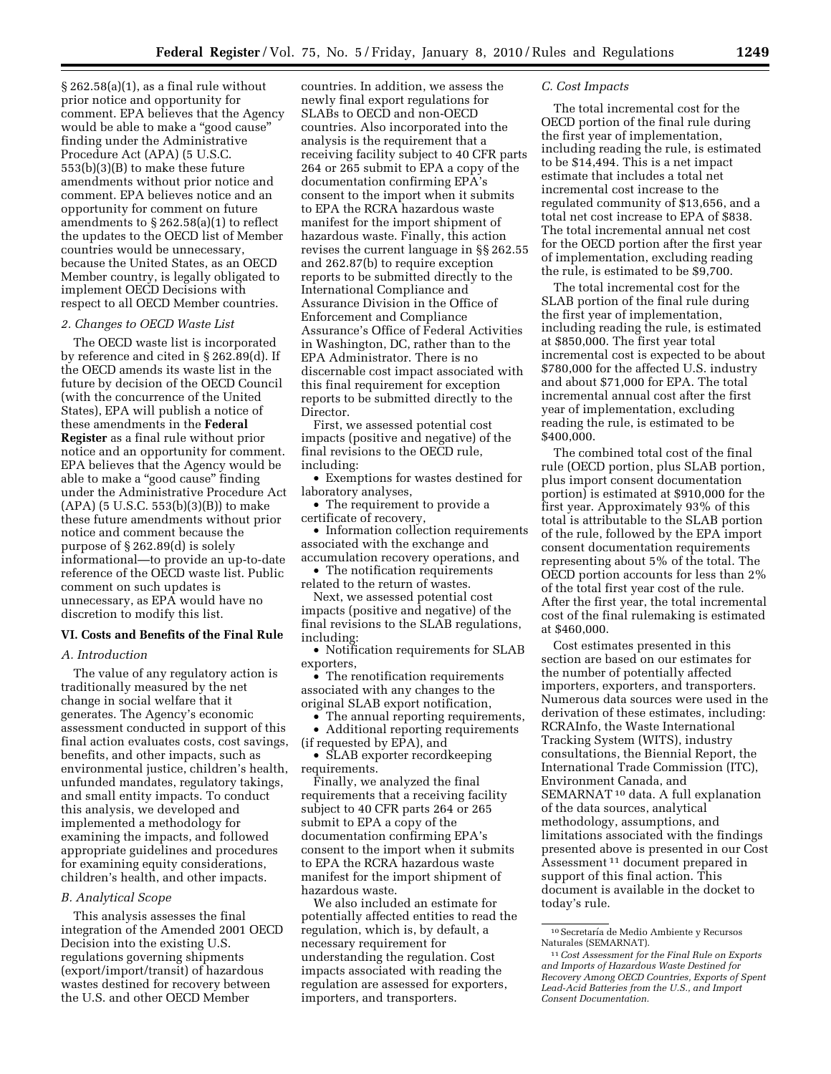$\S 262.58(a)(1)$ , as a final rule without prior notice and opportunity for comment. EPA believes that the Agency would be able to make a "good cause" finding under the Administrative Procedure Act (APA) (5 U.S.C. 553(b)(3)(B) to make these future amendments without prior notice and comment. EPA believes notice and an opportunity for comment on future amendments to § 262.58(a)(1) to reflect the updates to the OECD list of Member countries would be unnecessary, because the United States, as an OECD Member country, is legally obligated to implement OECD Decisions with respect to all OECD Member countries.

#### *2. Changes to OECD Waste List*

The OECD waste list is incorporated by reference and cited in § 262.89(d). If the OECD amends its waste list in the future by decision of the OECD Council (with the concurrence of the United States), EPA will publish a notice of these amendments in the **Federal Register** as a final rule without prior notice and an opportunity for comment. EPA believes that the Agency would be able to make a ''good cause'' finding under the Administrative Procedure Act (APA) (5 U.S.C. 553(b)(3)(B)) to make these future amendments without prior notice and comment because the purpose of § 262.89(d) is solely informational—to provide an up-to-date reference of the OECD waste list. Public comment on such updates is unnecessary, as EPA would have no discretion to modify this list.

## **VI. Costs and Benefits of the Final Rule**

#### *A. Introduction*

The value of any regulatory action is traditionally measured by the net change in social welfare that it generates. The Agency's economic assessment conducted in support of this final action evaluates costs, cost savings, benefits, and other impacts, such as environmental justice, children's health, unfunded mandates, regulatory takings, and small entity impacts. To conduct this analysis, we developed and implemented a methodology for examining the impacts, and followed appropriate guidelines and procedures for examining equity considerations, children's health, and other impacts.

## *B. Analytical Scope*

This analysis assesses the final integration of the Amended 2001 OECD Decision into the existing U.S. regulations governing shipments (export/import/transit) of hazardous wastes destined for recovery between the U.S. and other OECD Member

countries. In addition, we assess the newly final export regulations for SLABs to OECD and non-OECD countries. Also incorporated into the analysis is the requirement that a receiving facility subject to 40 CFR parts 264 or 265 submit to EPA a copy of the documentation confirming EPA's consent to the import when it submits to EPA the RCRA hazardous waste manifest for the import shipment of hazardous waste. Finally, this action revises the current language in §§ 262.55 and 262.87(b) to require exception reports to be submitted directly to the International Compliance and Assurance Division in the Office of Enforcement and Compliance Assurance's Office of Federal Activities in Washington, DC, rather than to the EPA Administrator. There is no discernable cost impact associated with this final requirement for exception reports to be submitted directly to the Director.

First, we assessed potential cost impacts (positive and negative) of the final revisions to the OECD rule, including:

• Exemptions for wastes destined for laboratory analyses,

• The requirement to provide a certificate of recovery,

• Information collection requirements associated with the exchange and accumulation recovery operations, and

• The notification requirements related to the return of wastes.

Next, we assessed potential cost impacts (positive and negative) of the final revisions to the SLAB regulations, including:

• Notification requirements for SLAB exporters,

• The renotification requirements associated with any changes to the original SLAB export notification,

• The annual reporting requirements, • Additional reporting requirements

(if requested by EPA), and

• SLAB exporter record keeping requirements.

Finally, we analyzed the final requirements that a receiving facility subject to 40 CFR parts 264 or 265 submit to EPA a copy of the documentation confirming EPA's consent to the import when it submits to EPA the RCRA hazardous waste manifest for the import shipment of hazardous waste.

We also included an estimate for potentially affected entities to read the regulation, which is, by default, a necessary requirement for understanding the regulation. Cost impacts associated with reading the regulation are assessed for exporters, importers, and transporters.

#### *C. Cost Impacts*

The total incremental cost for the OECD portion of the final rule during the first year of implementation, including reading the rule, is estimated to be \$14,494. This is a net impact estimate that includes a total net incremental cost increase to the regulated community of \$13,656, and a total net cost increase to EPA of \$838. The total incremental annual net cost for the OECD portion after the first year of implementation, excluding reading the rule, is estimated to be \$9,700.

The total incremental cost for the SLAB portion of the final rule during the first year of implementation, including reading the rule, is estimated at \$850,000. The first year total incremental cost is expected to be about \$780,000 for the affected U.S. industry and about \$71,000 for EPA. The total incremental annual cost after the first year of implementation, excluding reading the rule, is estimated to be \$400,000.

The combined total cost of the final rule (OECD portion, plus SLAB portion, plus import consent documentation portion) is estimated at \$910,000 for the first year. Approximately 93% of this total is attributable to the SLAB portion of the rule, followed by the EPA import consent documentation requirements representing about 5% of the total. The OECD portion accounts for less than 2% of the total first year cost of the rule. After the first year, the total incremental cost of the final rulemaking is estimated at \$460,000.

Cost estimates presented in this section are based on our estimates for the number of potentially affected importers, exporters, and transporters. Numerous data sources were used in the derivation of these estimates, including: RCRAInfo, the Waste International Tracking System (WITS), industry consultations, the Biennial Report, the International Trade Commission (ITC), Environment Canada, and SEMARNAT<sup>10</sup> data. A full explanation of the data sources, analytical methodology, assumptions, and limitations associated with the findings presented above is presented in our Cost Assessment 11 document prepared in support of this final action. This document is available in the docket to today's rule.

 $^{\rm 10}\!\!$  Secretaría de Medio Ambiente y Recursos Naturales (SEMARNAT).

<sup>11</sup>*Cost Assessment for the Final Rule on Exports and Imports of Hazardous Waste Destined for Recovery Among OECD Countries, Exports of Spent Lead-Acid Batteries from the U.S., and Import Consent Documentation.*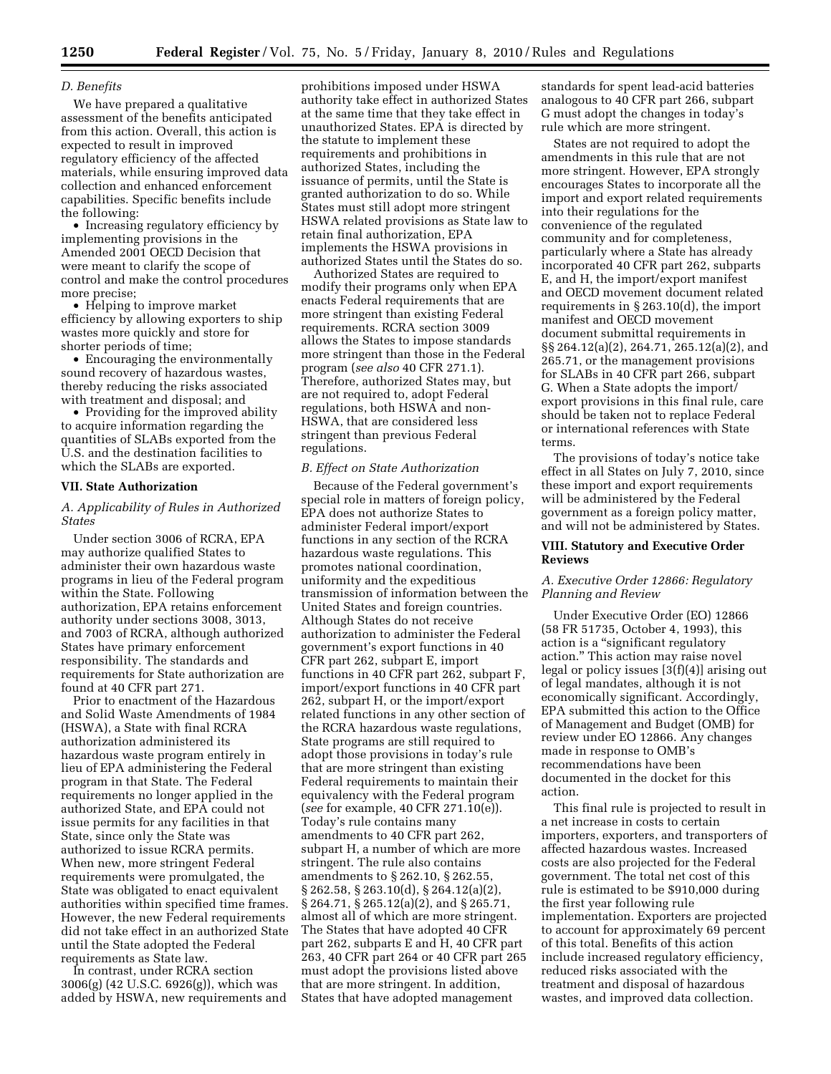## *D. Benefits*

We have prepared a qualitative assessment of the benefits anticipated from this action. Overall, this action is expected to result in improved regulatory efficiency of the affected materials, while ensuring improved data collection and enhanced enforcement capabilities. Specific benefits include the following:

• Increasing regulatory efficiency by implementing provisions in the Amended 2001 OECD Decision that were meant to clarify the scope of control and make the control procedures more precise;

• Helping to improve market efficiency by allowing exporters to ship wastes more quickly and store for shorter periods of time;

• Encouraging the environmentally sound recovery of hazardous wastes, thereby reducing the risks associated with treatment and disposal; and

• Providing for the improved ability to acquire information regarding the quantities of SLABs exported from the U.S. and the destination facilities to which the SLABs are exported.

#### **VII. State Authorization**

## *A. Applicability of Rules in Authorized States*

Under section 3006 of RCRA, EPA may authorize qualified States to administer their own hazardous waste programs in lieu of the Federal program within the State. Following authorization, EPA retains enforcement authority under sections 3008, 3013, and 7003 of RCRA, although authorized States have primary enforcement responsibility. The standards and requirements for State authorization are found at 40 CFR part 271.

Prior to enactment of the Hazardous and Solid Waste Amendments of 1984 (HSWA), a State with final RCRA authorization administered its hazardous waste program entirely in lieu of EPA administering the Federal program in that State. The Federal requirements no longer applied in the authorized State, and EPA could not issue permits for any facilities in that State, since only the State was authorized to issue RCRA permits. When new, more stringent Federal requirements were promulgated, the State was obligated to enact equivalent authorities within specified time frames. However, the new Federal requirements did not take effect in an authorized State until the State adopted the Federal requirements as State law.

In contrast, under RCRA section 3006(g) (42 U.S.C. 6926(g)), which was added by HSWA, new requirements and

prohibitions imposed under HSWA authority take effect in authorized States at the same time that they take effect in unauthorized States. EPA is directed by the statute to implement these requirements and prohibitions in authorized States, including the issuance of permits, until the State is granted authorization to do so. While States must still adopt more stringent HSWA related provisions as State law to retain final authorization, EPA implements the HSWA provisions in authorized States until the States do so.

Authorized States are required to modify their programs only when EPA enacts Federal requirements that are more stringent than existing Federal requirements. RCRA section 3009 allows the States to impose standards more stringent than those in the Federal program (*see also* 40 CFR 271.1). Therefore, authorized States may, but are not required to, adopt Federal regulations, both HSWA and non-HSWA, that are considered less stringent than previous Federal regulations.

#### *B. Effect on State Authorization*

Because of the Federal government's special role in matters of foreign policy, EPA does not authorize States to administer Federal import/export functions in any section of the RCRA hazardous waste regulations. This promotes national coordination, uniformity and the expeditious transmission of information between the United States and foreign countries. Although States do not receive authorization to administer the Federal government's export functions in 40 CFR part 262, subpart E, import functions in 40 CFR part 262, subpart F, import/export functions in 40 CFR part 262, subpart H, or the import/export related functions in any other section of the RCRA hazardous waste regulations, State programs are still required to adopt those provisions in today's rule that are more stringent than existing Federal requirements to maintain their equivalency with the Federal program (*see* for example, 40 CFR 271.10(e)). Today's rule contains many amendments to 40 CFR part 262, subpart H, a number of which are more stringent. The rule also contains amendments to § 262.10, § 262.55, § 262.58, § 263.10(d), § 264.12(a)(2), § 264.71, § 265.12(a)(2), and § 265.71, almost all of which are more stringent. The States that have adopted 40 CFR part 262, subparts E and H, 40 CFR part 263, 40 CFR part 264 or 40 CFR part 265 must adopt the provisions listed above that are more stringent. In addition, States that have adopted management

standards for spent lead-acid batteries analogous to 40 CFR part 266, subpart G must adopt the changes in today's rule which are more stringent.

States are not required to adopt the amendments in this rule that are not more stringent. However, EPA strongly encourages States to incorporate all the import and export related requirements into their regulations for the convenience of the regulated community and for completeness, particularly where a State has already incorporated 40 CFR part 262, subparts E, and H, the import/export manifest and OECD movement document related requirements in § 263.10(d), the import manifest and OECD movement document submittal requirements in §§ 264.12(a)(2), 264.71, 265.12(a)(2), and 265.71, or the management provisions for SLABs in 40 CFR part 266, subpart G. When a State adopts the import/ export provisions in this final rule, care should be taken not to replace Federal or international references with State terms.

The provisions of today's notice take effect in all States on July 7, 2010, since these import and export requirements will be administered by the Federal government as a foreign policy matter, and will not be administered by States.

## **VIII. Statutory and Executive Order Reviews**

## *A. Executive Order 12866: Regulatory Planning and Review*

Under Executive Order (EO) 12866 (58 FR 51735, October 4, 1993), this action is a "significant regulatory action.'' This action may raise novel legal or policy issues  $[3(f)(4)]$  arising out of legal mandates, although it is not economically significant. Accordingly, EPA submitted this action to the Office of Management and Budget (OMB) for review under EO 12866. Any changes made in response to OMB's recommendations have been documented in the docket for this action.

This final rule is projected to result in a net increase in costs to certain importers, exporters, and transporters of affected hazardous wastes. Increased costs are also projected for the Federal government. The total net cost of this rule is estimated to be \$910,000 during the first year following rule implementation. Exporters are projected to account for approximately 69 percent of this total. Benefits of this action include increased regulatory efficiency, reduced risks associated with the treatment and disposal of hazardous wastes, and improved data collection.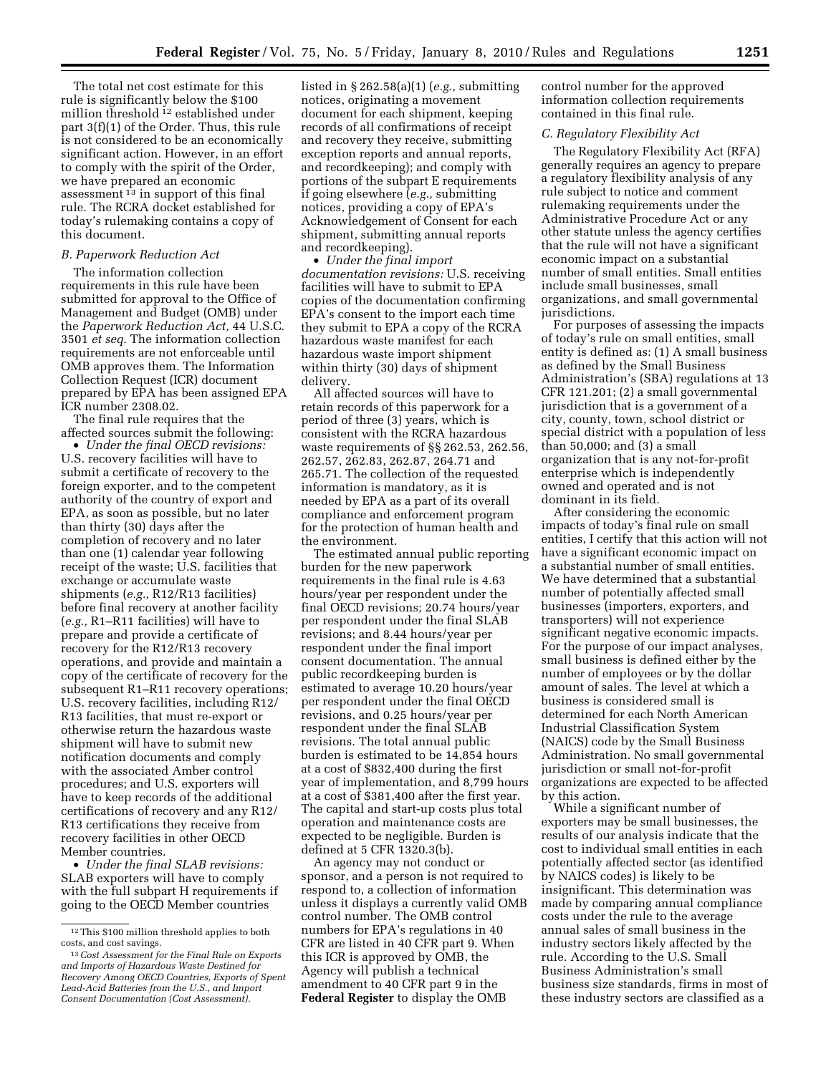The total net cost estimate for this rule is significantly below the \$100 million threshold 12 established under part 3(f)(1) of the Order. Thus, this rule is not considered to be an economically significant action. However, in an effort to comply with the spirit of the Order, we have prepared an economic assessment 13 in support of this final rule. The RCRA docket established for today's rulemaking contains a copy of this document.

## *B. Paperwork Reduction Act*

The information collection requirements in this rule have been submitted for approval to the Office of Management and Budget (OMB) under the *Paperwork Reduction Act,* 44 U.S.C. 3501 *et seq.* The information collection requirements are not enforceable until OMB approves them. The Information Collection Request (ICR) document prepared by EPA has been assigned EPA ICR number 2308.02.

The final rule requires that the affected sources submit the following:

• *Under the final OECD revisions:*  U.S. recovery facilities will have to submit a certificate of recovery to the foreign exporter, and to the competent authority of the country of export and EPA, as soon as possible, but no later than thirty (30) days after the completion of recovery and no later than one (1) calendar year following receipt of the waste; U.S. facilities that exchange or accumulate waste shipments (*e.g.,* R12/R13 facilities) before final recovery at another facility (*e.g.,* R1–R11 facilities) will have to prepare and provide a certificate of recovery for the R12/R13 recovery operations, and provide and maintain a copy of the certificate of recovery for the subsequent R1–R11 recovery operations; U.S. recovery facilities, including R12/ R13 facilities, that must re-export or otherwise return the hazardous waste shipment will have to submit new notification documents and comply with the associated Amber control procedures; and U.S. exporters will have to keep records of the additional certifications of recovery and any R12/ R13 certifications they receive from recovery facilities in other OECD Member countries.

• *Under the final SLAB revisions:*  SLAB exporters will have to comply with the full subpart H requirements if going to the OECD Member countries

listed in § 262.58(a)(1) (*e.g.,* submitting notices, originating a movement document for each shipment, keeping records of all confirmations of receipt and recovery they receive, submitting exception reports and annual reports, and recordkeeping); and comply with portions of the subpart E requirements if going elsewhere (*e.g.,* submitting notices, providing a copy of EPA's Acknowledgement of Consent for each shipment, submitting annual reports and recordkeeping).

• *Under the final import documentation revisions:* U.S. receiving facilities will have to submit to EPA copies of the documentation confirming EPA's consent to the import each time they submit to EPA a copy of the RCRA hazardous waste manifest for each hazardous waste import shipment within thirty (30) days of shipment delivery.

All affected sources will have to retain records of this paperwork for a period of three (3) years, which is consistent with the RCRA hazardous waste requirements of §§ 262.53, 262.56, 262.57, 262.83, 262.87, 264.71 and 265.71. The collection of the requested information is mandatory, as it is needed by EPA as a part of its overall compliance and enforcement program for the protection of human health and the environment.

The estimated annual public reporting burden for the new paperwork requirements in the final rule is 4.63 hours/year per respondent under the final OECD revisions; 20.74 hours/year per respondent under the final SLAB revisions; and 8.44 hours/year per respondent under the final import consent documentation. The annual public recordkeeping burden is estimated to average 10.20 hours/year per respondent under the final OECD revisions, and 0.25 hours/year per respondent under the final SLAB revisions. The total annual public burden is estimated to be 14,854 hours at a cost of \$832,400 during the first year of implementation, and 8,799 hours at a cost of \$381,400 after the first year. The capital and start-up costs plus total operation and maintenance costs are expected to be negligible. Burden is defined at 5 CFR 1320.3(b).

An agency may not conduct or sponsor, and a person is not required to respond to, a collection of information unless it displays a currently valid OMB control number. The OMB control numbers for EPA's regulations in 40 CFR are listed in 40 CFR part 9. When this ICR is approved by OMB, the Agency will publish a technical amendment to 40 CFR part 9 in the **Federal Register** to display the OMB

control number for the approved information collection requirements contained in this final rule.

## *C. Regulatory Flexibility Act*

The Regulatory Flexibility Act (RFA) generally requires an agency to prepare a regulatory flexibility analysis of any rule subject to notice and comment rulemaking requirements under the Administrative Procedure Act or any other statute unless the agency certifies that the rule will not have a significant economic impact on a substantial number of small entities. Small entities include small businesses, small organizations, and small governmental jurisdictions.

For purposes of assessing the impacts of today's rule on small entities, small entity is defined as: (1) A small business as defined by the Small Business Administration's (SBA) regulations at 13 CFR 121.201; (2) a small governmental jurisdiction that is a government of a city, county, town, school district or special district with a population of less than 50,000; and (3) a small organization that is any not-for-profit enterprise which is independently owned and operated and is not dominant in its field.

After considering the economic impacts of today's final rule on small entities, I certify that this action will not have a significant economic impact on a substantial number of small entities. We have determined that a substantial number of potentially affected small businesses (importers, exporters, and transporters) will not experience significant negative economic impacts. For the purpose of our impact analyses, small business is defined either by the number of employees or by the dollar amount of sales. The level at which a business is considered small is determined for each North American Industrial Classification System (NAICS) code by the Small Business Administration. No small governmental jurisdiction or small not-for-profit organizations are expected to be affected by this action.

While a significant number of exporters may be small businesses, the results of our analysis indicate that the cost to individual small entities in each potentially affected sector (as identified by NAICS codes) is likely to be insignificant. This determination was made by comparing annual compliance costs under the rule to the average annual sales of small business in the industry sectors likely affected by the rule. According to the U.S. Small Business Administration's small business size standards, firms in most of these industry sectors are classified as a

 $^{\rm 12}$  This \$100 million threshold applies to both costs, and cost savings.

<sup>13</sup>*Cost Assessment for the Final Rule on Exports and Imports of Hazardous Waste Destined for Recovery Among OECD Countries, Exports of Spent Lead-Acid Batteries from the U.S., and Import Consent Documentation (Cost Assessment).*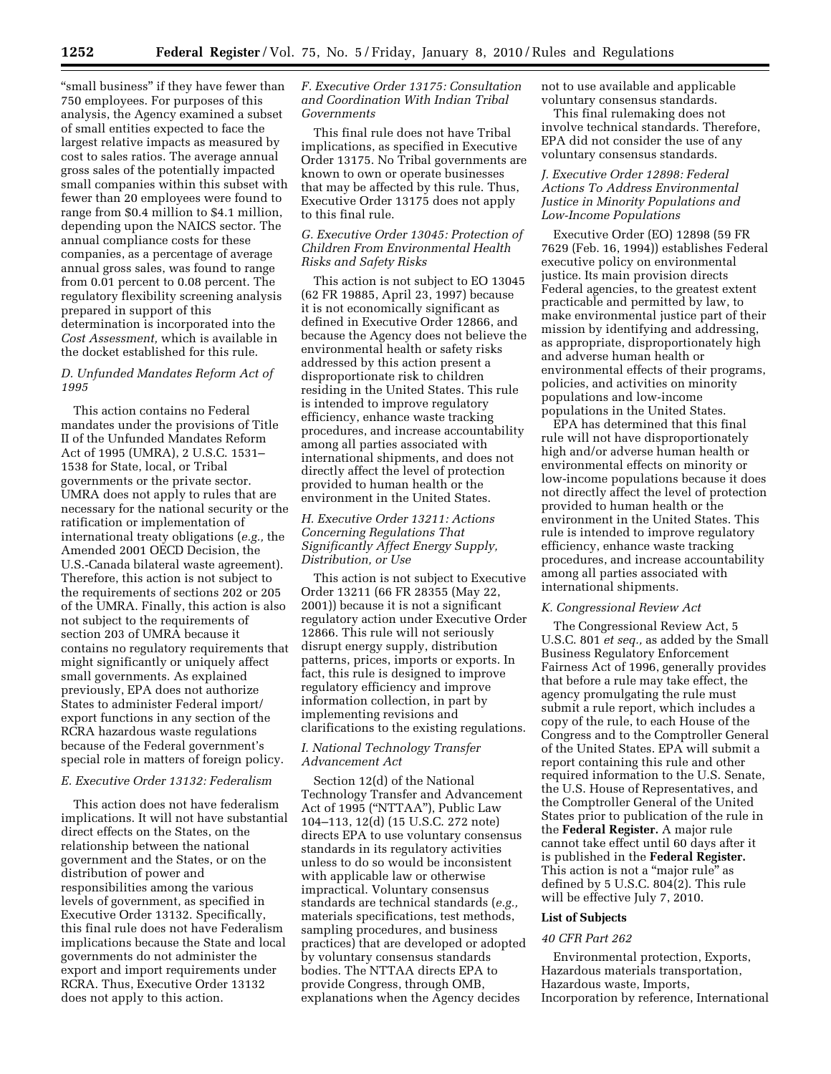"small business" if they have fewer than 750 employees. For purposes of this analysis, the Agency examined a subset of small entities expected to face the largest relative impacts as measured by cost to sales ratios. The average annual gross sales of the potentially impacted small companies within this subset with fewer than 20 employees were found to range from \$0.4 million to \$4.1 million, depending upon the NAICS sector. The annual compliance costs for these companies, as a percentage of average annual gross sales, was found to range from 0.01 percent to 0.08 percent. The regulatory flexibility screening analysis prepared in support of this determination is incorporated into the *Cost Assessment,* which is available in the docket established for this rule.

## *D. Unfunded Mandates Reform Act of 1995*

This action contains no Federal mandates under the provisions of Title II of the Unfunded Mandates Reform Act of 1995 (UMRA), 2 U.S.C. 1531– 1538 for State, local, or Tribal governments or the private sector. UMRA does not apply to rules that are necessary for the national security or the ratification or implementation of international treaty obligations (*e.g.,* the Amended 2001 OECD Decision, the U.S.-Canada bilateral waste agreement). Therefore, this action is not subject to the requirements of sections 202 or 205 of the UMRA. Finally, this action is also not subject to the requirements of section 203 of UMRA because it contains no regulatory requirements that might significantly or uniquely affect small governments. As explained previously, EPA does not authorize States to administer Federal import/ export functions in any section of the RCRA hazardous waste regulations because of the Federal government's special role in matters of foreign policy.

# *E. Executive Order 13132: Federalism*

This action does not have federalism implications. It will not have substantial direct effects on the States, on the relationship between the national government and the States, or on the distribution of power and responsibilities among the various levels of government, as specified in Executive Order 13132. Specifically, this final rule does not have Federalism implications because the State and local governments do not administer the export and import requirements under RCRA. Thus, Executive Order 13132 does not apply to this action.

## *F. Executive Order 13175: Consultation and Coordination With Indian Tribal Governments*

This final rule does not have Tribal implications, as specified in Executive Order 13175. No Tribal governments are known to own or operate businesses that may be affected by this rule. Thus, Executive Order 13175 does not apply to this final rule.

## *G. Executive Order 13045: Protection of Children From Environmental Health Risks and Safety Risks*

This action is not subject to EO 13045 (62 FR 19885, April 23, 1997) because it is not economically significant as defined in Executive Order 12866, and because the Agency does not believe the environmental health or safety risks addressed by this action present a disproportionate risk to children residing in the United States. This rule is intended to improve regulatory efficiency, enhance waste tracking procedures, and increase accountability among all parties associated with international shipments, and does not directly affect the level of protection provided to human health or the environment in the United States.

## *H. Executive Order 13211: Actions Concerning Regulations That Significantly Affect Energy Supply, Distribution, or Use*

This action is not subject to Executive Order 13211 (66 FR 28355 (May 22, 2001)) because it is not a significant regulatory action under Executive Order 12866. This rule will not seriously disrupt energy supply, distribution patterns, prices, imports or exports. In fact, this rule is designed to improve regulatory efficiency and improve information collection, in part by implementing revisions and clarifications to the existing regulations.

### *I. National Technology Transfer Advancement Act*

Section 12(d) of the National Technology Transfer and Advancement Act of 1995 (''NTTAA''), Public Law 104–113, 12(d) (15 U.S.C. 272 note) directs EPA to use voluntary consensus standards in its regulatory activities unless to do so would be inconsistent with applicable law or otherwise impractical. Voluntary consensus standards are technical standards (*e.g.,*  materials specifications, test methods, sampling procedures, and business practices) that are developed or adopted by voluntary consensus standards bodies. The NTTAA directs EPA to provide Congress, through OMB, explanations when the Agency decides

not to use available and applicable voluntary consensus standards.

This final rulemaking does not involve technical standards. Therefore, EPA did not consider the use of any voluntary consensus standards.

## *J. Executive Order 12898: Federal Actions To Address Environmental Justice in Minority Populations and Low-Income Populations*

Executive Order (EO) 12898 (59 FR 7629 (Feb. 16, 1994)) establishes Federal executive policy on environmental justice. Its main provision directs Federal agencies, to the greatest extent practicable and permitted by law, to make environmental justice part of their mission by identifying and addressing, as appropriate, disproportionately high and adverse human health or environmental effects of their programs, policies, and activities on minority populations and low-income populations in the United States.

EPA has determined that this final rule will not have disproportionately high and/or adverse human health or environmental effects on minority or low-income populations because it does not directly affect the level of protection provided to human health or the environment in the United States. This rule is intended to improve regulatory efficiency, enhance waste tracking procedures, and increase accountability among all parties associated with international shipments.

#### *K. Congressional Review Act*

The Congressional Review Act, 5 U.S.C. 801 *et seq.,* as added by the Small Business Regulatory Enforcement Fairness Act of 1996, generally provides that before a rule may take effect, the agency promulgating the rule must submit a rule report, which includes a copy of the rule, to each House of the Congress and to the Comptroller General of the United States. EPA will submit a report containing this rule and other required information to the U.S. Senate, the U.S. House of Representatives, and the Comptroller General of the United States prior to publication of the rule in the **Federal Register.** A major rule cannot take effect until 60 days after it is published in the **Federal Register.**  This action is not a "major rule" as defined by 5 U.S.C. 804(2). This rule will be effective July 7, 2010.

## **List of Subjects**

#### *40 CFR Part 262*

Environmental protection, Exports, Hazardous materials transportation, Hazardous waste, Imports, Incorporation by reference, International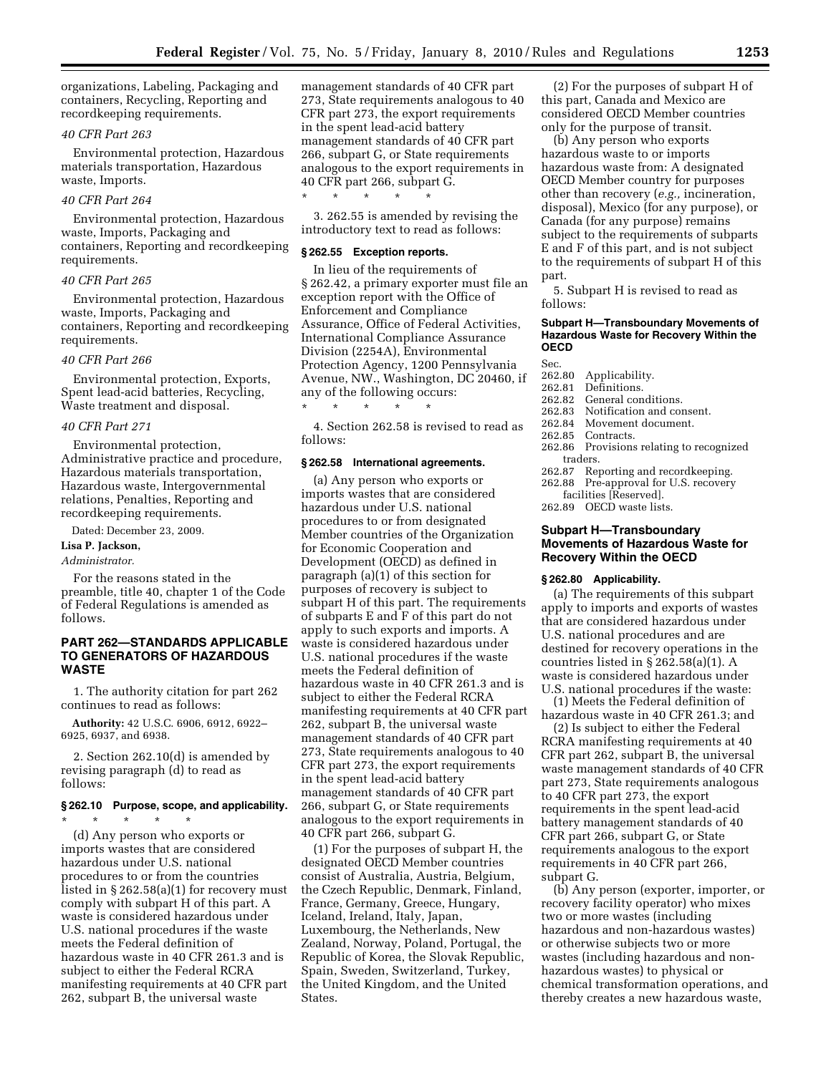organizations, Labeling, Packaging and containers, Recycling, Reporting and recordkeeping requirements.

#### *40 CFR Part 263*

Environmental protection, Hazardous materials transportation, Hazardous waste, Imports.

## *40 CFR Part 264*

Environmental protection, Hazardous waste, Imports, Packaging and containers, Reporting and recordkeeping requirements.

## *40 CFR Part 265*

Environmental protection, Hazardous waste, Imports, Packaging and containers, Reporting and recordkeeping requirements.

#### *40 CFR Part 266*

Environmental protection, Exports, Spent lead-acid batteries, Recycling, Waste treatment and disposal.

#### *40 CFR Part 271*

Environmental protection, Administrative practice and procedure, Hazardous materials transportation, Hazardous waste, Intergovernmental relations, Penalties, Reporting and recordkeeping requirements.

Dated: December 23, 2009.

#### **Lisa P. Jackson,**

*Administrator.* 

For the reasons stated in the preamble, title 40, chapter 1 of the Code of Federal Regulations is amended as follows.

## **PART 262—STANDARDS APPLICABLE TO GENERATORS OF HAZARDOUS WASTE**

1. The authority citation for part 262 continues to read as follows:

**Authority:** 42 U.S.C. 6906, 6912, 6922– 6925, 6937, and 6938.

2. Section 262.10(d) is amended by revising paragraph (d) to read as follows:

# **§ 262.10 Purpose, scope, and applicability.**

\* \* \* \* \*

(d) Any person who exports or imports wastes that are considered hazardous under U.S. national procedures to or from the countries listed in § 262.58(a)(1) for recovery must comply with subpart H of this part. A waste is considered hazardous under U.S. national procedures if the waste meets the Federal definition of hazardous waste in 40 CFR 261.3 and is subject to either the Federal RCRA manifesting requirements at 40 CFR part 262, subpart B, the universal waste

management standards of 40 CFR part 273, State requirements analogous to 40 CFR part 273, the export requirements in the spent lead-acid battery management standards of 40 CFR part 266, subpart G, or State requirements analogous to the export requirements in 40 CFR part 266, subpart G.

3. 262.55 is amended by revising the introductory text to read as follows:

#### **§ 262.55 Exception reports.**

\* \* \* \* \*

In lieu of the requirements of § 262.42, a primary exporter must file an exception report with the Office of Enforcement and Compliance Assurance, Office of Federal Activities, International Compliance Assurance Division (2254A), Environmental Protection Agency, 1200 Pennsylvania Avenue, NW., Washington, DC 20460, if any of the following occurs: \* \* \* \* \*

4. Section 262.58 is revised to read as follows:

#### **§ 262.58 International agreements.**

(a) Any person who exports or imports wastes that are considered hazardous under U.S. national procedures to or from designated Member countries of the Organization for Economic Cooperation and Development (OECD) as defined in paragraph (a)(1) of this section for purposes of recovery is subject to subpart H of this part. The requirements of subparts E and F of this part do not apply to such exports and imports. A waste is considered hazardous under U.S. national procedures if the waste meets the Federal definition of hazardous waste in 40 CFR 261.3 and is subject to either the Federal RCRA manifesting requirements at 40 CFR part 262, subpart B, the universal waste management standards of 40 CFR part 273, State requirements analogous to 40 CFR part 273, the export requirements in the spent lead-acid battery management standards of 40 CFR part 266, subpart G, or State requirements analogous to the export requirements in 40 CFR part 266, subpart G.

(1) For the purposes of subpart H, the designated OECD Member countries consist of Australia, Austria, Belgium, the Czech Republic, Denmark, Finland, France, Germany, Greece, Hungary, Iceland, Ireland, Italy, Japan, Luxembourg, the Netherlands, New Zealand, Norway, Poland, Portugal, the Republic of Korea, the Slovak Republic, Spain, Sweden, Switzerland, Turkey, the United Kingdom, and the United States.

(2) For the purposes of subpart H of this part, Canada and Mexico are considered OECD Member countries only for the purpose of transit.

(b) Any person who exports hazardous waste to or imports hazardous waste from: A designated OECD Member country for purposes other than recovery (*e.g.,* incineration, disposal), Mexico (for any purpose), or Canada (for any purpose) remains subject to the requirements of subparts E and F of this part, and is not subject to the requirements of subpart H of this part.

5. Subpart H is revised to read as follows:

#### **Subpart H—Transboundary Movements of Hazardous Waste for Recovery Within the OECD**

Sec.

- 262.80 Applicability.
- 
- 262.81 Definitions. 262.82 General conditions.<br>262.83 Notification and con
- Notification and consent.
- 262.84 Movement document.
- 262.85 Contracts.<br>262.86 Provisions
- Provisions relating to recognized traders.
- 262.87 Reporting and recordkeeping.
- 262.88 Pre-approval for U.S. recovery

facilities [Reserved].

262.89 OECD waste lists.

### **Subpart H—Transboundary Movements of Hazardous Waste for Recovery Within the OECD**

#### **§ 262.80 Applicability.**

(a) The requirements of this subpart apply to imports and exports of wastes that are considered hazardous under U.S. national procedures and are destined for recovery operations in the countries listed in  $\S 262.58(a)(1)$ . A waste is considered hazardous under U.S. national procedures if the waste:

(1) Meets the Federal definition of hazardous waste in 40 CFR 261.3; and

(2) Is subject to either the Federal RCRA manifesting requirements at 40 CFR part 262, subpart B, the universal waste management standards of 40 CFR part 273, State requirements analogous to 40 CFR part 273, the export requirements in the spent lead-acid battery management standards of 40 CFR part 266, subpart G, or State requirements analogous to the export requirements in 40 CFR part 266, subpart G.

(b) Any person (exporter, importer, or recovery facility operator) who mixes two or more wastes (including hazardous and non-hazardous wastes) or otherwise subjects two or more wastes (including hazardous and nonhazardous wastes) to physical or chemical transformation operations, and thereby creates a new hazardous waste,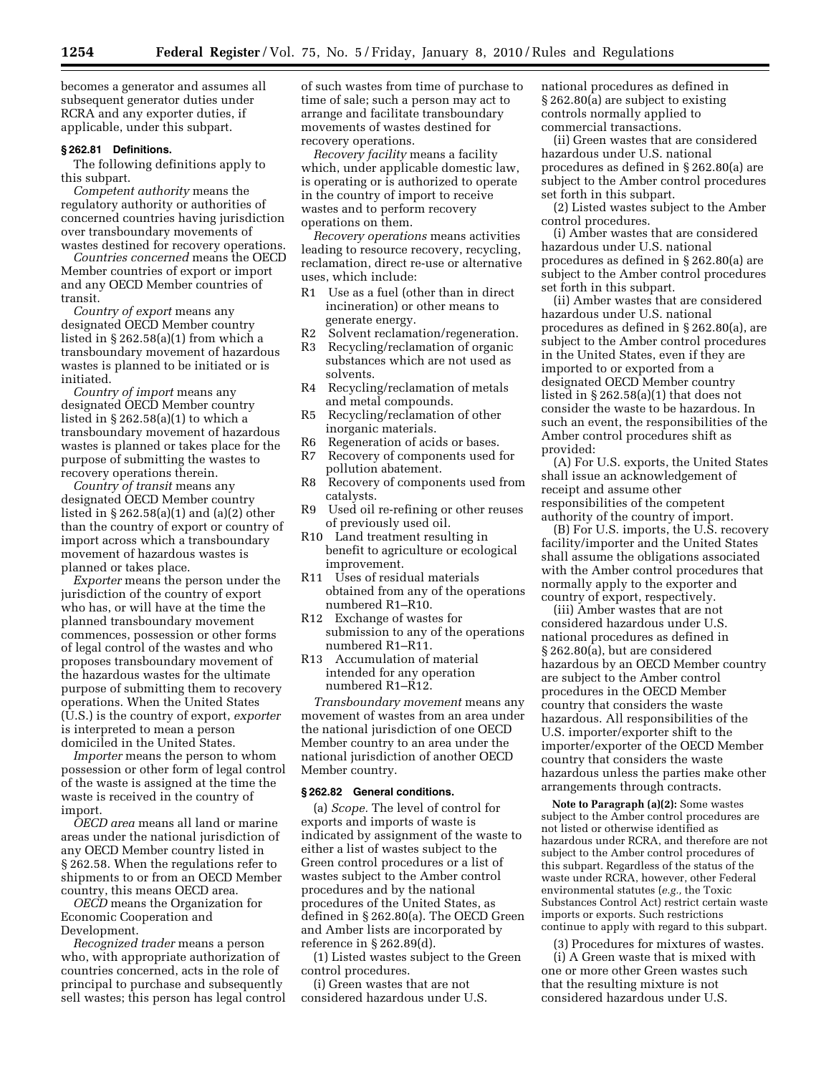becomes a generator and assumes all subsequent generator duties under RCRA and any exporter duties, if applicable, under this subpart.

## **§ 262.81 Definitions.**

The following definitions apply to this subpart.

*Competent authority* means the regulatory authority or authorities of concerned countries having jurisdiction over transboundary movements of wastes destined for recovery operations.

*Countries concerned* means the OECD Member countries of export or import and any OECD Member countries of transit.

*Country of export* means any designated OECD Member country listed in § 262.58(a)(1) from which a transboundary movement of hazardous wastes is planned to be initiated or is initiated.

*Country of import* means any designated OECD Member country listed in § 262.58(a)(1) to which a transboundary movement of hazardous wastes is planned or takes place for the purpose of submitting the wastes to recovery operations therein.

*Country of transit* means any designated OECD Member country listed in § 262.58(a)(1) and (a)(2) other than the country of export or country of import across which a transboundary movement of hazardous wastes is planned or takes place.

*Exporter* means the person under the jurisdiction of the country of export who has, or will have at the time the planned transboundary movement commences, possession or other forms of legal control of the wastes and who proposes transboundary movement of the hazardous wastes for the ultimate purpose of submitting them to recovery operations. When the United States (U.S.) is the country of export, *exporter*  is interpreted to mean a person domiciled in the United States.

*Importer* means the person to whom possession or other form of legal control of the waste is assigned at the time the waste is received in the country of import.

*OECD area* means all land or marine areas under the national jurisdiction of any OECD Member country listed in § 262.58. When the regulations refer to shipments to or from an OECD Member country, this means OECD area.

*OECD* means the Organization for Economic Cooperation and Development.

*Recognized trader* means a person who, with appropriate authorization of countries concerned, acts in the role of principal to purchase and subsequently sell wastes; this person has legal control of such wastes from time of purchase to time of sale; such a person may act to arrange and facilitate transboundary movements of wastes destined for recovery operations.

*Recovery facility* means a facility which, under applicable domestic law, is operating or is authorized to operate in the country of import to receive wastes and to perform recovery operations on them.

*Recovery operations* means activities leading to resource recovery, recycling, reclamation, direct re-use or alternative uses, which include:

- R1 Use as a fuel (other than in direct incineration) or other means to generate energy.
- R2 Solvent reclamation/regeneration.
- R3 Recycling/reclamation of organic substances which are not used as solvents.
- R4 Recycling/reclamation of metals and metal compounds.
- R5 Recycling/reclamation of other inorganic materials.
- R6 Regeneration of acids or bases. R7 Recovery of components used for
- pollution abatement. R8 Recovery of components used from catalysts.
- R9 Used oil re-refining or other reuses of previously used oil.
- R10 Land treatment resulting in benefit to agriculture or ecological improvement.
- R11 Uses of residual materials obtained from any of the operations numbered R1–R10.
- R12 Exchange of wastes for submission to any of the operations numbered R1–R11.
- R13 Accumulation of material intended for any operation numbered R1–R12.

*Transboundary movement* means any movement of wastes from an area under the national jurisdiction of one OECD Member country to an area under the national jurisdiction of another OECD Member country.

#### **§ 262.82 General conditions.**

(a) *Scope.* The level of control for exports and imports of waste is indicated by assignment of the waste to either a list of wastes subject to the Green control procedures or a list of wastes subject to the Amber control procedures and by the national procedures of the United States, as defined in § 262.80(a). The OECD Green and Amber lists are incorporated by reference in § 262.89(d).

(1) Listed wastes subject to the Green control procedures.

(i) Green wastes that are not considered hazardous under U.S. national procedures as defined in § 262.80(a) are subject to existing controls normally applied to commercial transactions.

(ii) Green wastes that are considered hazardous under U.S. national procedures as defined in § 262.80(a) are subject to the Amber control procedures set forth in this subpart.

(2) Listed wastes subject to the Amber control procedures.

(i) Amber wastes that are considered hazardous under U.S. national procedures as defined in § 262.80(a) are subject to the Amber control procedures set forth in this subpart.

(ii) Amber wastes that are considered hazardous under U.S. national procedures as defined in § 262.80(a), are subject to the Amber control procedures in the United States, even if they are imported to or exported from a designated OECD Member country listed in § 262.58(a)(1) that does not consider the waste to be hazardous. In such an event, the responsibilities of the Amber control procedures shift as provided:

(A) For U.S. exports, the United States shall issue an acknowledgement of receipt and assume other responsibilities of the competent authority of the country of import.

(B) For U.S. imports, the U.S. recovery facility/importer and the United States shall assume the obligations associated with the Amber control procedures that normally apply to the exporter and country of export, respectively.

(iii) Amber wastes that are not considered hazardous under U.S. national procedures as defined in § 262.80(a), but are considered hazardous by an OECD Member country are subject to the Amber control procedures in the OECD Member country that considers the waste hazardous. All responsibilities of the U.S. importer/exporter shift to the importer/exporter of the OECD Member country that considers the waste hazardous unless the parties make other arrangements through contracts.

**Note to Paragraph (a)(2):** Some wastes subject to the Amber control procedures are not listed or otherwise identified as hazardous under RCRA, and therefore are not subject to the Amber control procedures of this subpart. Regardless of the status of the waste under RCRA, however, other Federal environmental statutes (*e.g.,* the Toxic Substances Control Act) restrict certain waste imports or exports. Such restrictions continue to apply with regard to this subpart.

(3) Procedures for mixtures of wastes. (i) A Green waste that is mixed with one or more other Green wastes such that the resulting mixture is not considered hazardous under U.S.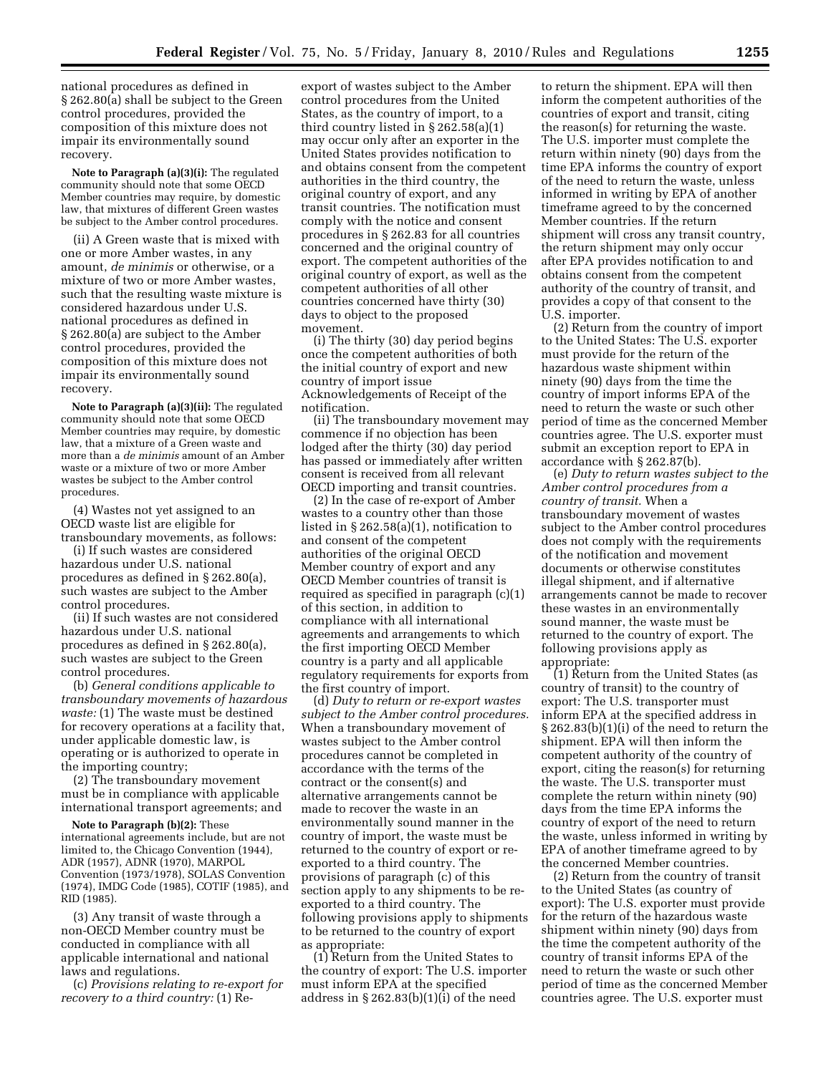national procedures as defined in § 262.80(a) shall be subject to the Green control procedures, provided the composition of this mixture does not impair its environmentally sound recovery.

**Note to Paragraph (a)(3)(i):** The regulated community should note that some OECD Member countries may require, by domestic law, that mixtures of different Green wastes be subject to the Amber control procedures.

(ii) A Green waste that is mixed with one or more Amber wastes, in any amount, *de minimis* or otherwise, or a mixture of two or more Amber wastes, such that the resulting waste mixture is considered hazardous under U.S. national procedures as defined in § 262.80(a) are subject to the Amber control procedures, provided the composition of this mixture does not impair its environmentally sound recovery.

**Note to Paragraph (a)(3)(ii):** The regulated community should note that some OECD Member countries may require, by domestic law, that a mixture of a Green waste and more than a *de minimis* amount of an Amber waste or a mixture of two or more Amber wastes be subject to the Amber control procedures.

(4) Wastes not yet assigned to an OECD waste list are eligible for transboundary movements, as follows:

(i) If such wastes are considered hazardous under U.S. national procedures as defined in § 262.80(a), such wastes are subject to the Amber control procedures.

(ii) If such wastes are not considered hazardous under U.S. national procedures as defined in § 262.80(a), such wastes are subject to the Green control procedures.

(b) *General conditions applicable to transboundary movements of hazardous waste:* (1) The waste must be destined for recovery operations at a facility that, under applicable domestic law, is operating or is authorized to operate in the importing country;

(2) The transboundary movement must be in compliance with applicable international transport agreements; and

**Note to Paragraph (b)(2):** These

international agreements include, but are not limited to, the Chicago Convention (1944), ADR (1957), ADNR (1970), MARPOL Convention (1973/1978), SOLAS Convention (1974), IMDG Code (1985), COTIF (1985), and RID (1985).

(3) Any transit of waste through a non-OECD Member country must be conducted in compliance with all applicable international and national laws and regulations.

(c) *Provisions relating to re-export for recovery to a third country:* (1) Re-

export of wastes subject to the Amber control procedures from the United States, as the country of import, to a third country listed in § 262.58(a)(1) may occur only after an exporter in the United States provides notification to and obtains consent from the competent authorities in the third country, the original country of export, and any transit countries. The notification must comply with the notice and consent procedures in § 262.83 for all countries concerned and the original country of export. The competent authorities of the original country of export, as well as the competent authorities of all other countries concerned have thirty (30) days to object to the proposed movement.

(i) The thirty (30) day period begins once the competent authorities of both the initial country of export and new country of import issue Acknowledgements of Receipt of the notification.

(ii) The transboundary movement may commence if no objection has been lodged after the thirty (30) day period has passed or immediately after written consent is received from all relevant OECD importing and transit countries.

(2) In the case of re-export of Amber wastes to a country other than those listed in § 262.58(a)(1), notification to and consent of the competent authorities of the original OECD Member country of export and any OECD Member countries of transit is required as specified in paragraph (c)(1) of this section, in addition to compliance with all international agreements and arrangements to which the first importing OECD Member country is a party and all applicable regulatory requirements for exports from the first country of import.

(d) *Duty to return or re-export wastes subject to the Amber control procedures.*  When a transboundary movement of wastes subject to the Amber control procedures cannot be completed in accordance with the terms of the contract or the consent(s) and alternative arrangements cannot be made to recover the waste in an environmentally sound manner in the country of import, the waste must be returned to the country of export or reexported to a third country. The provisions of paragraph (c) of this section apply to any shipments to be reexported to a third country. The following provisions apply to shipments to be returned to the country of export as appropriate:

(1) Return from the United States to the country of export: The U.S. importer must inform EPA at the specified address in  $\S 262.83(b)(1)(i)$  of the need

to return the shipment. EPA will then inform the competent authorities of the countries of export and transit, citing the reason(s) for returning the waste. The U.S. importer must complete the return within ninety (90) days from the time EPA informs the country of export of the need to return the waste, unless informed in writing by EPA of another timeframe agreed to by the concerned Member countries. If the return shipment will cross any transit country, the return shipment may only occur after EPA provides notification to and obtains consent from the competent authority of the country of transit, and provides a copy of that consent to the U.S. importer.

(2) Return from the country of import to the United States: The U.S. exporter must provide for the return of the hazardous waste shipment within ninety (90) days from the time the country of import informs EPA of the need to return the waste or such other period of time as the concerned Member countries agree. The U.S. exporter must submit an exception report to EPA in accordance with § 262.87(b).

(e) *Duty to return wastes subject to the Amber control procedures from a country of transit.* When a transboundary movement of wastes subject to the Amber control procedures does not comply with the requirements of the notification and movement documents or otherwise constitutes illegal shipment, and if alternative arrangements cannot be made to recover these wastes in an environmentally sound manner, the waste must be returned to the country of export. The following provisions apply as appropriate:

(1) Return from the United States (as country of transit) to the country of export: The U.S. transporter must inform EPA at the specified address in § 262.83(b)(1)(i) of the need to return the shipment. EPA will then inform the competent authority of the country of export, citing the reason(s) for returning the waste. The U.S. transporter must complete the return within ninety (90) days from the time EPA informs the country of export of the need to return the waste, unless informed in writing by EPA of another timeframe agreed to by the concerned Member countries.

(2) Return from the country of transit to the United States (as country of export): The U.S. exporter must provide for the return of the hazardous waste shipment within ninety (90) days from the time the competent authority of the country of transit informs EPA of the need to return the waste or such other period of time as the concerned Member countries agree. The U.S. exporter must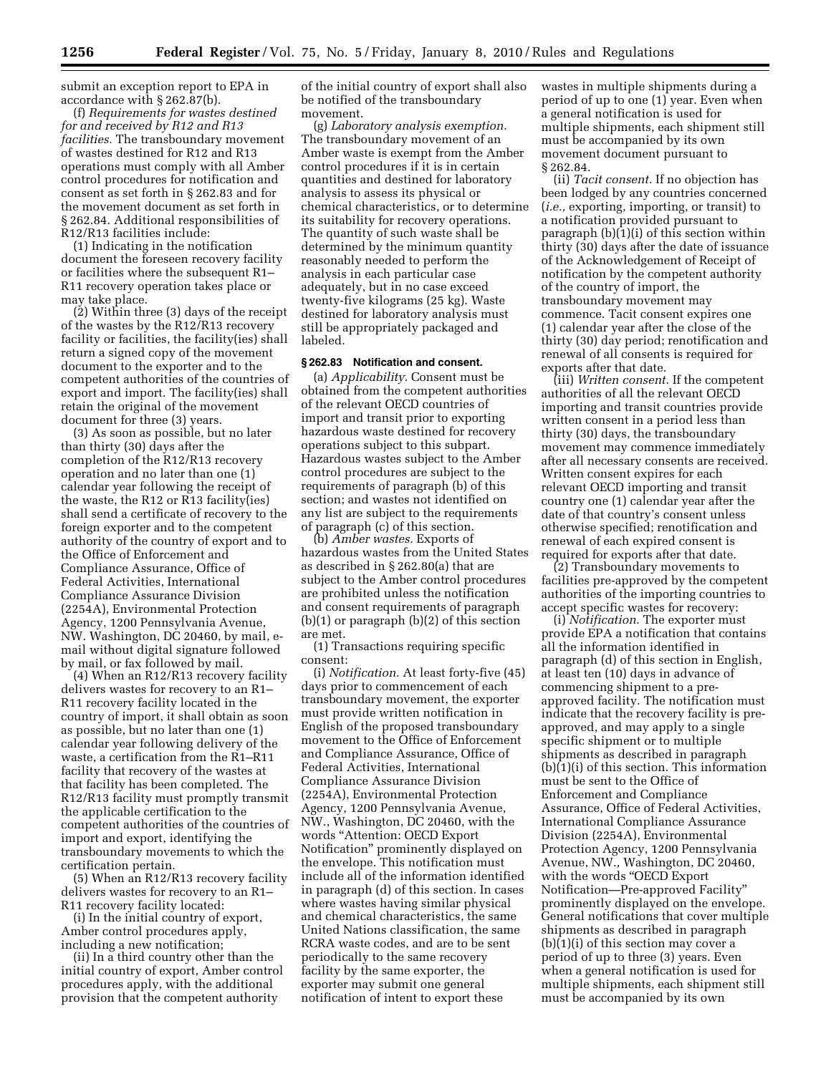submit an exception report to EPA in accordance with § 262.87(b).

(f) *Requirements for wastes destined for and received by R12 and R13 facilities.* The transboundary movement of wastes destined for R12 and R13 operations must comply with all Amber control procedures for notification and consent as set forth in § 262.83 and for the movement document as set forth in § 262.84. Additional responsibilities of R12/R13 facilities include:

(1) Indicating in the notification document the foreseen recovery facility or facilities where the subsequent R1– R11 recovery operation takes place or may take place.

(2) Within three (3) days of the receipt of the wastes by the R12/R13 recovery facility or facilities, the facility(ies) shall return a signed copy of the movement document to the exporter and to the competent authorities of the countries of export and import. The facility(ies) shall retain the original of the movement document for three (3) years.

(3) As soon as possible, but no later than thirty (30) days after the completion of the R12/R13 recovery operation and no later than one (1) calendar year following the receipt of the waste, the R12 or R13 facility(ies) shall send a certificate of recovery to the foreign exporter and to the competent authority of the country of export and to the Office of Enforcement and Compliance Assurance, Office of Federal Activities, International Compliance Assurance Division (2254A), Environmental Protection Agency, 1200 Pennsylvania Avenue, NW. Washington, DC 20460, by mail, email without digital signature followed by mail, or fax followed by mail.

(4) When an R12/R13 recovery facility delivers wastes for recovery to an R1– R11 recovery facility located in the country of import, it shall obtain as soon as possible, but no later than one (1) calendar year following delivery of the waste, a certification from the R1–R11 facility that recovery of the wastes at that facility has been completed. The R12/R13 facility must promptly transmit the applicable certification to the competent authorities of the countries of import and export, identifying the transboundary movements to which the certification pertain.

(5) When an R12/R13 recovery facility delivers wastes for recovery to an R1– R11 recovery facility located:

(i) In the initial country of export, Amber control procedures apply, including a new notification;

(ii) In a third country other than the initial country of export, Amber control procedures apply, with the additional provision that the competent authority

of the initial country of export shall also be notified of the transboundary movement.

(g) *Laboratory analysis exemption.*  The transboundary movement of an Amber waste is exempt from the Amber control procedures if it is in certain quantities and destined for laboratory analysis to assess its physical or chemical characteristics, or to determine its suitability for recovery operations. The quantity of such waste shall be determined by the minimum quantity reasonably needed to perform the analysis in each particular case adequately, but in no case exceed twenty-five kilograms (25 kg). Waste destined for laboratory analysis must still be appropriately packaged and labeled.

## **§ 262.83 Notification and consent.**

(a) *Applicability.* Consent must be obtained from the competent authorities of the relevant OECD countries of import and transit prior to exporting hazardous waste destined for recovery operations subject to this subpart. Hazardous wastes subject to the Amber control procedures are subject to the requirements of paragraph (b) of this section; and wastes not identified on any list are subject to the requirements of paragraph (c) of this section.

(b) *Amber wastes.* Exports of hazardous wastes from the United States as described in § 262.80(a) that are subject to the Amber control procedures are prohibited unless the notification and consent requirements of paragraph (b)(1) or paragraph (b)(2) of this section are met.

(1) Transactions requiring specific consent:

(i) *Notification.* At least forty-five (45) days prior to commencement of each transboundary movement, the exporter must provide written notification in English of the proposed transboundary movement to the Office of Enforcement and Compliance Assurance, Office of Federal Activities, International Compliance Assurance Division (2254A), Environmental Protection Agency, 1200 Pennsylvania Avenue, NW., Washington, DC 20460, with the words ''Attention: OECD Export Notification'' prominently displayed on the envelope. This notification must include all of the information identified in paragraph (d) of this section. In cases where wastes having similar physical and chemical characteristics, the same United Nations classification, the same RCRA waste codes, and are to be sent periodically to the same recovery facility by the same exporter, the exporter may submit one general notification of intent to export these

wastes in multiple shipments during a period of up to one (1) year. Even when a general notification is used for multiple shipments, each shipment still must be accompanied by its own movement document pursuant to § 262.84.

(ii) *Tacit consent.* If no objection has been lodged by any countries concerned (*i.e.,* exporting, importing, or transit) to a notification provided pursuant to paragraph (b)(1)(i) of this section within thirty (30) days after the date of issuance of the Acknowledgement of Receipt of notification by the competent authority of the country of import, the transboundary movement may commence. Tacit consent expires one (1) calendar year after the close of the thirty (30) day period; renotification and renewal of all consents is required for exports after that date.

(iii) *Written consent.* If the competent authorities of all the relevant OECD importing and transit countries provide written consent in a period less than thirty (30) days, the transboundary movement may commence immediately after all necessary consents are received. Written consent expires for each relevant OECD importing and transit country one (1) calendar year after the date of that country's consent unless otherwise specified; renotification and renewal of each expired consent is required for exports after that date.

(2) Transboundary movements to facilities pre-approved by the competent authorities of the importing countries to accept specific wastes for recovery:

(i) *Notification.* The exporter must provide EPA a notification that contains all the information identified in paragraph (d) of this section in English, at least ten (10) days in advance of commencing shipment to a preapproved facility. The notification must indicate that the recovery facility is preapproved, and may apply to a single specific shipment or to multiple shipments as described in paragraph (b)(1)(i) of this section. This information must be sent to the Office of Enforcement and Compliance Assurance, Office of Federal Activities, International Compliance Assurance Division (2254A), Environmental Protection Agency, 1200 Pennsylvania Avenue, NW., Washington, DC 20460, with the words "OECD Export" Notification—Pre-approved Facility'' prominently displayed on the envelope. General notifications that cover multiple shipments as described in paragraph (b)(1)(i) of this section may cover a period of up to three (3) years. Even when a general notification is used for multiple shipments, each shipment still must be accompanied by its own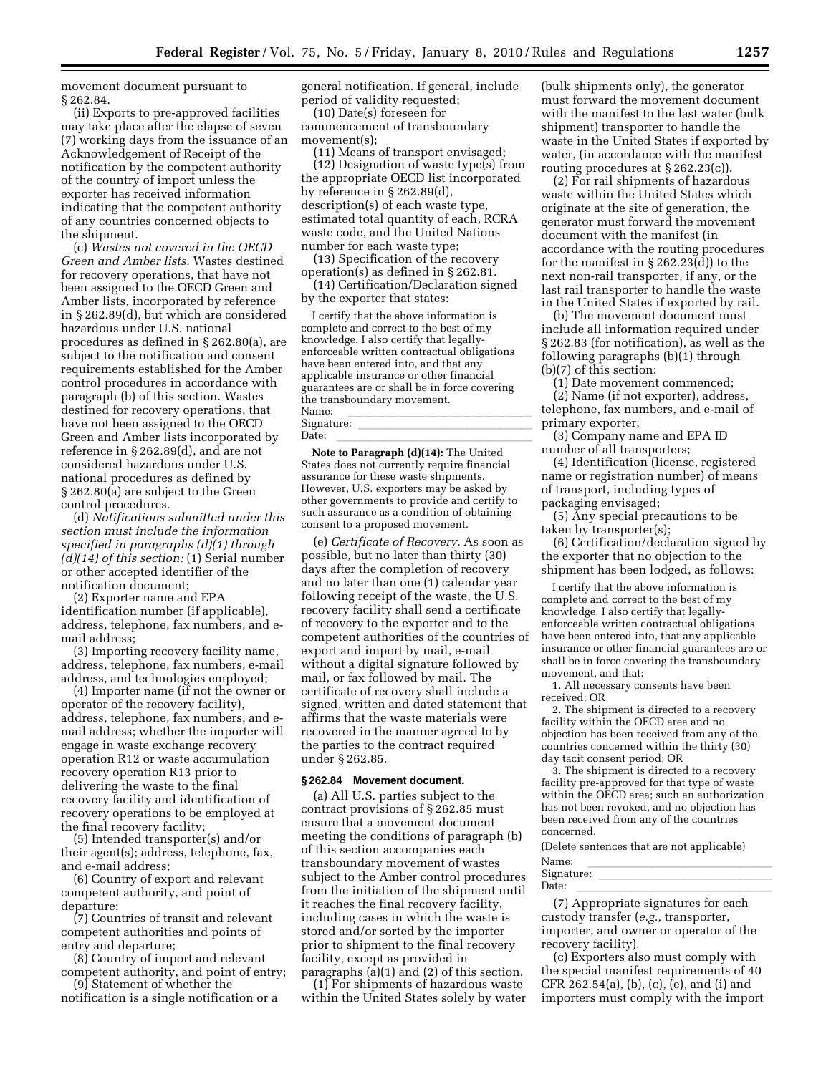movement document pursuant to § 262.84.

(ii) Exports to pre-approved facilities may take place after the elapse of seven (7) working days from the issuance of an Acknowledgement of Receipt of the notification by the competent authority of the country of import unless the exporter has received information indicating that the competent authority of any countries concerned objects to the shipment.

(c) *Wastes not covered in the OECD Green and Amber lists.* Wastes destined for recovery operations, that have not been assigned to the OECD Green and Amber lists, incorporated by reference in § 262.89(d), but which are considered hazardous under U.S. national procedures as defined in § 262.80(a), are subject to the notification and consent requirements established for the Amber control procedures in accordance with paragraph (b) of this section. Wastes destined for recovery operations, that have not been assigned to the OECD Green and Amber lists incorporated by reference in § 262.89(d), and are not considered hazardous under U.S. national procedures as defined by § 262.80(a) are subject to the Green control procedures.

(d) *Notifications submitted under this section must include the information specified in paragraphs (d)(1) through (d)(14) of this section:* (1) Serial number or other accepted identifier of the notification document;

(2) Exporter name and EPA identification number (if applicable), address, telephone, fax numbers, and email address;

(3) Importing recovery facility name, address, telephone, fax numbers, e-mail address, and technologies employed;

(4) Importer name (if not the owner or operator of the recovery facility), address, telephone, fax numbers, and email address; whether the importer will engage in waste exchange recovery operation R12 or waste accumulation recovery operation R13 prior to delivering the waste to the final recovery facility and identification of recovery operations to be employed at the final recovery facility;

(5) Intended transporter(s) and/or their agent(s); address, telephone, fax, and e-mail address;

(6) Country of export and relevant competent authority, and point of departure;

(7) Countries of transit and relevant competent authorities and points of entry and departure;

(8) Country of import and relevant competent authority, and point of entry;

(9) Statement of whether the notification is a single notification or a general notification. If general, include period of validity requested;

(10) Date(s) foreseen for commencement of transboundary movement(s);

(11) Means of transport envisaged; (12) Designation of waste type(s) from the appropriate OECD list incorporated by reference in § 262.89(d), description(s) of each waste type, estimated total quantity of each, RCRA waste code, and the United Nations number for each waste type;

(13) Specification of the recovery operation(s) as defined in § 262.81.

(14) Certification/Declaration signed by the exporter that states:

I certify that the above information is complete and correct to the best of my knowledge. I also certify that legallyenforceable written contractual obligations have been entered into, and that any applicable insurance or other financial guarantees are or shall be in force covering the transboundary movement.<br>Name: Name:<br>Signature Signature: \_\_\_\_\_\_\_\_\_\_\_\_\_\_\_\_\_\_\_\_\_\_\_\_\_\_\_\_\_\_\_\_\_<br>Date:

Date:<br>**Note to Paragraph (d)(14):** The United States does not currently require financial assurance for these waste shipments. However, U.S. exporters may be asked by other governments to provide and certify to such assurance as a condition of obtaining consent to a proposed movement.

(e) *Certificate of Recovery.* As soon as possible, but no later than thirty (30) days after the completion of recovery and no later than one (1) calendar year following receipt of the waste, the U.S. recovery facility shall send a certificate of recovery to the exporter and to the competent authorities of the countries of export and import by mail, e-mail without a digital signature followed by mail, or fax followed by mail. The certificate of recovery shall include a signed, written and dated statement that affirms that the waste materials were recovered in the manner agreed to by the parties to the contract required under § 262.85.

#### **§ 262.84 Movement document.**

(a) All U.S. parties subject to the contract provisions of § 262.85 must ensure that a movement document meeting the conditions of paragraph (b) of this section accompanies each transboundary movement of wastes subject to the Amber control procedures from the initiation of the shipment until it reaches the final recovery facility, including cases in which the waste is stored and/or sorted by the importer prior to shipment to the final recovery facility, except as provided in paragraphs (a)(1) and (2) of this section.

(1) For shipments of hazardous waste within the United States solely by water (bulk shipments only), the generator must forward the movement document with the manifest to the last water (bulk shipment) transporter to handle the waste in the United States if exported by water, (in accordance with the manifest routing procedures at § 262.23(c)).

(2) For rail shipments of hazardous waste within the United States which originate at the site of generation, the generator must forward the movement document with the manifest (in accordance with the routing procedures for the manifest in § 262.23(d)) to the next non-rail transporter, if any, or the last rail transporter to handle the waste in the United States if exported by rail.

(b) The movement document must include all information required under § 262.83 (for notification), as well as the following paragraphs (b)(1) through (b)(7) of this section:

(1) Date movement commenced; (2) Name (if not exporter), address, telephone, fax numbers, and e-mail of primary exporter;

(3) Company name and EPA ID number of all transporters;

(4) Identification (license, registered name or registration number) of means of transport, including types of packaging envisaged;

(5) Any special precautions to be taken by transporter(s);

(6) Certification/declaration signed by the exporter that no objection to the shipment has been lodged, as follows:

I certify that the above information is complete and correct to the best of my knowledge. I also certify that legallyenforceable written contractual obligations have been entered into, that any applicable insurance or other financial guarantees are or shall be in force covering the transboundary movement, and that:

1. All necessary consents have been received; OR

2. The shipment is directed to a recovery facility within the OECD area and no objection has been received from any of the countries concerned within the thirty (30) day tacit consent period; OR

3. The shipment is directed to a recovery facility pre-approved for that type of waste within the OECD area; such an authorization has not been revoked, and no objection has been received from any of the countries concerned.

(Delete sentences that are not applicable)

| Name:      |  |  |  |  |  |  |
|------------|--|--|--|--|--|--|
| Signature: |  |  |  |  |  |  |
| Date:      |  |  |  |  |  |  |
| $\sim$     |  |  |  |  |  |  |

(7) Appropriate signatures for each custody transfer (*e.g.,* transporter, importer, and owner or operator of the recovery facility).

(c) Exporters also must comply with the special manifest requirements of 40 CFR 262.54(a), (b), (c), (e), and (i) and importers must comply with the import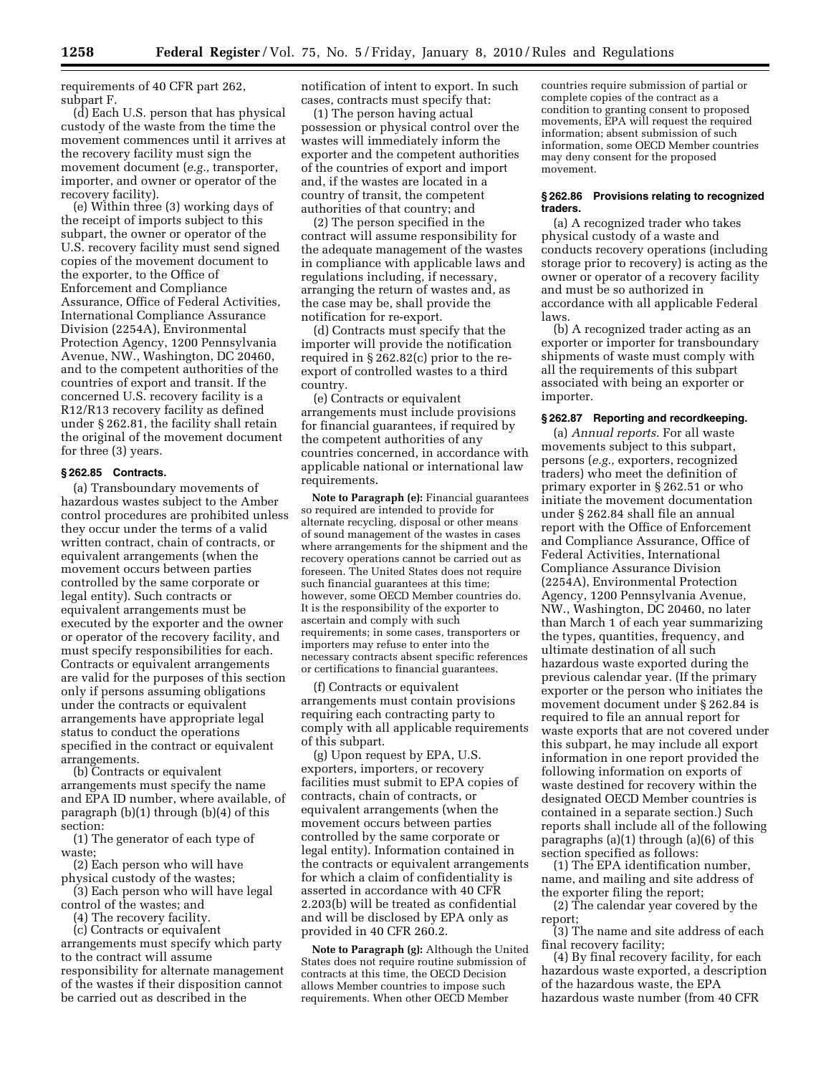requirements of 40 CFR part 262, subpart F.

(d) Each U.S. person that has physical custody of the waste from the time the movement commences until it arrives at the recovery facility must sign the movement document (*e.g.,* transporter, importer, and owner or operator of the recovery facility).

(e) Within three (3) working days of the receipt of imports subject to this subpart, the owner or operator of the U.S. recovery facility must send signed copies of the movement document to the exporter, to the Office of Enforcement and Compliance Assurance, Office of Federal Activities, International Compliance Assurance Division (2254A), Environmental Protection Agency, 1200 Pennsylvania Avenue, NW., Washington, DC 20460, and to the competent authorities of the countries of export and transit. If the concerned U.S. recovery facility is a R12/R13 recovery facility as defined under § 262.81, the facility shall retain the original of the movement document for three (3) years.

#### **§ 262.85 Contracts.**

(a) Transboundary movements of hazardous wastes subject to the Amber control procedures are prohibited unless they occur under the terms of a valid written contract, chain of contracts, or equivalent arrangements (when the movement occurs between parties controlled by the same corporate or legal entity). Such contracts or equivalent arrangements must be executed by the exporter and the owner or operator of the recovery facility, and must specify responsibilities for each. Contracts or equivalent arrangements are valid for the purposes of this section only if persons assuming obligations under the contracts or equivalent arrangements have appropriate legal status to conduct the operations specified in the contract or equivalent arrangements.

(b) Contracts or equivalent arrangements must specify the name and EPA ID number, where available, of paragraph (b)(1) through (b)(4) of this section:

(1) The generator of each type of waste;

(2) Each person who will have physical custody of the wastes;

(3) Each person who will have legal control of the wastes; and

(4) The recovery facility.

(c) Contracts or equivalent

arrangements must specify which party to the contract will assume responsibility for alternate management of the wastes if their disposition cannot be carried out as described in the

notification of intent to export. In such cases, contracts must specify that:

(1) The person having actual possession or physical control over the wastes will immediately inform the exporter and the competent authorities of the countries of export and import and, if the wastes are located in a country of transit, the competent authorities of that country; and

(2) The person specified in the contract will assume responsibility for the adequate management of the wastes in compliance with applicable laws and regulations including, if necessary, arranging the return of wastes and, as the case may be, shall provide the notification for re-export.

(d) Contracts must specify that the importer will provide the notification required in § 262.82(c) prior to the reexport of controlled wastes to a third country.

(e) Contracts or equivalent arrangements must include provisions for financial guarantees, if required by the competent authorities of any countries concerned, in accordance with applicable national or international law requirements.

**Note to Paragraph (e):** Financial guarantees so required are intended to provide for alternate recycling, disposal or other means of sound management of the wastes in cases where arrangements for the shipment and the recovery operations cannot be carried out as foreseen. The United States does not require such financial guarantees at this time; however, some OECD Member countries do. It is the responsibility of the exporter to ascertain and comply with such requirements; in some cases, transporters or importers may refuse to enter into the necessary contracts absent specific references or certifications to financial guarantees.

(f) Contracts or equivalent arrangements must contain provisions requiring each contracting party to comply with all applicable requirements of this subpart.

(g) Upon request by EPA, U.S. exporters, importers, or recovery facilities must submit to EPA copies of contracts, chain of contracts, or equivalent arrangements (when the movement occurs between parties controlled by the same corporate or legal entity). Information contained in the contracts or equivalent arrangements for which a claim of confidentiality is asserted in accordance with 40 CFR 2.203(b) will be treated as confidential and will be disclosed by EPA only as provided in 40 CFR 260.2.

**Note to Paragraph (g):** Although the United States does not require routine submission of contracts at this time, the OECD Decision allows Member countries to impose such requirements. When other OECD Member

countries require submission of partial or complete copies of the contract as a condition to granting consent to proposed movements, EPA will request the required information; absent submission of such information, some OECD Member countries may deny consent for the proposed movement.

#### **§ 262.86 Provisions relating to recognized traders.**

(a) A recognized trader who takes physical custody of a waste and conducts recovery operations (including storage prior to recovery) is acting as the owner or operator of a recovery facility and must be so authorized in accordance with all applicable Federal laws.

(b) A recognized trader acting as an exporter or importer for transboundary shipments of waste must comply with all the requirements of this subpart associated with being an exporter or importer.

### **§ 262.87 Reporting and recordkeeping.**

(a) *Annual reports.* For all waste movements subject to this subpart, persons (*e.g.,* exporters, recognized traders) who meet the definition of primary exporter in § 262.51 or who initiate the movement documentation under § 262.84 shall file an annual report with the Office of Enforcement and Compliance Assurance, Office of Federal Activities, International Compliance Assurance Division (2254A), Environmental Protection Agency, 1200 Pennsylvania Avenue, NW., Washington, DC 20460, no later than March 1 of each year summarizing the types, quantities, frequency, and ultimate destination of all such hazardous waste exported during the previous calendar year. (If the primary exporter or the person who initiates the movement document under § 262.84 is required to file an annual report for waste exports that are not covered under this subpart, he may include all export information in one report provided the following information on exports of waste destined for recovery within the designated OECD Member countries is contained in a separate section.) Such reports shall include all of the following paragraphs (a)(1) through (a)(6) of this section specified as follows:

(1) The EPA identification number, name, and mailing and site address of the exporter filing the report;

(2) The calendar year covered by the report;

(3) The name and site address of each final recovery facility;

(4) By final recovery facility, for each hazardous waste exported, a description of the hazardous waste, the EPA hazardous waste number (from 40 CFR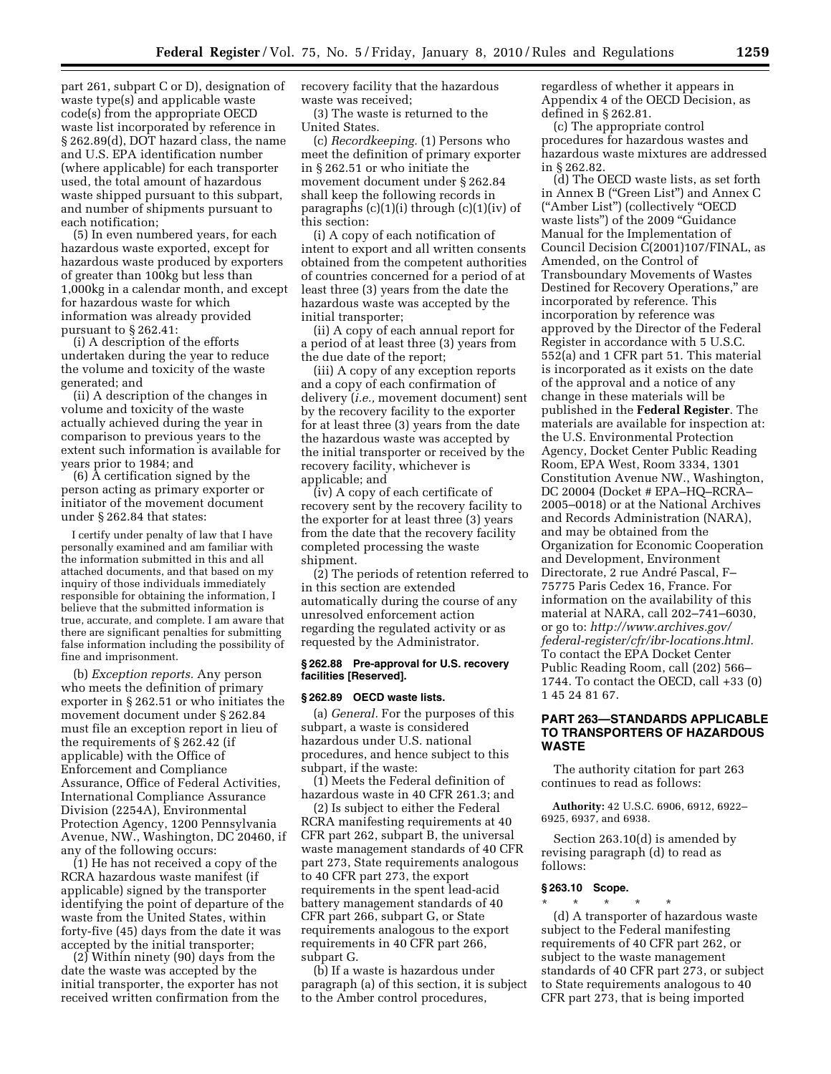part 261, subpart C or D), designation of waste type(s) and applicable waste code(s) from the appropriate OECD waste list incorporated by reference in § 262.89(d), DOT hazard class, the name and U.S. EPA identification number (where applicable) for each transporter used, the total amount of hazardous waste shipped pursuant to this subpart, and number of shipments pursuant to each notification;

(5) In even numbered years, for each hazardous waste exported, except for hazardous waste produced by exporters of greater than 100kg but less than 1,000kg in a calendar month, and except for hazardous waste for which information was already provided pursuant to § 262.41:

(i) A description of the efforts undertaken during the year to reduce the volume and toxicity of the waste generated; and

(ii) A description of the changes in volume and toxicity of the waste actually achieved during the year in comparison to previous years to the extent such information is available for years prior to 1984; and

(6) A certification signed by the person acting as primary exporter or initiator of the movement document under § 262.84 that states:

I certify under penalty of law that I have personally examined and am familiar with the information submitted in this and all attached documents, and that based on my inquiry of those individuals immediately responsible for obtaining the information, I believe that the submitted information is true, accurate, and complete. I am aware that there are significant penalties for submitting false information including the possibility of fine and imprisonment.

(b) *Exception reports.* Any person who meets the definition of primary exporter in § 262.51 or who initiates the movement document under § 262.84 must file an exception report in lieu of the requirements of § 262.42 (if applicable) with the Office of Enforcement and Compliance Assurance, Office of Federal Activities, International Compliance Assurance Division (2254A), Environmental Protection Agency, 1200 Pennsylvania Avenue, NW., Washington, DC 20460, if any of the following occurs:

(1) He has not received a copy of the RCRA hazardous waste manifest (if applicable) signed by the transporter identifying the point of departure of the waste from the United States, within forty-five (45) days from the date it was accepted by the initial transporter;

(2) Within ninety (90) days from the date the waste was accepted by the initial transporter, the exporter has not received written confirmation from the recovery facility that the hazardous waste was received;

(3) The waste is returned to the United States.

(c) *Recordkeeping.* (1) Persons who meet the definition of primary exporter in § 262.51 or who initiate the movement document under § 262.84 shall keep the following records in paragraphs (c)(1)(i) through (c)(1)(iv) of this section:

(i) A copy of each notification of intent to export and all written consents obtained from the competent authorities of countries concerned for a period of at least three (3) years from the date the hazardous waste was accepted by the initial transporter;

(ii) A copy of each annual report for a period of at least three (3) years from the due date of the report;

(iii) A copy of any exception reports and a copy of each confirmation of delivery (*i.e.,* movement document) sent by the recovery facility to the exporter for at least three (3) years from the date the hazardous waste was accepted by the initial transporter or received by the recovery facility, whichever is applicable; and

(iv) A copy of each certificate of recovery sent by the recovery facility to the exporter for at least three (3) years from the date that the recovery facility completed processing the waste shipment.

(2) The periods of retention referred to in this section are extended automatically during the course of any unresolved enforcement action regarding the regulated activity or as requested by the Administrator.

### **§ 262.88 Pre-approval for U.S. recovery facilities [Reserved].**

#### **§ 262.89 OECD waste lists.**

(a) *General.* For the purposes of this subpart, a waste is considered hazardous under U.S. national procedures, and hence subject to this subpart, if the waste:

(1) Meets the Federal definition of hazardous waste in 40 CFR 261.3; and

(2) Is subject to either the Federal RCRA manifesting requirements at 40 CFR part 262, subpart B, the universal waste management standards of 40 CFR part 273, State requirements analogous to 40 CFR part 273, the export requirements in the spent lead-acid battery management standards of 40 CFR part 266, subpart G, or State requirements analogous to the export requirements in 40 CFR part 266, subpart G.

(b) If a waste is hazardous under paragraph (a) of this section, it is subject to the Amber control procedures,

regardless of whether it appears in Appendix 4 of the OECD Decision, as defined in § 262.81.

(c) The appropriate control procedures for hazardous wastes and hazardous waste mixtures are addressed in § 262.82.

(d) The OECD waste lists, as set forth in Annex B (''Green List'') and Annex C (''Amber List'') (collectively ''OECD waste lists'') of the 2009 ''Guidance Manual for the Implementation of Council Decision C(2001)107/FINAL, as Amended, on the Control of Transboundary Movements of Wastes Destined for Recovery Operations,'' are incorporated by reference. This incorporation by reference was approved by the Director of the Federal Register in accordance with 5 U.S.C. 552(a) and 1 CFR part 51. This material is incorporated as it exists on the date of the approval and a notice of any change in these materials will be published in the **Federal Register**. The materials are available for inspection at: the U.S. Environmental Protection Agency, Docket Center Public Reading Room, EPA West, Room 3334, 1301 Constitution Avenue NW., Washington, DC 20004 (Docket # EPA–HQ–RCRA– 2005–0018) or at the National Archives and Records Administration (NARA), and may be obtained from the Organization for Economic Cooperation and Development, Environment Directorate, 2 rue André Pascal, F-75775 Paris Cedex 16, France. For information on the availability of this material at NARA, call 202–741–6030, or go to: *http://www.archives.gov/ federal-register/cfr/ibr-locations.html.*  To contact the EPA Docket Center Public Reading Room, call (202) 566– 1744. To contact the OECD, call +33 (0) 1 45 24 81 67.

## **PART 263—STANDARDS APPLICABLE TO TRANSPORTERS OF HAZARDOUS WASTE**

The authority citation for part 263 continues to read as follows:

**Authority:** 42 U.S.C. 6906, 6912, 6922– 6925, 6937, and 6938.

Section 263.10(d) is amended by revising paragraph (d) to read as follows:

## **§ 263.10 Scope.**

\* \* \* \* \* (d) A transporter of hazardous waste subject to the Federal manifesting requirements of 40 CFR part 262, or subject to the waste management standards of 40 CFR part 273, or subject to State requirements analogous to 40 CFR part 273, that is being imported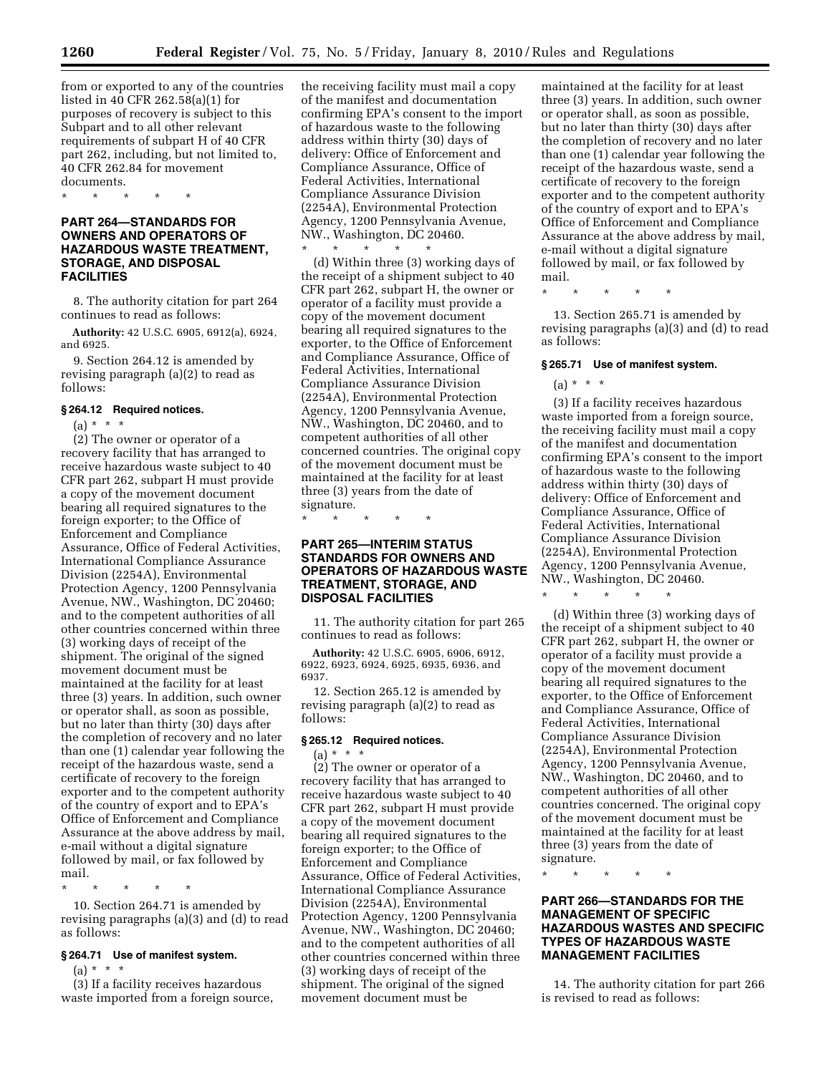from or exported to any of the countries listed in 40 CFR 262.58(a)(1) for purposes of recovery is subject to this Subpart and to all other relevant requirements of subpart H of 40 CFR part 262, including, but not limited to, 40 CFR 262.84 for movement documents.

\* \* \* \* \*

## **PART 264—STANDARDS FOR OWNERS AND OPERATORS OF HAZARDOUS WASTE TREATMENT, STORAGE, AND DISPOSAL FACILITIES**

8. The authority citation for part 264 continues to read as follows:

**Authority:** 42 U.S.C. 6905, 6912(a), 6924, and 6925.

9. Section 264.12 is amended by revising paragraph (a)(2) to read as follows:

#### **§ 264.12 Required notices.**

 $(a) * * * *$ 

(2) The owner or operator of a recovery facility that has arranged to receive hazardous waste subject to 40 CFR part 262, subpart H must provide a copy of the movement document bearing all required signatures to the foreign exporter; to the Office of Enforcement and Compliance Assurance, Office of Federal Activities, International Compliance Assurance Division (2254A), Environmental Protection Agency, 1200 Pennsylvania Avenue, NW., Washington, DC 20460; and to the competent authorities of all other countries concerned within three (3) working days of receipt of the shipment. The original of the signed movement document must be maintained at the facility for at least three (3) years. In addition, such owner or operator shall, as soon as possible, but no later than thirty (30) days after the completion of recovery and no later than one (1) calendar year following the receipt of the hazardous waste, send a certificate of recovery to the foreign exporter and to the competent authority of the country of export and to EPA's Office of Enforcement and Compliance Assurance at the above address by mail, e-mail without a digital signature followed by mail, or fax followed by mail.

\* \* \* \* \*

10. Section 264.71 is amended by revising paragraphs (a)(3) and (d) to read as follows:

## **§ 264.71 Use of manifest system.**

(a) \* \* \*

(3) If a facility receives hazardous waste imported from a foreign source, the receiving facility must mail a copy of the manifest and documentation confirming EPA's consent to the import of hazardous waste to the following address within thirty (30) days of delivery: Office of Enforcement and Compliance Assurance, Office of Federal Activities, International Compliance Assurance Division (2254A), Environmental Protection Agency, 1200 Pennsylvania Avenue, NW., Washington, DC 20460. \* \* \* \* \*

(d) Within three (3) working days of the receipt of a shipment subject to 40 CFR part 262, subpart H, the owner or operator of a facility must provide a copy of the movement document bearing all required signatures to the exporter, to the Office of Enforcement and Compliance Assurance, Office of Federal Activities, International Compliance Assurance Division (2254A), Environmental Protection Agency, 1200 Pennsylvania Avenue, NW., Washington, DC 20460, and to competent authorities of all other concerned countries. The original copy of the movement document must be maintained at the facility for at least three (3) years from the date of signature.

\* \* \* \* \*

## **PART 265—INTERIM STATUS STANDARDS FOR OWNERS AND OPERATORS OF HAZARDOUS WASTE TREATMENT, STORAGE, AND DISPOSAL FACILITIES**

11. The authority citation for part 265 continues to read as follows:

**Authority:** 42 U.S.C. 6905, 6906, 6912, 6922, 6923, 6924, 6925, 6935, 6936, and 6937.

12. Section 265.12 is amended by revising paragraph (a)(2) to read as follows:

#### **§ 265.12 Required notices.**

 $(a) * * * *$ (2) The owner or operator of a recovery facility that has arranged to receive hazardous waste subject to 40 CFR part 262, subpart H must provide a copy of the movement document bearing all required signatures to the foreign exporter; to the Office of Enforcement and Compliance Assurance, Office of Federal Activities, International Compliance Assurance Division (2254A), Environmental Protection Agency, 1200 Pennsylvania Avenue, NW., Washington, DC 20460; and to the competent authorities of all other countries concerned within three (3) working days of receipt of the shipment. The original of the signed movement document must be

maintained at the facility for at least three (3) years. In addition, such owner or operator shall, as soon as possible, but no later than thirty (30) days after the completion of recovery and no later than one (1) calendar year following the receipt of the hazardous waste, send a certificate of recovery to the foreign exporter and to the competent authority of the country of export and to EPA's Office of Enforcement and Compliance Assurance at the above address by mail, e-mail without a digital signature followed by mail, or fax followed by mail.

\* \* \* \* \*

13. Section 265.71 is amended by revising paragraphs (a)(3) and (d) to read as follows:

#### **§ 265.71 Use of manifest system.**

# $(a) * * * *$

(3) If a facility receives hazardous waste imported from a foreign source, the receiving facility must mail a copy of the manifest and documentation confirming EPA's consent to the import of hazardous waste to the following address within thirty (30) days of delivery: Office of Enforcement and Compliance Assurance, Office of Federal Activities, International Compliance Assurance Division (2254A), Environmental Protection Agency, 1200 Pennsylvania Avenue, NW., Washington, DC 20460.

\* \* \* \* \*

(d) Within three (3) working days of the receipt of a shipment subject to 40 CFR part 262, subpart H, the owner or operator of a facility must provide a copy of the movement document bearing all required signatures to the exporter, to the Office of Enforcement and Compliance Assurance, Office of Federal Activities, International Compliance Assurance Division (2254A), Environmental Protection Agency, 1200 Pennsylvania Avenue, NW., Washington, DC 20460, and to competent authorities of all other countries concerned. The original copy of the movement document must be maintained at the facility for at least three (3) years from the date of signature.

\* \* \* \* \*

## **PART 266—STANDARDS FOR THE MANAGEMENT OF SPECIFIC HAZARDOUS WASTES AND SPECIFIC TYPES OF HAZARDOUS WASTE MANAGEMENT FACILITIES**

14. The authority citation for part 266 is revised to read as follows: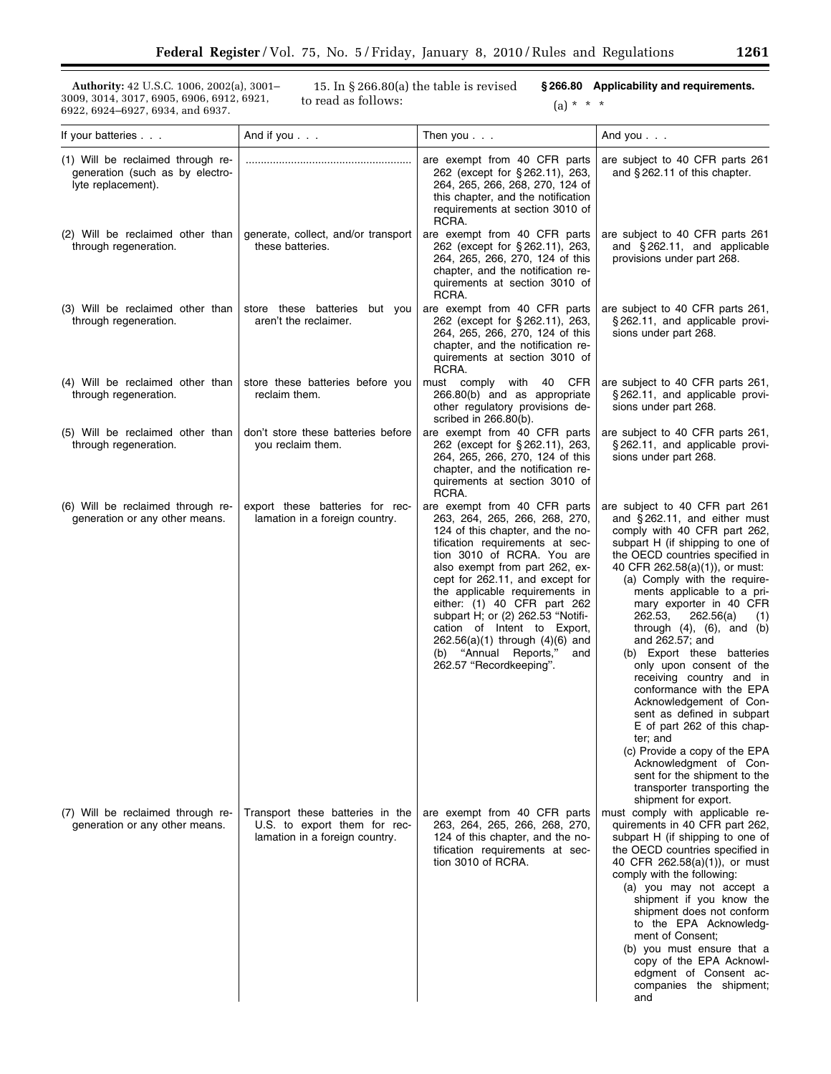**Authority:** 42 U.S.C. 1006, 2002(a), 3001– 3009, 3014, 3017, 6905, 6906, 6912, 6921, 6922, 6924–6927, 6934, and 6937.

15. In § 266.80(a) the table is revised to read as follows:

**§ 266.80 Applicability and requirements.** 

(a) \* \* \*

| If your batteries                                                                          | And if you $\ldots$                                                                                | Then you                                                                                                                                                                                                                                                                                                                                                                                                                                                                       | And you $\ldots$                                                                                                                                                                                                                                                                                                                                                                                                                                                                                                                                                                                                                                                                                                                                                    |
|--------------------------------------------------------------------------------------------|----------------------------------------------------------------------------------------------------|--------------------------------------------------------------------------------------------------------------------------------------------------------------------------------------------------------------------------------------------------------------------------------------------------------------------------------------------------------------------------------------------------------------------------------------------------------------------------------|---------------------------------------------------------------------------------------------------------------------------------------------------------------------------------------------------------------------------------------------------------------------------------------------------------------------------------------------------------------------------------------------------------------------------------------------------------------------------------------------------------------------------------------------------------------------------------------------------------------------------------------------------------------------------------------------------------------------------------------------------------------------|
| (1) Will be reclaimed through re-<br>generation (such as by electro-<br>lyte replacement). |                                                                                                    | are exempt from 40 CFR parts<br>262 (except for §262.11), 263,<br>264, 265, 266, 268, 270, 124 of<br>this chapter, and the notification<br>requirements at section 3010 of<br>RCRA.                                                                                                                                                                                                                                                                                            | are subject to 40 CFR parts 261<br>and $§$ 262.11 of this chapter.                                                                                                                                                                                                                                                                                                                                                                                                                                                                                                                                                                                                                                                                                                  |
| (2) Will be reclaimed other than<br>through regeneration.                                  | generate, collect, and/or transport<br>these batteries.                                            | are exempt from 40 CFR parts<br>262 (except for §262.11), 263,<br>264, 265, 266, 270, 124 of this<br>chapter, and the notification re-<br>quirements at section 3010 of<br>RCRA.                                                                                                                                                                                                                                                                                               | are subject to 40 CFR parts 261<br>and $§$ 262.11, and applicable<br>provisions under part 268.                                                                                                                                                                                                                                                                                                                                                                                                                                                                                                                                                                                                                                                                     |
| (3) Will be reclaimed other than<br>through regeneration.                                  | store these batteries but you<br>aren't the reclaimer.                                             | are exempt from 40 CFR parts<br>262 (except for §262.11), 263,<br>264, 265, 266, 270, 124 of this<br>chapter, and the notification re-<br>quirements at section 3010 of<br>RCRA.                                                                                                                                                                                                                                                                                               | are subject to 40 CFR parts 261,<br>§262.11, and applicable provi-<br>sions under part 268.                                                                                                                                                                                                                                                                                                                                                                                                                                                                                                                                                                                                                                                                         |
| (4) Will be reclaimed other than<br>through regeneration.                                  | store these batteries before you<br>reclaim them.                                                  | CFR<br>must comply with 40<br>266.80(b) and as appropriate<br>other regulatory provisions de-<br>scribed in 266.80(b).                                                                                                                                                                                                                                                                                                                                                         | are subject to 40 CFR parts 261,<br>§262.11, and applicable provi-<br>sions under part 268.                                                                                                                                                                                                                                                                                                                                                                                                                                                                                                                                                                                                                                                                         |
| (5) Will be reclaimed other than<br>through regeneration.                                  | don't store these batteries before<br>you reclaim them.                                            | are exempt from 40 CFR parts<br>262 (except for §262.11), 263,<br>264, 265, 266, 270, 124 of this<br>chapter, and the notification re-<br>quirements at section 3010 of<br>RCRA.                                                                                                                                                                                                                                                                                               | are subject to 40 CFR parts 261,<br>§262.11, and applicable provi-<br>sions under part 268.                                                                                                                                                                                                                                                                                                                                                                                                                                                                                                                                                                                                                                                                         |
| (6) Will be reclaimed through re-<br>generation or any other means.                        | export these batteries for rec-<br>lamation in a foreign country.                                  | are exempt from 40 CFR parts<br>263, 264, 265, 266, 268, 270,<br>124 of this chapter, and the no-<br>tification requirements at sec-<br>tion 3010 of RCRA. You are<br>also exempt from part 262, ex-<br>cept for 262.11, and except for<br>the applicable requirements in<br>either: (1) 40 CFR part 262<br>subpart H; or (2) 262.53 "Notifi-<br>cation of Intent to Export,<br>$262.56(a)(1)$ through $(4)(6)$ and<br>(b) "Annual Reports,"<br>and<br>262.57 "Recordkeeping". | are subject to 40 CFR part 261<br>and $§$ 262.11, and either must<br>comply with 40 CFR part 262,<br>subpart H (if shipping to one of<br>the OECD countries specified in<br>40 CFR 262.58(a)(1)), or must:<br>(a) Comply with the require-<br>ments applicable to a pri-<br>mary exporter in 40 CFR<br>262.53,<br>262.56(a)<br>(1)<br>through $(4)$ , $(6)$ , and $(b)$<br>and 262.57; and<br>(b) Export these batteries<br>only upon consent of the<br>receiving country and in<br>conformance with the EPA<br>Acknowledgement of Con-<br>sent as defined in subpart<br>E of part 262 of this chap-<br>ter; and<br>(c) Provide a copy of the EPA<br>Acknowledgment of Con-<br>sent for the shipment to the<br>transporter transporting the<br>shipment for export. |
| (7) Will be reclaimed through re-<br>generation or any other means.                        | Transport these batteries in the<br>U.S. to export them for rec-<br>lamation in a foreign country. | are exempt from 40 CFR parts<br>263, 264, 265, 266, 268, 270,<br>124 of this chapter, and the no-<br>tification requirements at sec-<br>tion 3010 of RCRA.                                                                                                                                                                                                                                                                                                                     | must comply with applicable re-<br>quirements in 40 CFR part 262,<br>subpart H (if shipping to one of<br>the OECD countries specified in<br>40 CFR 262.58(a)(1)), or must<br>comply with the following:<br>(a) you may not accept a<br>shipment if you know the<br>shipment does not conform<br>to the EPA Acknowledg-<br>ment of Consent;<br>(b) you must ensure that a<br>copy of the EPA Acknowl-<br>edgment of Consent ac-<br>companies the shipment;<br>and                                                                                                                                                                                                                                                                                                    |